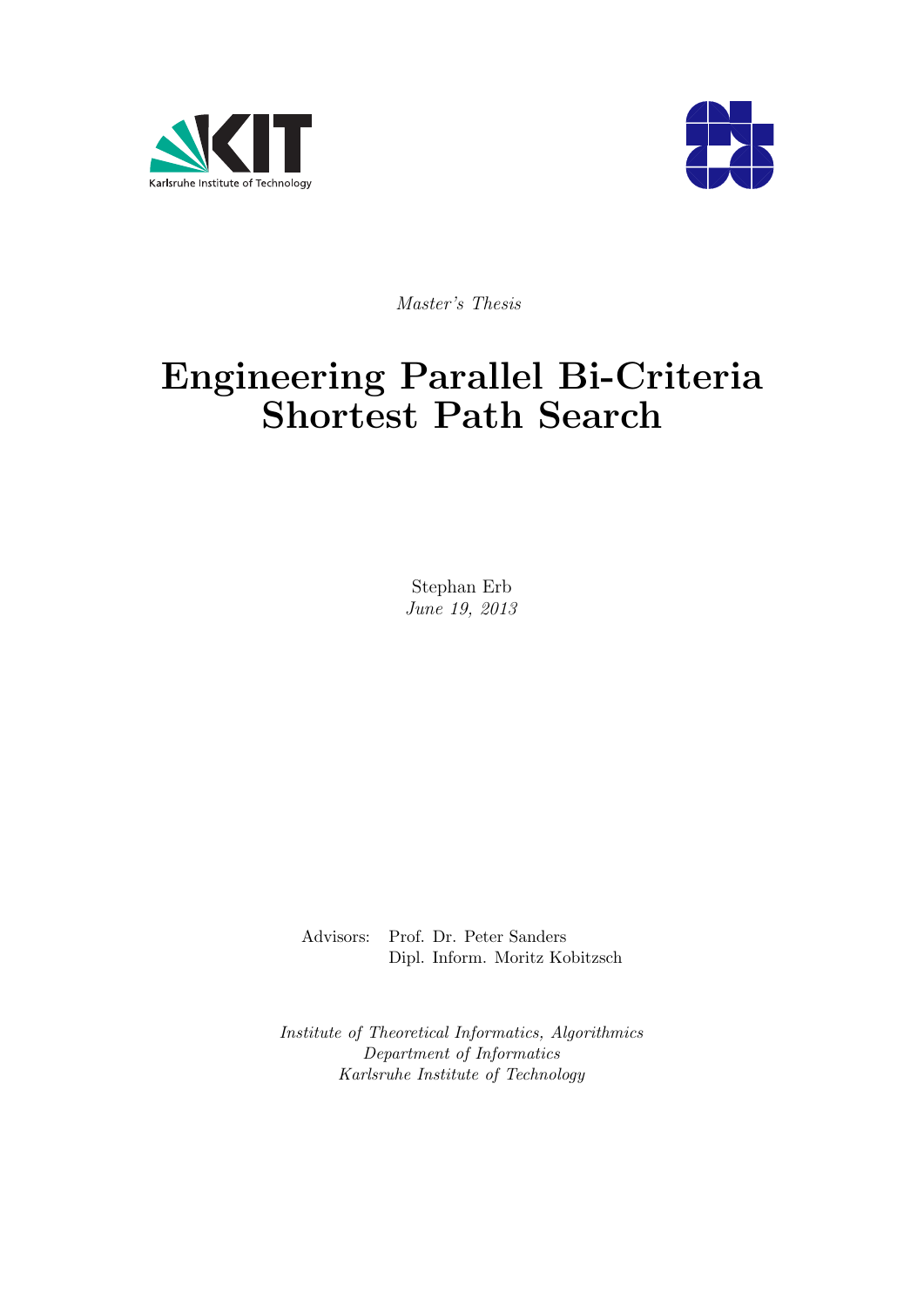



Master's Thesis

# Engineering Parallel Bi-Criteria Shortest Path Search

Stephan Erb June 19, 2013

Advisors: Prof. Dr. Peter Sanders Dipl. Inform. Moritz Kobitzsch

Institute of Theoretical Informatics, Algorithmics Department of Informatics Karlsruhe Institute of Technology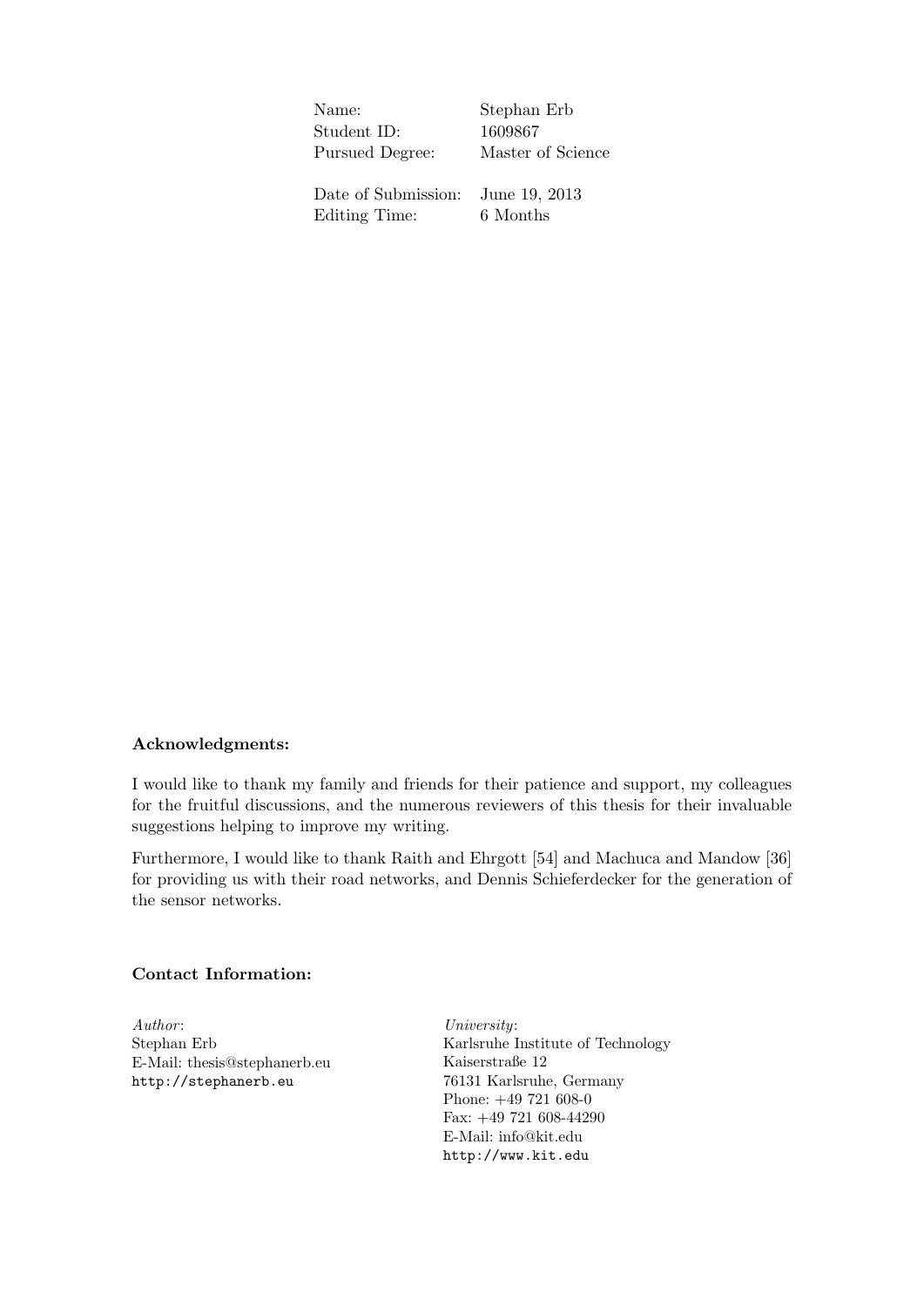Name: Stephan Erb Student ID: 1609867 Pursued Degree: Master of Science Date of Submission: June 19, 2013 Editing Time: 6 Months

#### Acknowledgments:

I would like to thank my family and friends for their patience and support, my colleagues for the fruitful discussions, and the numerous reviewers of this thesis for their invaluable suggestions helping to improve my writing.

Furthermore, I would like to thank Raith and Ehrgott [\[54\]](#page-66-0) and Machuca and Mandow [\[36\]](#page-64-0) for providing us with their road networks, and Dennis Schieferdecker for the generation of the sensor networks.

#### Contact Information:

Author: Stephan Erb E-Mail: thesis@stephanerb.eu <http://stephanerb.eu>

University: Karlsruhe Institute of Technology Kaiserstraße 12 76131 Karlsruhe, Germany Phone: +49 721 608-0 Fax: +49 721 608-44290 E-Mail: info@kit.edu <http://www.kit.edu>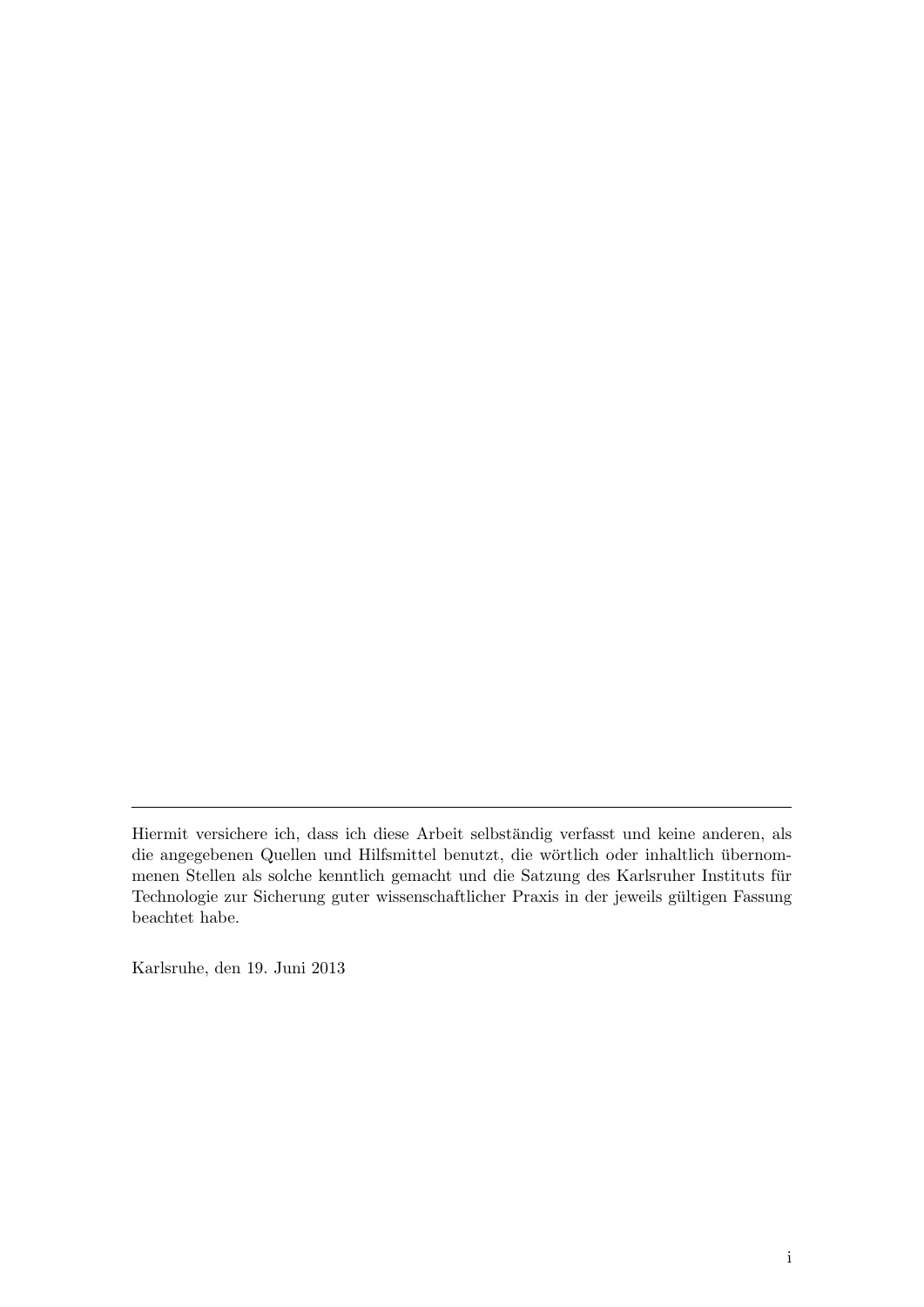Karlsruhe, den 19. Juni 2013

Hiermit versichere ich, dass ich diese Arbeit selbständig verfasst und keine anderen, als die angegebenen Quellen und Hilfsmittel benutzt, die wörtlich oder inhaltlich übernommenen Stellen als solche kenntlich gemacht und die Satzung des Karlsruher Instituts fur ¨ Technologie zur Sicherung guter wissenschaftlicher Praxis in der jeweils gultigen Fassung ¨ beachtet habe.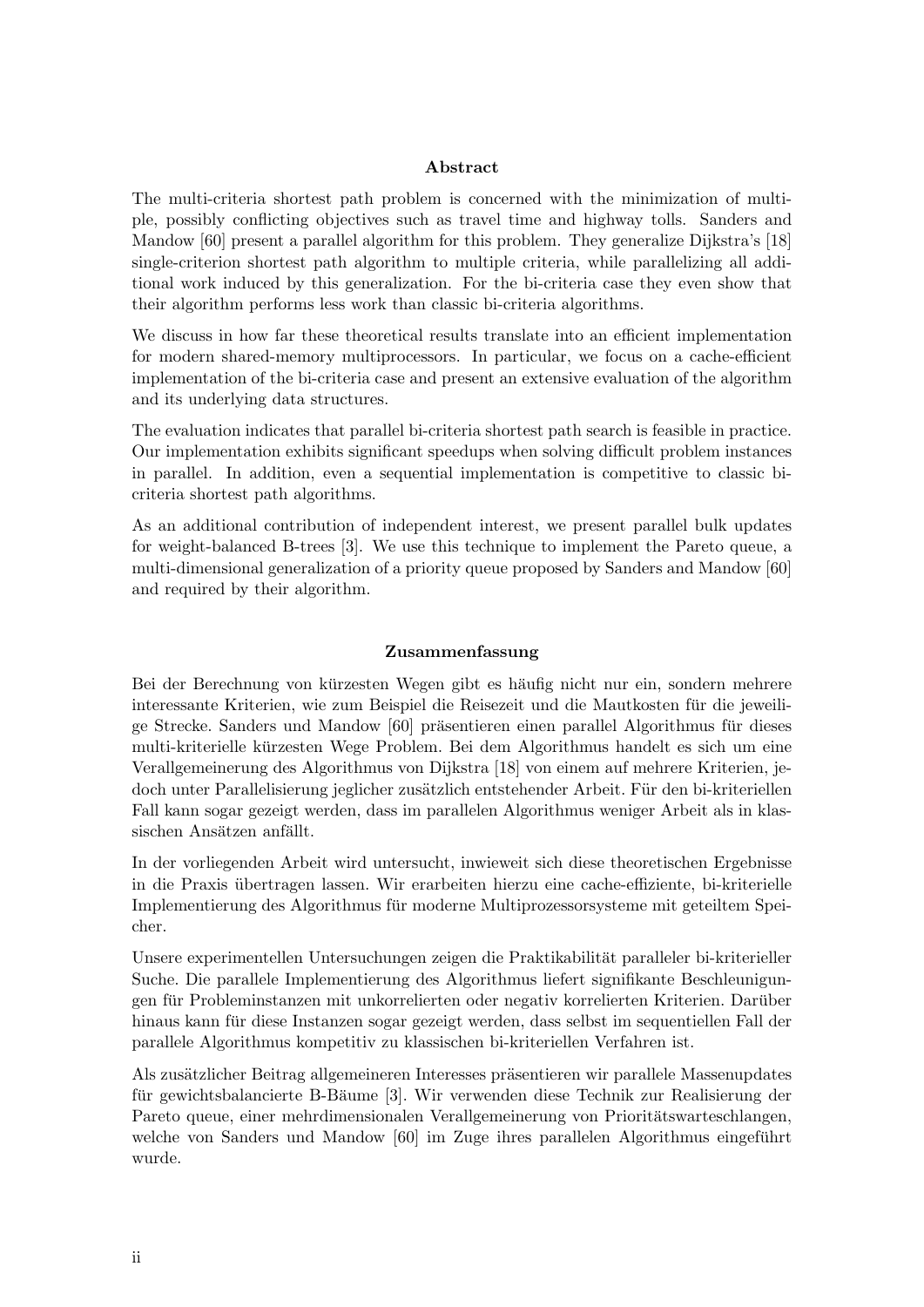#### Abstract

The multi-criteria shortest path problem is concerned with the minimization of multiple, possibly conflicting objectives such as travel time and highway tolls. Sanders and Mandow [\[60\]](#page-66-1) present a parallel algorithm for this problem. They generalize Dijkstra's [\[18\]](#page-63-0) single-criterion shortest path algorithm to multiple criteria, while parallelizing all additional work induced by this generalization. For the bi-criteria case they even show that their algorithm performs less work than classic bi-criteria algorithms.

We discuss in how far these theoretical results translate into an efficient implementation for modern shared-memory multiprocessors. In particular, we focus on a cache-efficient implementation of the bi-criteria case and present an extensive evaluation of the algorithm and its underlying data structures.

The evaluation indicates that parallel bi-criteria shortest path search is feasible in practice. Our implementation exhibits significant speedups when solving difficult problem instances in parallel. In addition, even a sequential implementation is competitive to classic bicriteria shortest path algorithms.

As an additional contribution of independent interest, we present parallel bulk updates for weight-balanced B-trees [\[3\]](#page-62-0). We use this technique to implement the Pareto queue, a multi-dimensional generalization of a priority queue proposed by Sanders and Mandow [\[60\]](#page-66-1) and required by their algorithm.

#### Zusammenfassung

Bei der Berechnung von kürzesten Wegen gibt es häufig nicht nur ein, sondern mehrere interessante Kriterien, wie zum Beispiel die Reisezeit und die Mautkosten fur die jeweili- ¨ ge Strecke. Sanders und Mandow [\[60\]](#page-66-1) präsentieren einen parallel Algorithmus für dieses multi-kriterielle kürzesten Wege Problem. Bei dem Algorithmus handelt es sich um eine Verallgemeinerung des Algorithmus von Dijkstra [\[18\]](#page-63-0) von einem auf mehrere Kriterien, jedoch unter Parallelisierung jeglicher zusätzlich entstehender Arbeit. Für den bi-kriteriellen Fall kann sogar gezeigt werden, dass im parallelen Algorithmus weniger Arbeit als in klassischen Ansätzen anfällt.

In der vorliegenden Arbeit wird untersucht, inwieweit sich diese theoretischen Ergebnisse in die Praxis ubertragen lassen. Wir erarbeiten hierzu eine cache-effiziente, bi-kriterielle ¨ Implementierung des Algorithmus fur moderne Multiprozessorsysteme mit geteiltem Spei- ¨ cher.

Unsere experimentellen Untersuchungen zeigen die Praktikabilität paralleler bi-kriterieller Suche. Die parallele Implementierung des Algorithmus liefert signifikante Beschleunigungen für Probleminstanzen mit unkorrelierten oder negativ korrelierten Kriterien. Darüber hinaus kann für diese Instanzen sogar gezeigt werden, dass selbst im sequentiellen Fall der parallele Algorithmus kompetitiv zu klassischen bi-kriteriellen Verfahren ist.

Als zusätzlicher Beitrag allgemeineren Interesses präsentieren wir parallele Massenupdates für gewichtsbalancierte B-Bäume [\[3\]](#page-62-0). Wir verwenden diese Technik zur Realisierung der Pareto queue, einer mehrdimensionalen Verallgemeinerung von Prioritätswarteschlangen, welche von Sanders und Mandow [\[60\]](#page-66-1) im Zuge ihres parallelen Algorithmus eingeführt wurde.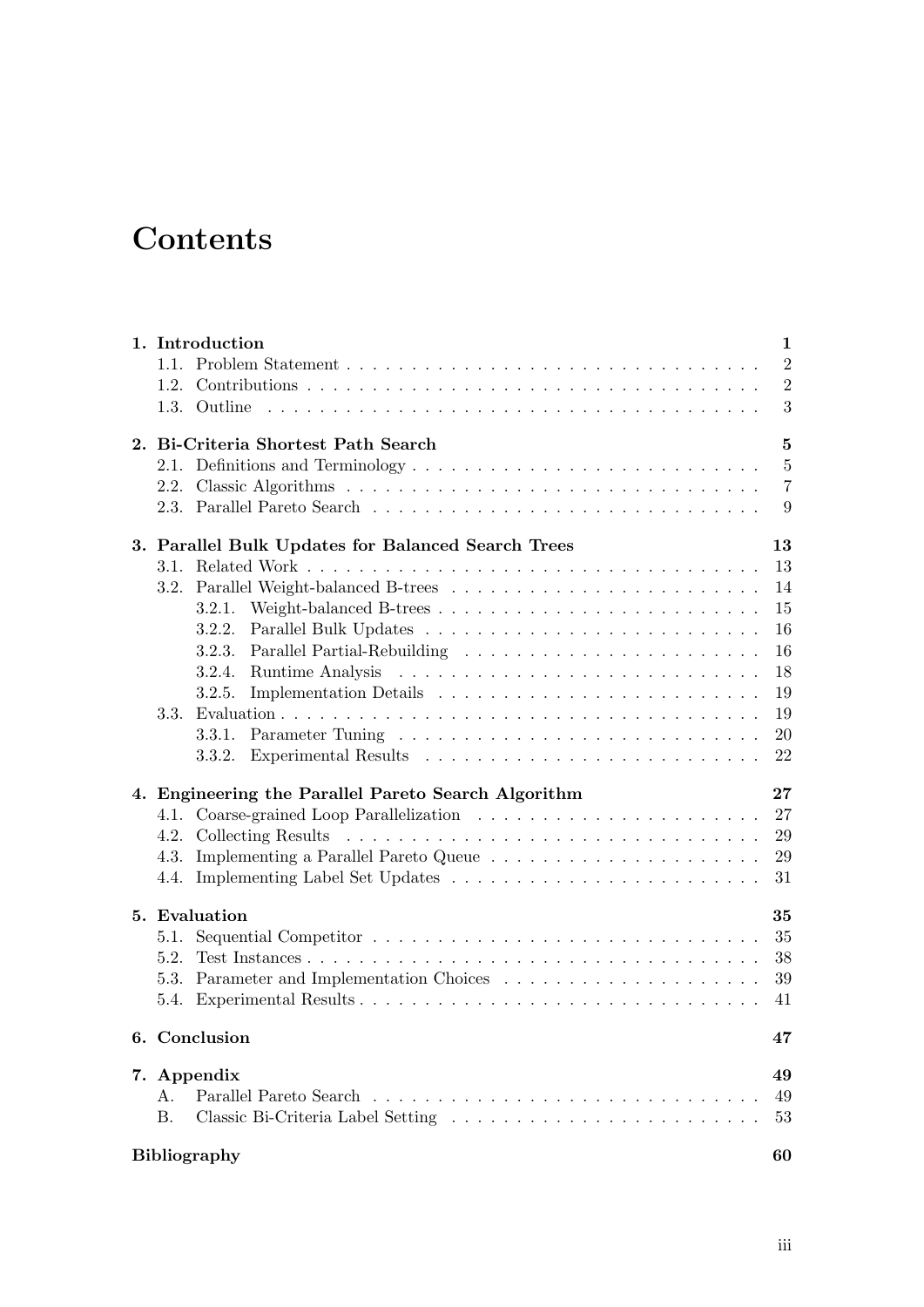# Contents

|      | 1. Introduction                                     | $\mathbf{1}$     |
|------|-----------------------------------------------------|------------------|
|      |                                                     | 2                |
|      |                                                     | $\overline{2}$   |
|      |                                                     | $\boldsymbol{3}$ |
|      | 2. Bi-Criteria Shortest Path Search                 | $\mathbf{5}$     |
|      | 2.1. Definitions and Terminology                    | $\bf 5$          |
|      |                                                     | $\overline{7}$   |
|      |                                                     | 9                |
|      | 3. Parallel Bulk Updates for Balanced Search Trees  | 13               |
|      |                                                     | 13               |
|      | 3.2. Parallel Weight-balanced B-trees               | 14               |
|      |                                                     | 15               |
|      |                                                     | 16               |
|      | 3.2.3.                                              | 16               |
|      | 3.2.4.                                              | 18               |
|      | 3.2.5.                                              | 19               |
| 3.3. |                                                     | 19               |
|      | 3.3.1.                                              | 20               |
|      | 3.3.2.                                              | 22               |
|      | 4. Engineering the Parallel Pareto Search Algorithm | 27               |
|      |                                                     | 27               |
|      |                                                     | 29               |
| 4.3. |                                                     | 29               |
|      |                                                     | 31               |
|      | 5. Evaluation                                       | 35               |
| 5.1. |                                                     | 35               |
| 5.2. |                                                     | 38               |
|      |                                                     | 39               |
|      |                                                     | 41               |
|      | 6. Conclusion                                       | 47               |
|      | 7. Appendix                                         | 49               |
| А.   |                                                     | 49               |
| Β.   |                                                     | 53               |
|      | <b>Bibliography</b>                                 | 60               |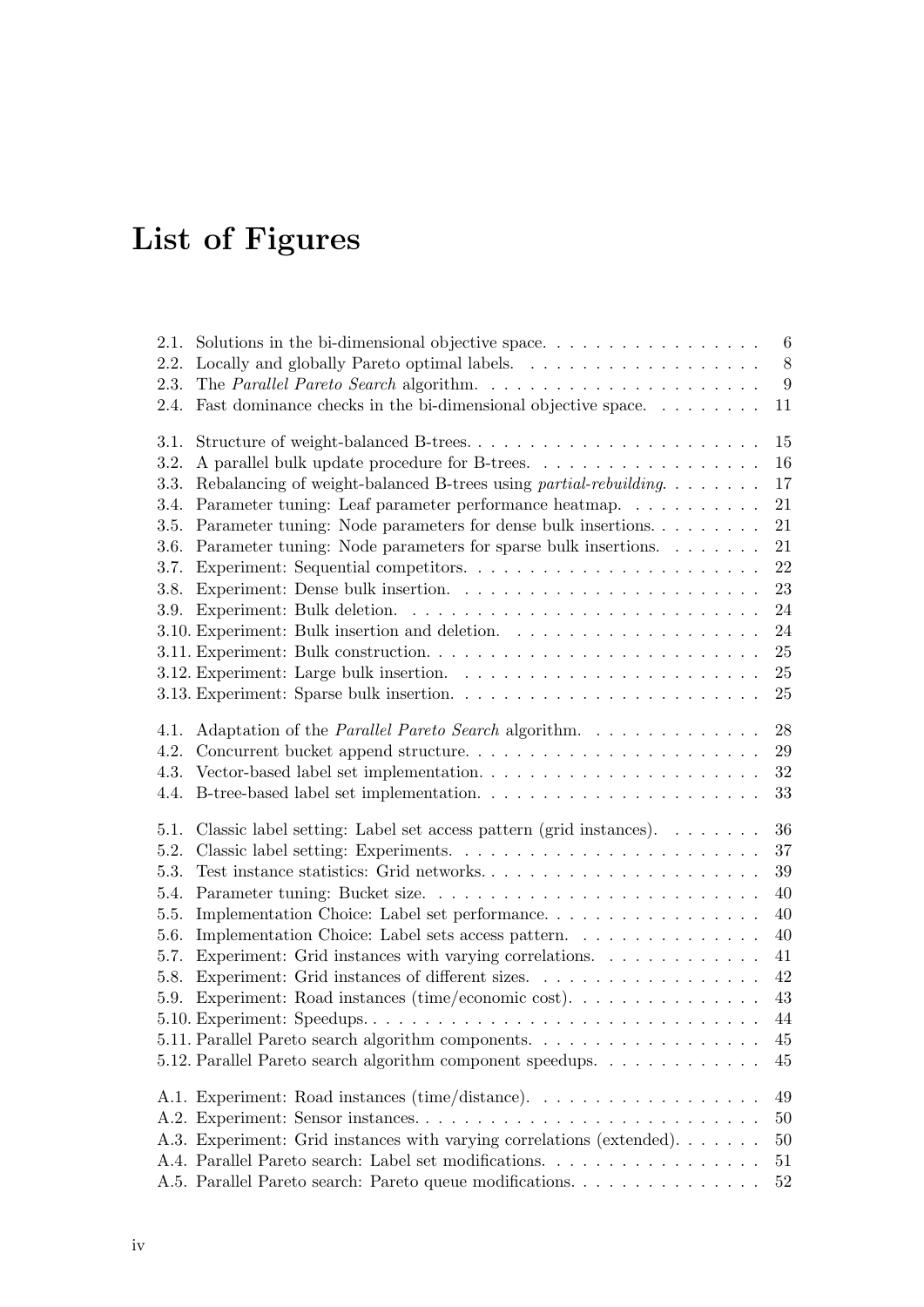# List of Figures

| 2.1. | Solutions in the bi-dimensional objective space. $\ldots \ldots \ldots \ldots \ldots \ldots$ | $\,6\,$          |
|------|----------------------------------------------------------------------------------------------|------------------|
| 2.2. |                                                                                              | $8\,$            |
| 2.3. |                                                                                              | $\boldsymbol{9}$ |
| 2.4. | Fast dominance checks in the bi-dimensional objective space                                  | 11               |
| 3.1. | Structure of weight-balanced B-trees                                                         | 15               |
| 3.2. |                                                                                              | 16               |
| 3.3. | Rebalancing of weight-balanced B-trees using partial-rebuilding                              | 17               |
| 3.4. | Parameter tuning: Leaf parameter performance heatmap.                                        | 21               |
| 3.5. | Parameter tuning: Node parameters for dense bulk insertions                                  | 21               |
| 3.6. | Parameter tuning: Node parameters for sparse bulk insertions.                                | 21               |
| 3.7. |                                                                                              | 22               |
| 3.8. |                                                                                              | 23               |
|      |                                                                                              | 24               |
|      |                                                                                              | 24               |
|      |                                                                                              | 25               |
|      |                                                                                              | 25               |
|      |                                                                                              | 25               |
| 4.1. | Adaptation of the <i>Parallel Pareto Search</i> algorithm.                                   | 28               |
| 4.2. |                                                                                              | 29               |
| 4.3. |                                                                                              | 32               |
| 4.4. |                                                                                              | 33               |
| 5.1. | Classic label setting: Label set access pattern (grid instances). $\dots \dots$              | 36               |
| 5.2. |                                                                                              | 37               |
| 5.3. |                                                                                              | $39\,$           |
| 5.4. |                                                                                              | 40               |
| 5.5. | Implementation Choice: Label set performance                                                 | 40               |
| 5.6. | Implementation Choice: Label sets access pattern.                                            | 40               |
| 5.7. | Experiment: Grid instances with varying correlations. $\ldots \ldots \ldots \ldots$          | 41               |
| 5.8. | Experiment: Grid instances of different sizes.                                               | 42               |
| 5.9. | Experiment: Road instances (time/economic cost). $\dots \dots \dots \dots \dots$             | 43               |
|      |                                                                                              | 44               |
|      | 5.11. Parallel Pareto search algorithm components.                                           | 45               |
|      | 5.12. Parallel Pareto search algorithm component speedups.                                   | 45               |
|      | A.1. Experiment: Road instances (time/distance).                                             | 49               |
|      |                                                                                              | 50               |
|      | A.3. Experiment: Grid instances with varying correlations (extended).                        | 50               |
|      | A.4. Parallel Pareto search: Label set modifications.                                        | 51               |
|      | A.5. Parallel Pareto search: Pareto queue modifications                                      | 52               |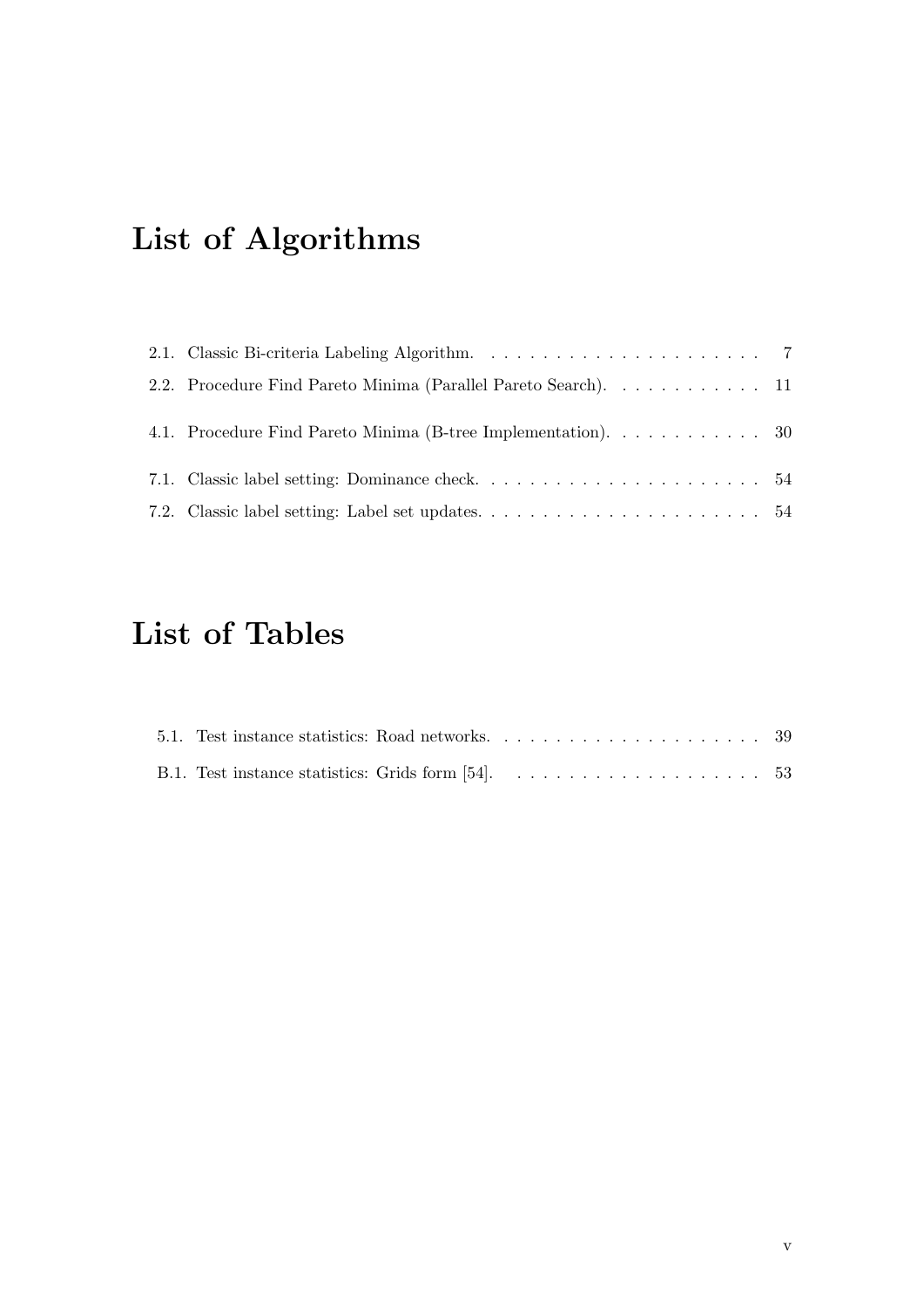# List of Algorithms

| 2.2. Procedure Find Pareto Minima (Parallel Pareto Search). 11 |  |
|----------------------------------------------------------------|--|
| 4.1. Procedure Find Pareto Minima (B-tree Implementation). 30  |  |
|                                                                |  |
|                                                                |  |

# List of Tables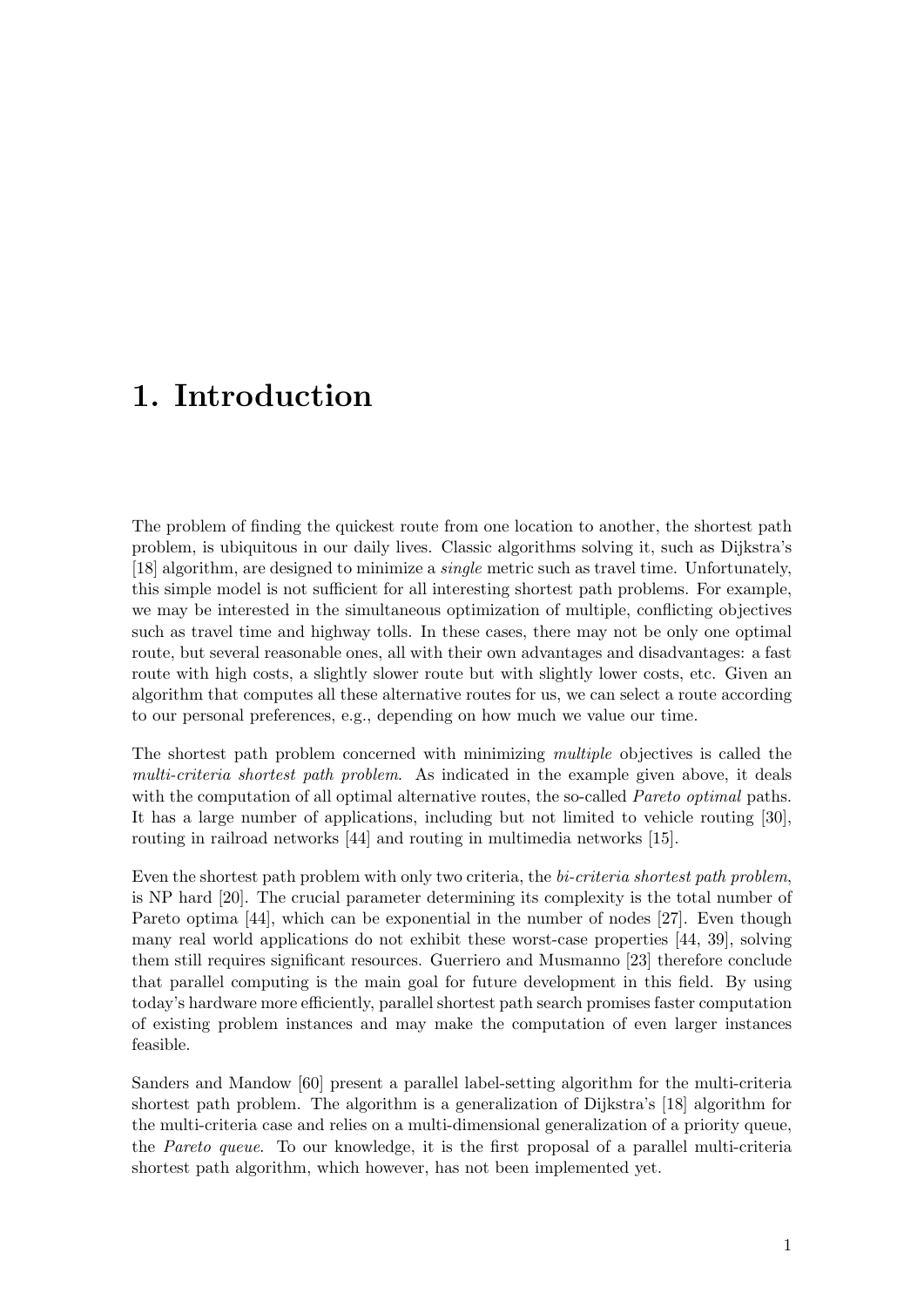## <span id="page-8-0"></span>1. Introduction

The problem of finding the quickest route from one location to another, the shortest path problem, is ubiquitous in our daily lives. Classic algorithms solving it, such as Dijkstra's [\[18\]](#page-63-0) algorithm, are designed to minimize a single metric such as travel time. Unfortunately, this simple model is not sufficient for all interesting shortest path problems. For example, we may be interested in the simultaneous optimization of multiple, conflicting objectives such as travel time and highway tolls. In these cases, there may not be only one optimal route, but several reasonable ones, all with their own advantages and disadvantages: a fast route with high costs, a slightly slower route but with slightly lower costs, etc. Given an algorithm that computes all these alternative routes for us, we can select a route according to our personal preferences, e.g., depending on how much we value our time.

The shortest path problem concerned with minimizing multiple objectives is called the multi-criteria shortest path problem. As indicated in the example given above, it deals with the computation of all optimal alternative routes, the so-called *Pareto optimal* paths. It has a large number of applications, including but not limited to vehicle routing [\[30\]](#page-64-1), routing in railroad networks [\[44\]](#page-65-0) and routing in multimedia networks [\[15\]](#page-63-1).

Even the shortest path problem with only two criteria, the bi-criteria shortest path problem, is NP hard [\[20\]](#page-63-2). The crucial parameter determining its complexity is the total number of Pareto optima [\[44\]](#page-65-0), which can be exponential in the number of nodes [\[27\]](#page-64-2). Even though many real world applications do not exhibit these worst-case properties [\[44,](#page-65-0) [39\]](#page-65-1), solving them still requires significant resources. Guerriero and Musmanno [\[23\]](#page-63-3) therefore conclude that parallel computing is the main goal for future development in this field. By using today's hardware more efficiently, parallel shortest path search promises faster computation of existing problem instances and may make the computation of even larger instances feasible.

Sanders and Mandow [\[60\]](#page-66-1) present a parallel label-setting algorithm for the multi-criteria shortest path problem. The algorithm is a generalization of Dijkstra's [\[18\]](#page-63-0) algorithm for the multi-criteria case and relies on a multi-dimensional generalization of a priority queue, the Pareto queue. To our knowledge, it is the first proposal of a parallel multi-criteria shortest path algorithm, which however, has not been implemented yet.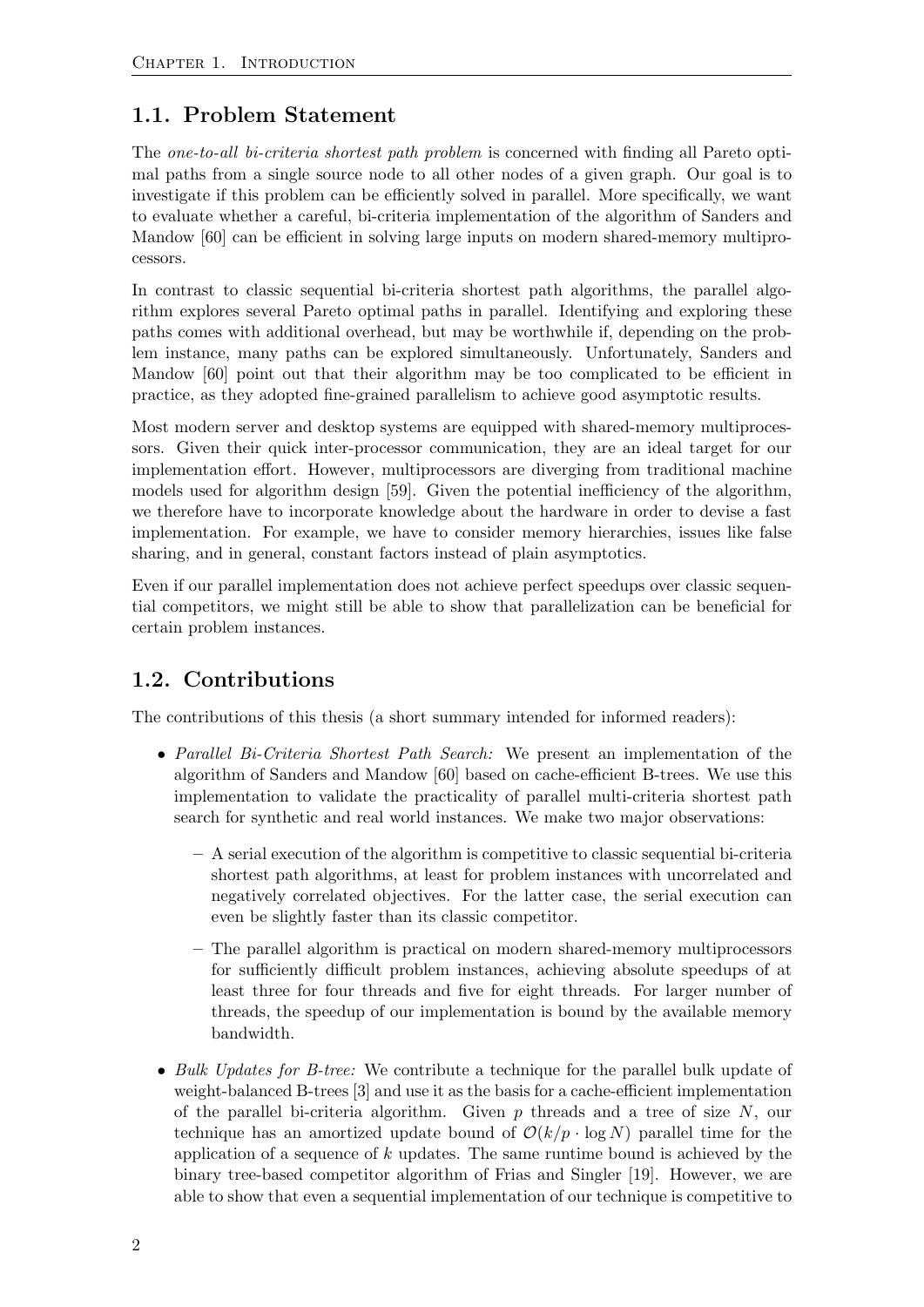## <span id="page-9-0"></span>1.1. Problem Statement

The one-to-all bi-criteria shortest path problem is concerned with finding all Pareto optimal paths from a single source node to all other nodes of a given graph. Our goal is to investigate if this problem can be efficiently solved in parallel. More specifically, we want to evaluate whether a careful, bi-criteria implementation of the algorithm of Sanders and Mandow [\[60\]](#page-66-1) can be efficient in solving large inputs on modern shared-memory multiprocessors.

In contrast to classic sequential bi-criteria shortest path algorithms, the parallel algorithm explores several Pareto optimal paths in parallel. Identifying and exploring these paths comes with additional overhead, but may be worthwhile if, depending on the problem instance, many paths can be explored simultaneously. Unfortunately, Sanders and Mandow [\[60\]](#page-66-1) point out that their algorithm may be too complicated to be efficient in practice, as they adopted fine-grained parallelism to achieve good asymptotic results.

Most modern server and desktop systems are equipped with shared-memory multiprocessors. Given their quick inter-processor communication, they are an ideal target for our implementation effort. However, multiprocessors are diverging from traditional machine models used for algorithm design [\[59\]](#page-66-2). Given the potential inefficiency of the algorithm, we therefore have to incorporate knowledge about the hardware in order to devise a fast implementation. For example, we have to consider memory hierarchies, issues like false sharing, and in general, constant factors instead of plain asymptotics.

Even if our parallel implementation does not achieve perfect speedups over classic sequential competitors, we might still be able to show that parallelization can be beneficial for certain problem instances.

## <span id="page-9-1"></span>1.2. Contributions

The contributions of this thesis (a short summary intended for informed readers):

- Parallel Bi-Criteria Shortest Path Search: We present an implementation of the algorithm of Sanders and Mandow [\[60\]](#page-66-1) based on cache-efficient B-trees. We use this implementation to validate the practicality of parallel multi-criteria shortest path search for synthetic and real world instances. We make two major observations:
	- A serial execution of the algorithm is competitive to classic sequential bi-criteria shortest path algorithms, at least for problem instances with uncorrelated and negatively correlated objectives. For the latter case, the serial execution can even be slightly faster than its classic competitor.
	- The parallel algorithm is practical on modern shared-memory multiprocessors for sufficiently difficult problem instances, achieving absolute speedups of at least three for four threads and five for eight threads. For larger number of threads, the speedup of our implementation is bound by the available memory bandwidth.
- Bulk Updates for B-tree: We contribute a technique for the parallel bulk update of weight-balanced B-trees [\[3\]](#page-62-0) and use it as the basis for a cache-efficient implementation of the parallel bi-criteria algorithm. Given  $p$  threads and a tree of size  $N$ , our technique has an amortized update bound of  $\mathcal{O}(k/p \cdot \log N)$  parallel time for the application of a sequence of k updates. The same runtime bound is achieved by the binary tree-based competitor algorithm of Frias and Singler [\[19\]](#page-63-4). However, we are able to show that even a sequential implementation of our technique is competitive to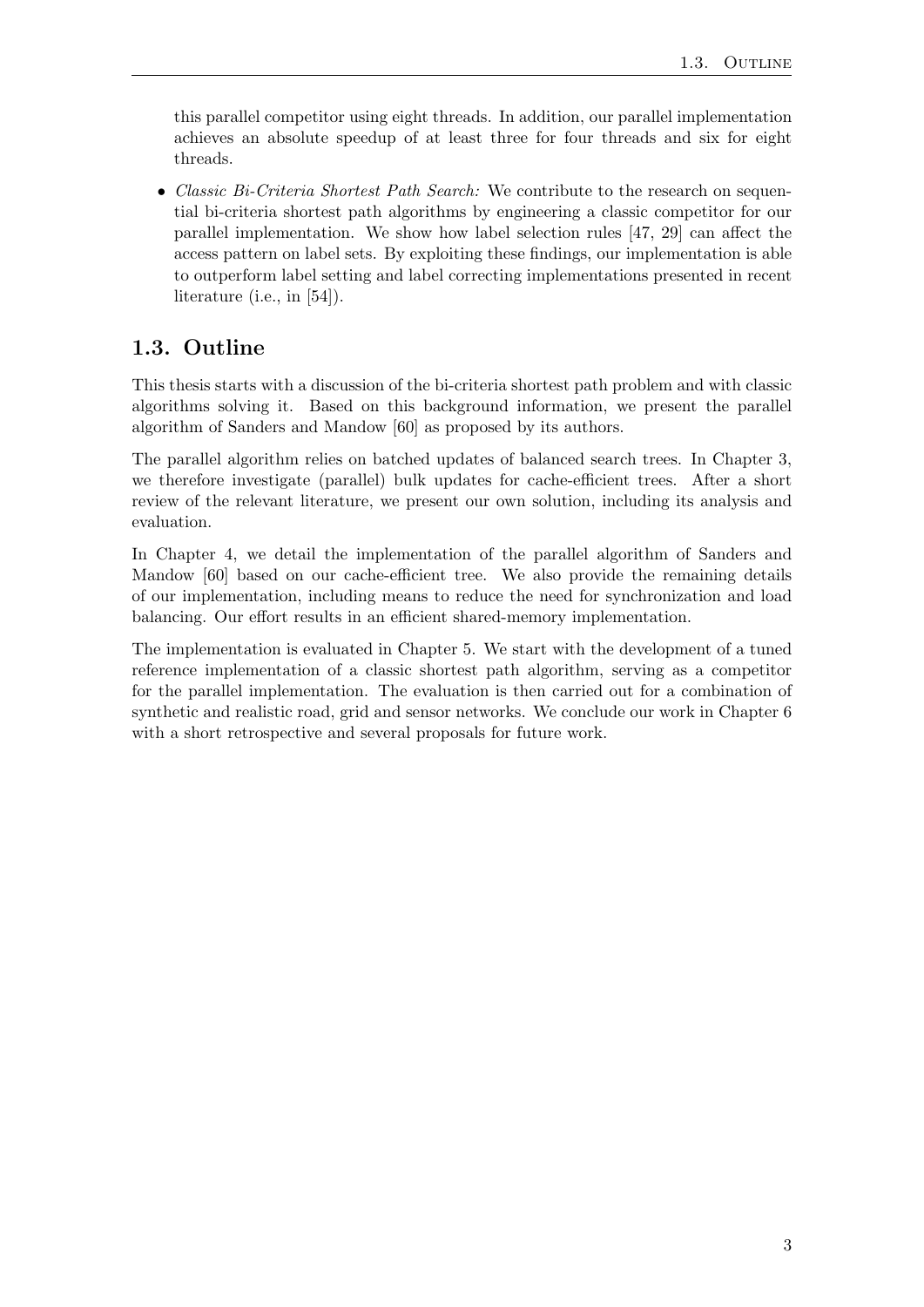this parallel competitor using eight threads. In addition, our parallel implementation achieves an absolute speedup of at least three for four threads and six for eight threads.

• Classic Bi-Criteria Shortest Path Search: We contribute to the research on sequential bi-criteria shortest path algorithms by engineering a classic competitor for our parallel implementation. We show how label selection rules [\[47,](#page-65-2) [29\]](#page-64-3) can affect the access pattern on label sets. By exploiting these findings, our implementation is able to outperform label setting and label correcting implementations presented in recent literature (i.e., in [\[54\]](#page-66-0)).

## <span id="page-10-0"></span>1.3. Outline

This thesis starts with a discussion of the bi-criteria shortest path problem and with classic algorithms solving it. Based on this background information, we present the parallel algorithm of Sanders and Mandow [\[60\]](#page-66-1) as proposed by its authors.

The parallel algorithm relies on batched updates of balanced search trees. In Chapter [3,](#page-20-0) we therefore investigate (parallel) bulk updates for cache-efficient trees. After a short review of the relevant literature, we present our own solution, including its analysis and evaluation.

In Chapter [4,](#page-34-0) we detail the implementation of the parallel algorithm of Sanders and Mandow [\[60\]](#page-66-1) based on our cache-efficient tree. We also provide the remaining details of our implementation, including means to reduce the need for synchronization and load balancing. Our effort results in an efficient shared-memory implementation.

The implementation is evaluated in Chapter [5.](#page-42-0) We start with the development of a tuned reference implementation of a classic shortest path algorithm, serving as a competitor for the parallel implementation. The evaluation is then carried out for a combination of synthetic and realistic road, grid and sensor networks. We conclude our work in Chapter [6](#page-54-0) with a short retrospective and several proposals for future work.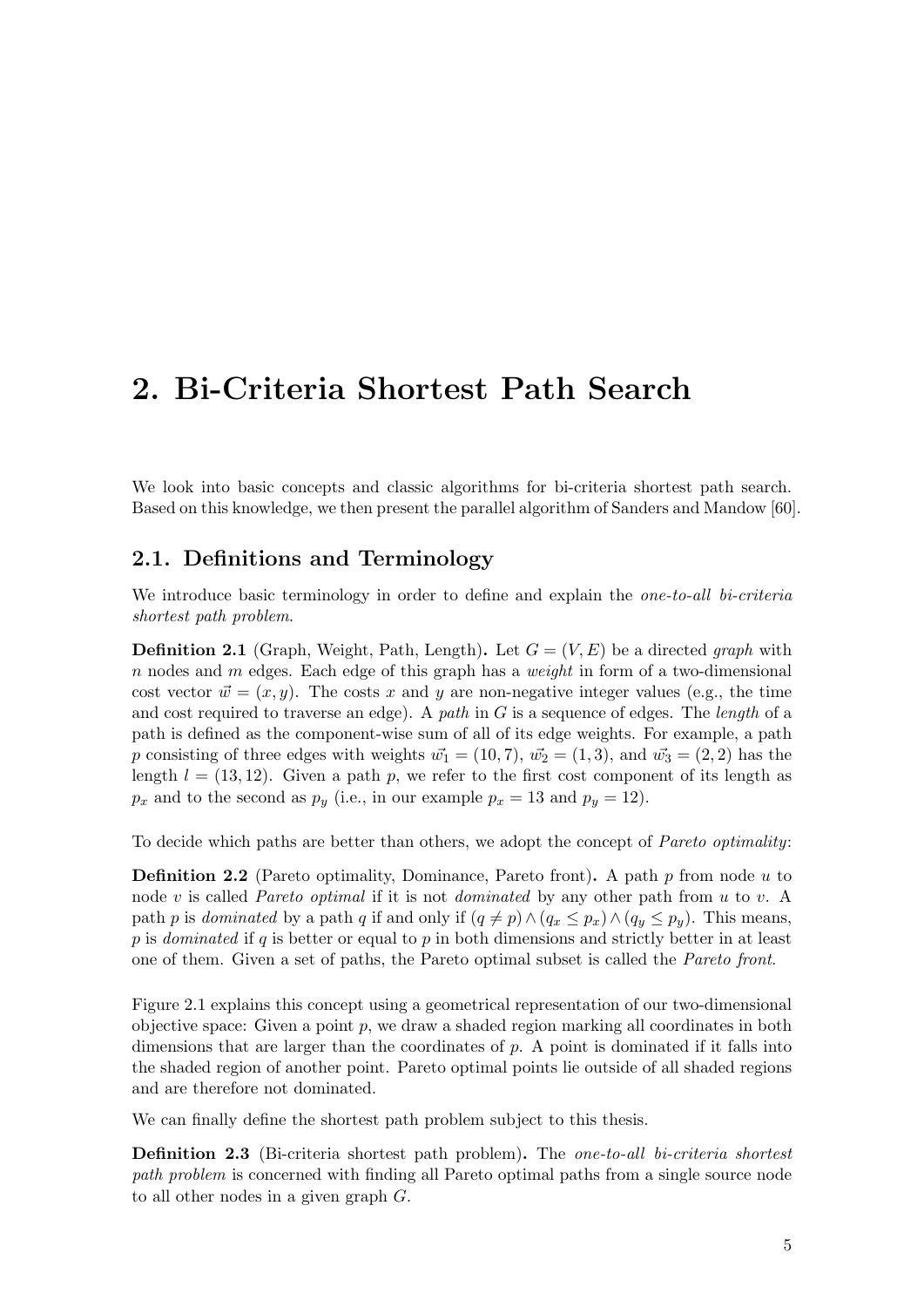## <span id="page-12-0"></span>2. Bi-Criteria Shortest Path Search

We look into basic concepts and classic algorithms for bi-criteria shortest path search. Based on this knowledge, we then present the parallel algorithm of Sanders and Mandow [\[60\]](#page-66-1).

### <span id="page-12-1"></span>2.1. Definitions and Terminology

We introduce basic terminology in order to define and explain the *one-to-all bi-criteria* shortest path problem.

**Definition 2.1** (Graph, Weight, Path, Length). Let  $G = (V, E)$  be a directed graph with n nodes and m edges. Each edge of this graph has a *weight* in form of a two-dimensional cost vector  $\vec{w} = (x, y)$ . The costs x and y are non-negative integer values (e.g., the time and cost required to traverse an edge). A path in  $G$  is a sequence of edges. The length of a path is defined as the component-wise sum of all of its edge weights. For example, a path p consisting of three edges with weights  $\vec{w_1} = (10, 7), \vec{w_2} = (1, 3),$  and  $\vec{w_3} = (2, 2)$  has the length  $l = (13, 12)$ . Given a path p, we refer to the first cost component of its length as  $p_x$  and to the second as  $p_y$  (i.e., in our example  $p_x = 13$  and  $p_y = 12$ ).

To decide which paths are better than others, we adopt the concept of *Pareto optimality*:

<span id="page-12-2"></span>**Definition 2.2** (Pareto optimality, Dominance, Pareto front). A path  $p$  from node  $u$  to node v is called *Pareto optimal* if it is not *dominated* by any other path from u to v. A path p is dominated by a path q if and only if  $(q \neq p) \wedge (q_x \leq p_x) \wedge (q_y \leq p_y)$ . This means, p is dominated if q is better or equal to p in both dimensions and strictly better in at least one of them. Given a set of paths, the Pareto optimal subset is called the Pareto front.

Figure [2.1](#page-13-0) explains this concept using a geometrical representation of our two-dimensional objective space: Given a point  $p$ , we draw a shaded region marking all coordinates in both dimensions that are larger than the coordinates of p. A point is dominated if it falls into the shaded region of another point. Pareto optimal points lie outside of all shaded regions and are therefore not dominated.

We can finally define the shortest path problem subject to this thesis.

Definition 2.3 (Bi-criteria shortest path problem). The one-to-all bi-criteria shortest path problem is concerned with finding all Pareto optimal paths from a single source node to all other nodes in a given graph G.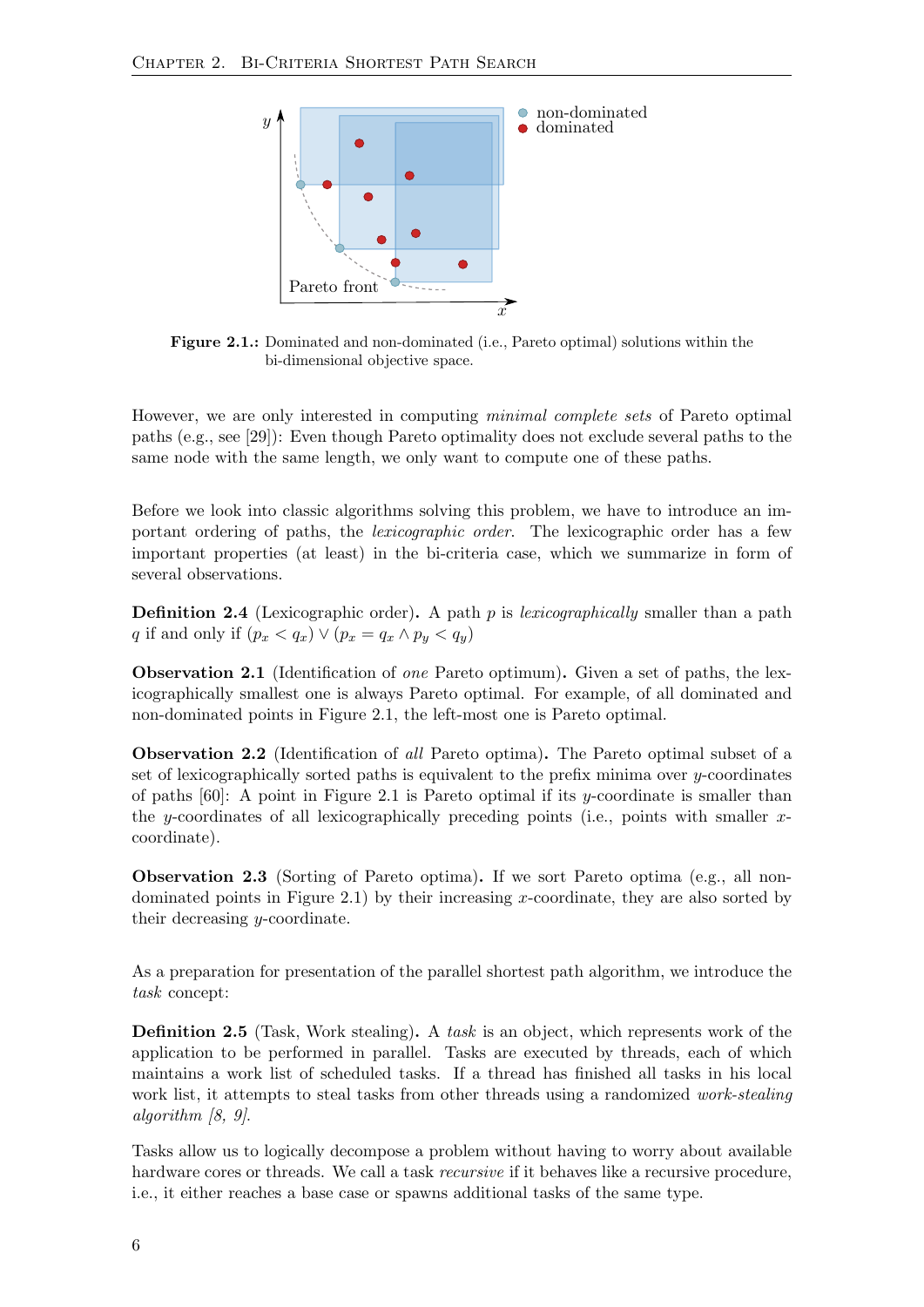<span id="page-13-0"></span>

Figure 2.1.: Dominated and non-dominated (i.e., Pareto optimal) solutions within the bi-dimensional objective space.

However, we are only interested in computing minimal complete sets of Pareto optimal paths (e.g., see [\[29\]](#page-64-3)): Even though Pareto optimality does not exclude several paths to the same node with the same length, we only want to compute one of these paths.

Before we look into classic algorithms solving this problem, we have to introduce an important ordering of paths, the lexicographic order. The lexicographic order has a few important properties (at least) in the bi-criteria case, which we summarize in form of several observations.

<span id="page-13-1"></span>**Definition 2.4** (Lexicographic order). A path p is *lexicographically* smaller than a path q if and only if  $(p_x < q_x) \vee (p_x = q_x \wedge p_y < q_y)$ 

<span id="page-13-2"></span>Observation 2.1 (Identification of one Pareto optimum). Given a set of paths, the lexicographically smallest one is always Pareto optimal. For example, of all dominated and non-dominated points in Figure [2.1,](#page-13-0) the left-most one is Pareto optimal.

<span id="page-13-3"></span>Observation 2.2 (Identification of all Pareto optima). The Pareto optimal subset of a set of lexicographically sorted paths is equivalent to the prefix minima over y-coordinates of paths  $[60]$ : A point in Figure [2.1](#page-13-0) is Pareto optimal if its y-coordinate is smaller than the y-coordinates of all lexicographically preceding points (i.e., points with smaller  $x$ coordinate).

<span id="page-13-5"></span>Observation 2.3 (Sorting of Pareto optima). If we sort Pareto optima (e.g., all non-dominated points in Figure [2.1\)](#page-13-0) by their increasing x-coordinate, they are also sorted by their decreasing y-coordinate.

As a preparation for presentation of the parallel shortest path algorithm, we introduce the task concept:

<span id="page-13-4"></span>**Definition 2.5** (Task, Work stealing). A task is an object, which represents work of the application to be performed in parallel. Tasks are executed by threads, each of which maintains a work list of scheduled tasks. If a thread has finished all tasks in his local work list, it attempts to steal tasks from other threads using a randomized *work-stealing* algorithm [\[8,](#page-62-2) [9\]](#page-62-3).

Tasks allow us to logically decompose a problem without having to worry about available hardware cores or threads. We call a task *recursive* if it behaves like a recursive procedure, i.e., it either reaches a base case or spawns additional tasks of the same type.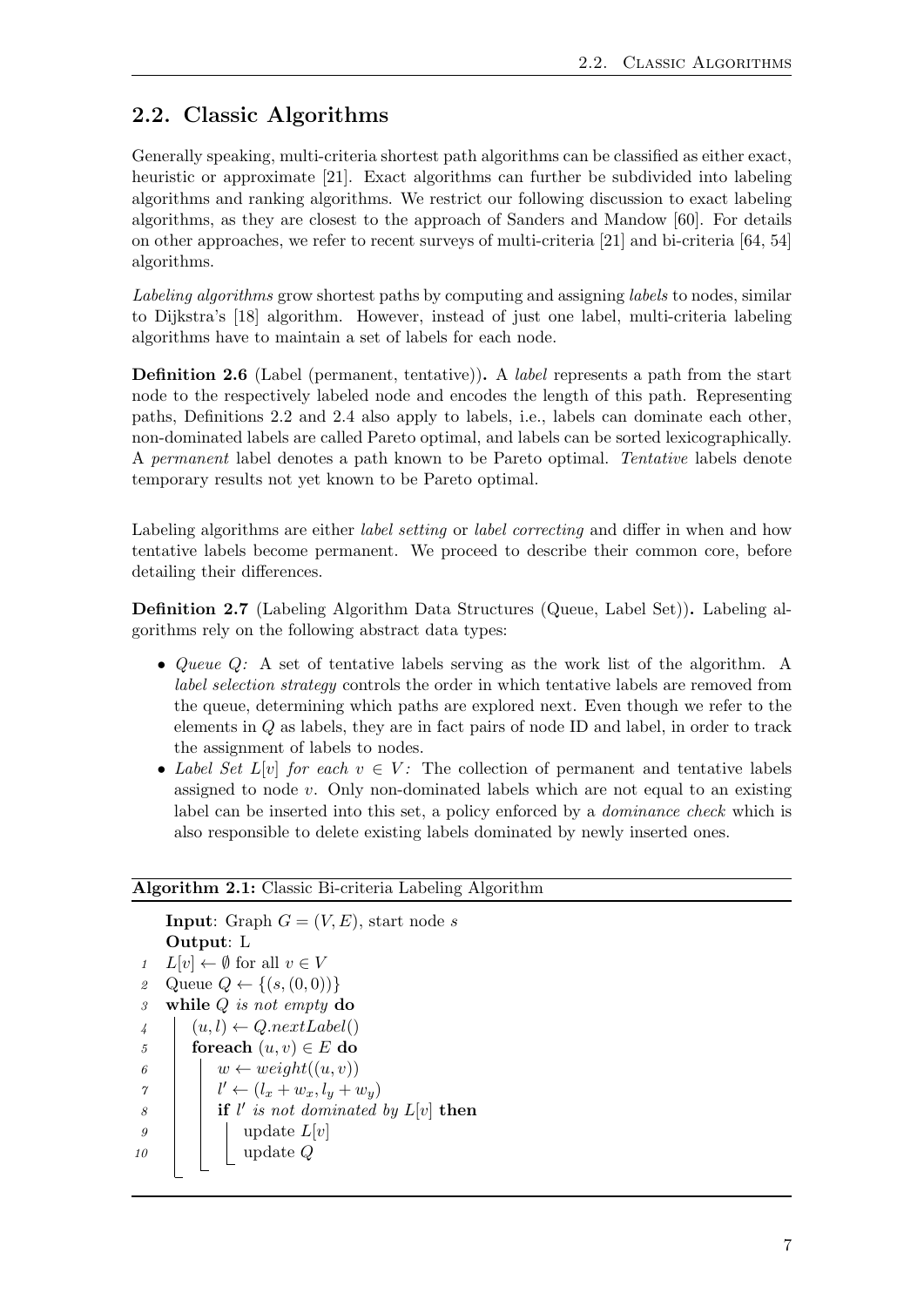## <span id="page-14-0"></span>2.2. Classic Algorithms

Generally speaking, multi-criteria shortest path algorithms can be classified as either exact, heuristic or approximate [\[21\]](#page-63-5). Exact algorithms can further be subdivided into labeling algorithms and ranking algorithms. We restrict our following discussion to exact labeling algorithms, as they are closest to the approach of Sanders and Mandow [\[60\]](#page-66-1). For details on other approaches, we refer to recent surveys of multi-criteria [\[21\]](#page-63-5) and bi-criteria [\[64,](#page-67-0) [54\]](#page-66-0) algorithms.

Labeling algorithms grow shortest paths by computing and assigning labels to nodes, similar to Dijkstra's [\[18\]](#page-63-0) algorithm. However, instead of just one label, multi-criteria labeling algorithms have to maintain a set of labels for each node.

Definition 2.6 (Label (permanent, tentative)). A label represents a path from the start node to the respectively labeled node and encodes the length of this path. Representing paths, Definitions [2.2](#page-12-2) and [2.4](#page-13-1) also apply to labels, i.e., labels can dominate each other, non-dominated labels are called Pareto optimal, and labels can be sorted lexicographically. A permanent label denotes a path known to be Pareto optimal. Tentative labels denote temporary results not yet known to be Pareto optimal.

Labeling algorithms are either *label setting* or *label correcting* and differ in when and how tentative labels become permanent. We proceed to describe their common core, before detailing their differences.

Definition 2.7 (Labeling Algorithm Data Structures (Queue, Label Set)). Labeling algorithms rely on the following abstract data types:

- Queue Q: A set of tentative labels serving as the work list of the algorithm. A label selection strategy controls the order in which tentative labels are removed from the queue, determining which paths are explored next. Even though we refer to the elements in Q as labels, they are in fact pairs of node ID and label, in order to track the assignment of labels to nodes.
- Label Set  $L[v]$  for each  $v \in V$ : The collection of permanent and tentative labels assigned to node  $v$ . Only non-dominated labels which are not equal to an existing label can be inserted into this set, a policy enforced by a dominance check which is also responsible to delete existing labels dominated by newly inserted ones.

#### Algorithm 2.1: Classic Bi-criteria Labeling Algorithm

```
Input: Graph G = (V, E), start node s
    Output: L
 1 L[v] \leftarrow \emptyset for all v \in V2 Queue Q \leftarrow \{(s, (0, 0))\}3 while Q is not empty do
4 (u, l) \leftarrow Q.nextLabel()5 for each (u, v) \in E do
6 | w \leftarrow weight((u, v))\gamma | l' \leftarrow (l_x + w_x, l_y + w_y)\begin{array}{c|c} \hline s & \end{array} if l' is not dominated by L[v] then
9 \mid \cdot \cdot \cdot \cdot \cdot L[v]10 | | update Q
```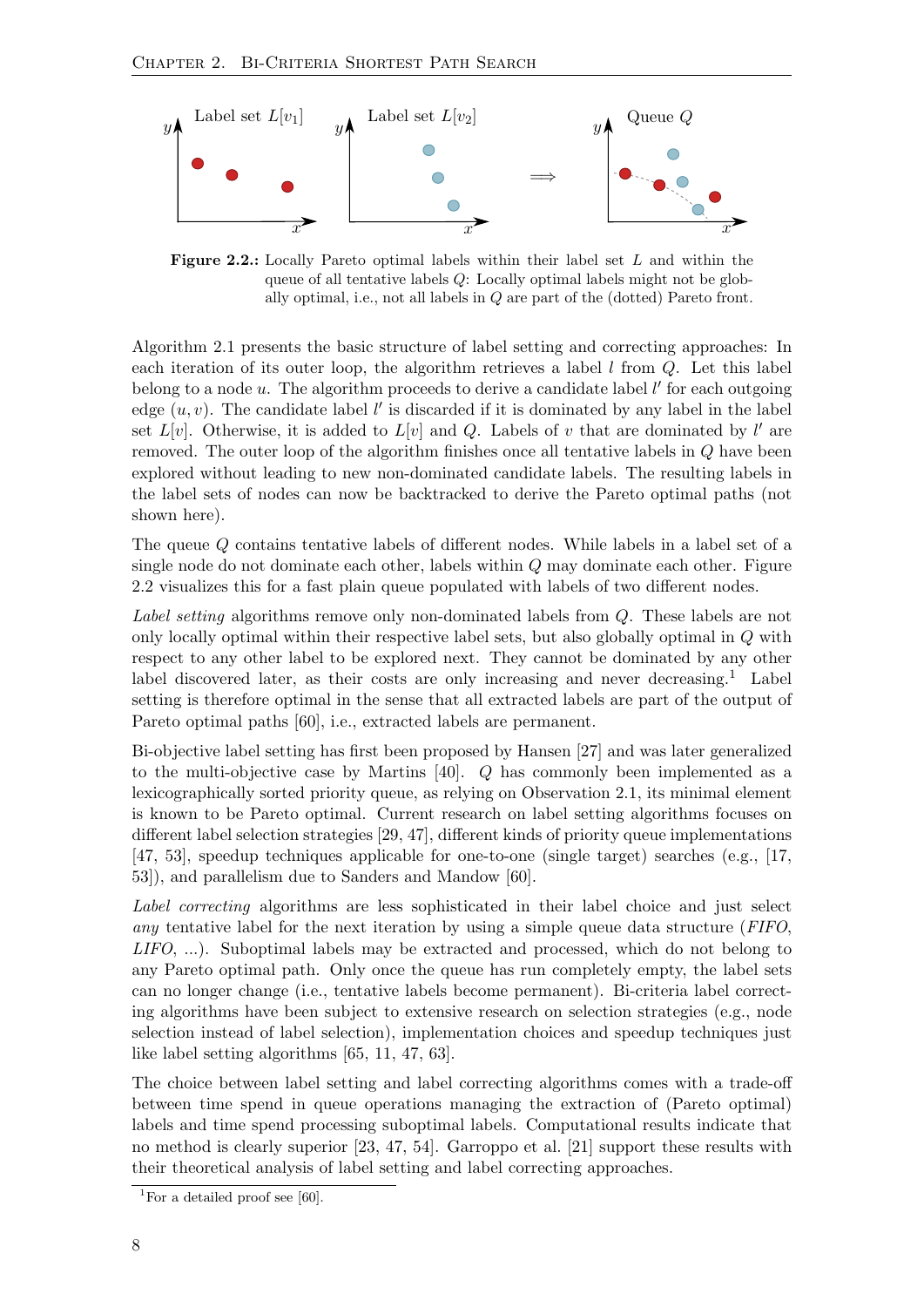<span id="page-15-0"></span>

Figure 2.2.: Locally Pareto optimal labels within their label set L and within the queue of all tentative labels Q: Locally optimal labels might not be globally optimal, i.e., not all labels in Q are part of the (dotted) Pareto front.

Algorithm [2.1](#page-14-1) presents the basic structure of label setting and correcting approaches: In each iteration of its outer loop, the algorithm retrieves a label  $l$  from  $Q$ . Let this label belong to a node  $u$ . The algorithm proceeds to derive a candidate label  $l'$  for each outgoing edge  $(u, v)$ . The candidate label  $l'$  is discarded if it is dominated by any label in the label set  $L[v]$ . Otherwise, it is added to  $L[v]$  and Q. Labels of v that are dominated by l' are removed. The outer loop of the algorithm finishes once all tentative labels in Q have been explored without leading to new non-dominated candidate labels. The resulting labels in the label sets of nodes can now be backtracked to derive the Pareto optimal paths (not shown here).

The queue Q contains tentative labels of different nodes. While labels in a label set of a single node do not dominate each other, labels within  $Q$  may dominate each other. Figure [2.2](#page-15-0) visualizes this for a fast plain queue populated with labels of two different nodes.

Label setting algorithms remove only non-dominated labels from Q. These labels are not only locally optimal within their respective label sets, but also globally optimal in Q with respect to any other label to be explored next. They cannot be dominated by any other label discovered later, as their costs are only increasing and never decreasing.<sup>[1](#page-15-1)</sup> Label setting is therefore optimal in the sense that all extracted labels are part of the output of Pareto optimal paths [\[60\]](#page-66-1), i.e., extracted labels are permanent.

Bi-objective label setting has first been proposed by Hansen [\[27\]](#page-64-2) and was later generalized to the multi-objective case by Martins [\[40\]](#page-65-3). Q has commonly been implemented as a lexicographically sorted priority queue, as relying on Observation [2.1,](#page-13-2) its minimal element is known to be Pareto optimal. Current research on label setting algorithms focuses on different label selection strategies [\[29,](#page-64-3) [47\]](#page-65-2), different kinds of priority queue implementations [\[47,](#page-65-2) [53\]](#page-66-3), speedup techniques applicable for one-to-one (single target) searches (e.g., [\[17,](#page-63-6) [53\]](#page-66-3)), and parallelism due to Sanders and Mandow [\[60\]](#page-66-1).

Label correcting algorithms are less sophisticated in their label choice and just select any tentative label for the next iteration by using a simple queue data structure (FIFO, LIFO, ...). Suboptimal labels may be extracted and processed, which do not belong to any Pareto optimal path. Only once the queue has run completely empty, the label sets can no longer change (i.e., tentative labels become permanent). Bi-criteria label correcting algorithms have been subject to extensive research on selection strategies (e.g., node selection instead of label selection), implementation choices and speedup techniques just like label setting algorithms [\[65,](#page-67-1) [11,](#page-63-7) [47,](#page-65-2) [63\]](#page-67-2).

The choice between label setting and label correcting algorithms comes with a trade-off between time spend in queue operations managing the extraction of (Pareto optimal) labels and time spend processing suboptimal labels. Computational results indicate that no method is clearly superior [\[23,](#page-63-3) [47,](#page-65-2) [54\]](#page-66-0). Garroppo et al. [\[21\]](#page-63-5) support these results with their theoretical analysis of label setting and label correcting approaches.

<span id="page-15-1"></span><sup>&</sup>lt;sup>1</sup>For a detailed proof see [\[60\]](#page-66-1).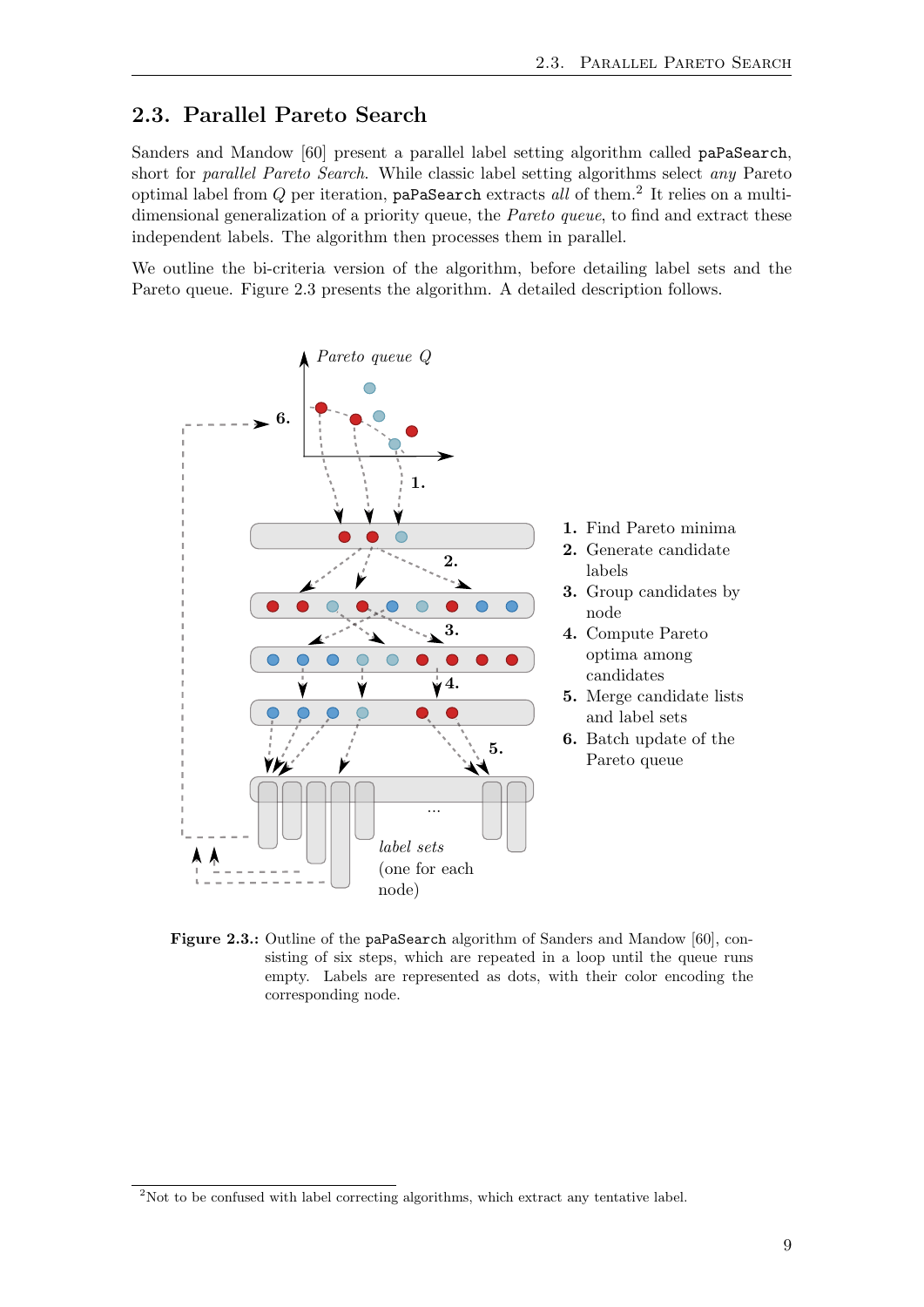## <span id="page-16-0"></span>2.3. Parallel Pareto Search

Sanders and Mandow [\[60\]](#page-66-1) present a parallel label setting algorithm called paPaSearch, short for parallel Pareto Search. While classic label setting algorithms select any Pareto optimal label from  $Q$  per iteration, paPaSearch extracts all of them.<sup>[2](#page-16-2)</sup> It relies on a multidimensional generalization of a priority queue, the *Pareto queue*, to find and extract these independent labels. The algorithm then processes them in parallel.

We outline the bi-criteria version of the algorithm, before detailing label sets and the Pareto queue. Figure [2.3](#page-16-1) presents the algorithm. A detailed description follows.

<span id="page-16-1"></span>

- 1. Find Pareto minima
- 2. Generate candidate labels
- 3. Group candidates by node
- 4. Compute Pareto optima among candidates
- 5. Merge candidate lists and label sets
- 6. Batch update of the Pareto queue

Figure 2.3.: Outline of the paPaSearch algorithm of Sanders and Mandow [\[60\]](#page-66-1), consisting of six steps, which are repeated in a loop until the queue runs empty. Labels are represented as dots, with their color encoding the corresponding node.

<span id="page-16-2"></span><sup>&</sup>lt;sup>2</sup>Not to be confused with label correcting algorithms, which extract any tentative label.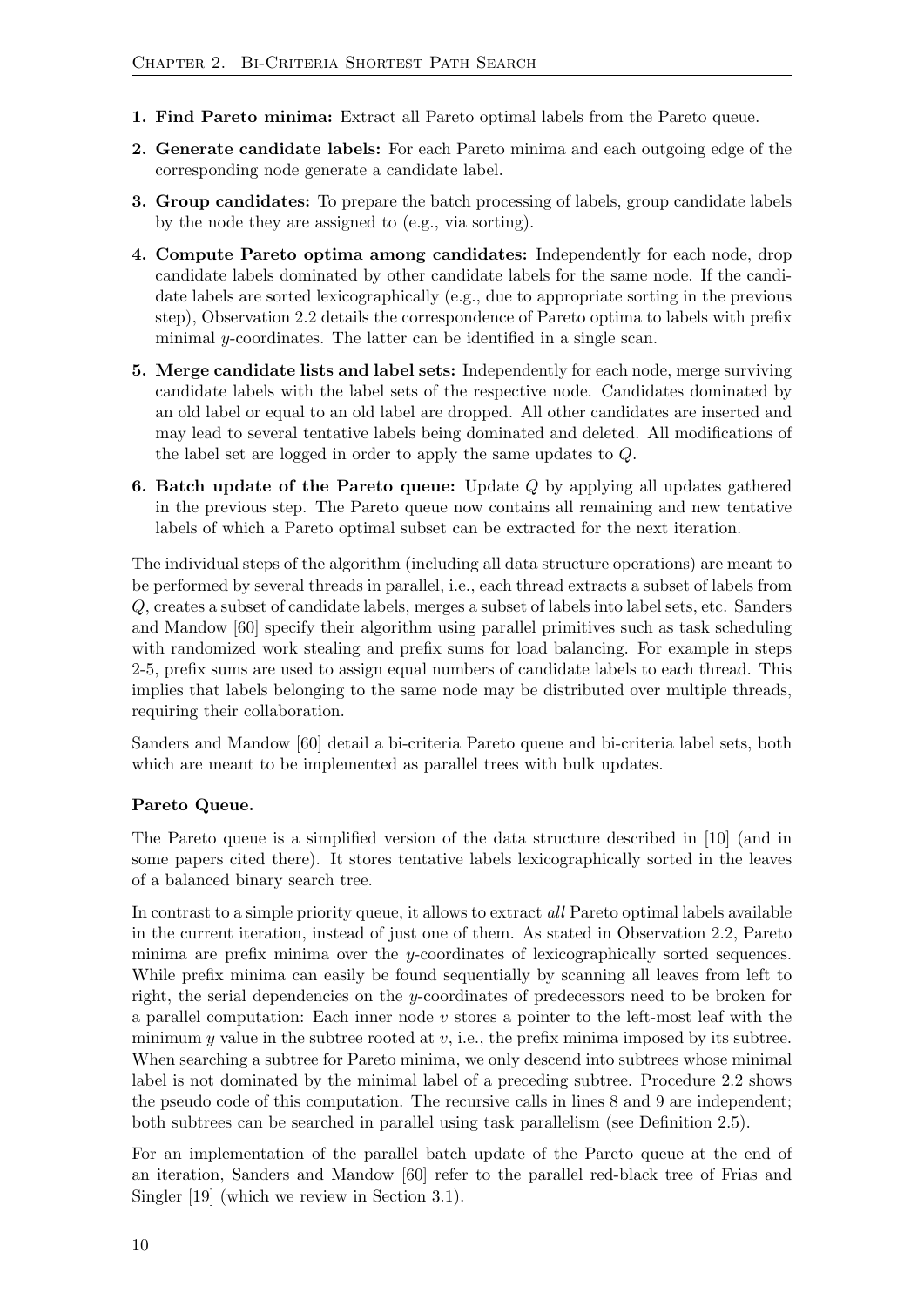- 1. Find Pareto minima: Extract all Pareto optimal labels from the Pareto queue.
- 2. Generate candidate labels: For each Pareto minima and each outgoing edge of the corresponding node generate a candidate label.
- 3. Group candidates: To prepare the batch processing of labels, group candidate labels by the node they are assigned to (e.g., via sorting).
- 4. Compute Pareto optima among candidates: Independently for each node, drop candidate labels dominated by other candidate labels for the same node. If the candidate labels are sorted lexicographically (e.g., due to appropriate sorting in the previous step), Observation [2.2](#page-13-3) details the correspondence of Pareto optima to labels with prefix minimal  $y$ -coordinates. The latter can be identified in a single scan.
- 5. Merge candidate lists and label sets: Independently for each node, merge surviving candidate labels with the label sets of the respective node. Candidates dominated by an old label or equal to an old label are dropped. All other candidates are inserted and may lead to several tentative labels being dominated and deleted. All modifications of the label set are logged in order to apply the same updates to Q.
- **6. Batch update of the Pareto queue:** Update  $Q$  by applying all updates gathered in the previous step. The Pareto queue now contains all remaining and new tentative labels of which a Pareto optimal subset can be extracted for the next iteration.

The individual steps of the algorithm (including all data structure operations) are meant to be performed by several threads in parallel, i.e., each thread extracts a subset of labels from Q, creates a subset of candidate labels, merges a subset of labels into label sets, etc. Sanders and Mandow [\[60\]](#page-66-1) specify their algorithm using parallel primitives such as task scheduling with randomized work stealing and prefix sums for load balancing. For example in steps 2-5, prefix sums are used to assign equal numbers of candidate labels to each thread. This implies that labels belonging to the same node may be distributed over multiple threads, requiring their collaboration.

Sanders and Mandow [\[60\]](#page-66-1) detail a bi-criteria Pareto queue and bi-criteria label sets, both which are meant to be implemented as parallel trees with bulk updates.

### <span id="page-17-0"></span>Pareto Queue.

The Pareto queue is a simplified version of the data structure described in [\[10\]](#page-62-4) (and in some papers cited there). It stores tentative labels lexicographically sorted in the leaves of a balanced binary search tree.

In contrast to a simple priority queue, it allows to extract all Pareto optimal labels available in the current iteration, instead of just one of them. As stated in Observation [2.2,](#page-13-3) Pareto minima are prefix minima over the y-coordinates of lexicographically sorted sequences. While prefix minima can easily be found sequentially by scanning all leaves from left to right, the serial dependencies on the y-coordinates of predecessors need to be broken for a parallel computation: Each inner node  $v$  stores a pointer to the left-most leaf with the minimum  $y$  value in the subtree rooted at  $v$ , i.e., the prefix minima imposed by its subtree. When searching a subtree for Pareto minima, we only descend into subtrees whose minimal label is not dominated by the minimal label of a preceding subtree. Procedure [2.2](#page-18-1) shows the pseudo code of this computation. The recursive calls in lines 8 and 9 are independent; both subtrees can be searched in parallel using task parallelism (see Definition [2.5\)](#page-13-4).

For an implementation of the parallel batch update of the Pareto queue at the end of an iteration, Sanders and Mandow [\[60\]](#page-66-1) refer to the parallel red-black tree of Frias and Singler [\[19\]](#page-63-4) (which we review in Section [3.1\)](#page-20-1).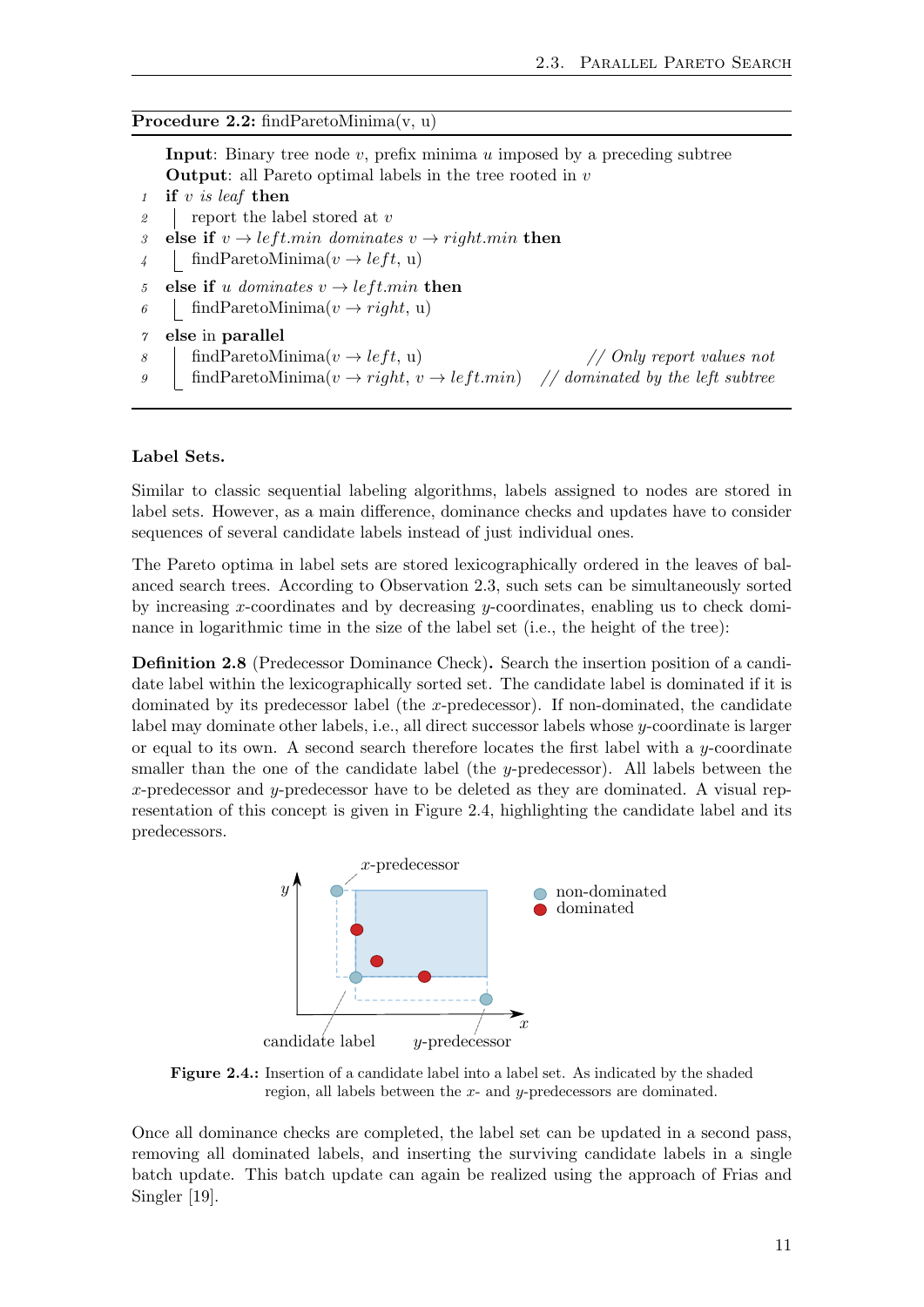#### Procedure 2.2: findParetoMinima(v, u)

<span id="page-18-1"></span>**Input:** Binary tree node  $v$ , prefix minima  $u$  imposed by a preceding subtree **Output:** all Pareto optimal labels in the tree rooted in  $v$ 

```
1 if v is leaf then
```
- 2 report the label stored at  $v$
- 3 else if  $v \rightarrow left.min$  dominates  $v \rightarrow right.min$  then
- 4 findParetoMinima $(v \rightarrow left, u)$
- 5 else if u dominates  $v \rightarrow left.min$  then
- 6 findParetoMinima $(v \rightarrow right, u)$

```
7 else in parallel
```
- 8  $\int$  findParetoMinima(v  $\rightarrow$  *left*, u) // *Only report values not*
- 9 findParetoMinima $(v \rightarrow right, v \rightarrow left.min)$  // dominated by the left subtree

#### Label Sets.

Similar to classic sequential labeling algorithms, labels assigned to nodes are stored in label sets. However, as a main difference, dominance checks and updates have to consider sequences of several candidate labels instead of just individual ones.

The Pareto optima in label sets are stored lexicographically ordered in the leaves of balanced search trees. According to Observation [2.3,](#page-13-5) such sets can be simultaneously sorted by increasing x-coordinates and by decreasing y-coordinates, enabling us to check dominance in logarithmic time in the size of the label set (i.e., the height of the tree):

<span id="page-18-2"></span>Definition 2.8 (Predecessor Dominance Check). Search the insertion position of a candidate label within the lexicographically sorted set. The candidate label is dominated if it is dominated by its predecessor label (the x-predecessor). If non-dominated, the candidate label may dominate other labels, i.e., all direct successor labels whose y-coordinate is larger or equal to its own. A second search therefore locates the first label with a  $y$ -coordinate smaller than the one of the candidate label (the y-predecessor). All labels between the x-predecessor and y-predecessor have to be deleted as they are dominated. A visual representation of this concept is given in Figure [2.4,](#page-18-0) highlighting the candidate label and its predecessors.

<span id="page-18-0"></span>

Figure 2.4.: Insertion of a candidate label into a label set. As indicated by the shaded region, all labels between the  $x$ - and  $y$ -predecessors are dominated.

Once all dominance checks are completed, the label set can be updated in a second pass, removing all dominated labels, and inserting the surviving candidate labels in a single batch update. This batch update can again be realized using the approach of Frias and Singler [\[19\]](#page-63-4).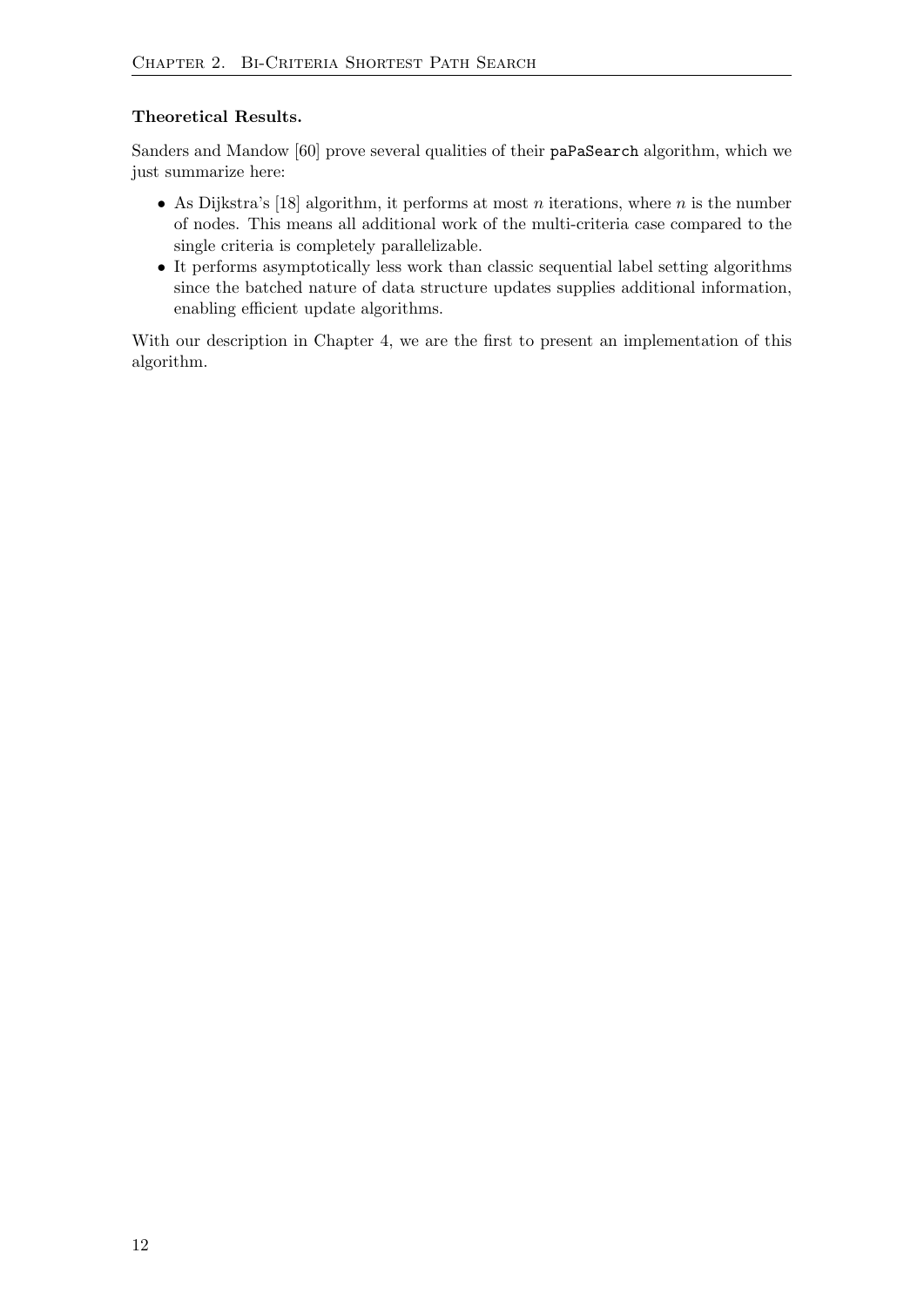#### Theoretical Results.

Sanders and Mandow [\[60\]](#page-66-1) prove several qualities of their paPaSearch algorithm, which we just summarize here:

- As Dijkstra's [\[18\]](#page-63-0) algorithm, it performs at most *n* iterations, where *n* is the number of nodes. This means all additional work of the multi-criteria case compared to the single criteria is completely parallelizable.
- It performs asymptotically less work than classic sequential label setting algorithms since the batched nature of data structure updates supplies additional information, enabling efficient update algorithms.

With our description in Chapter [4,](#page-34-0) we are the first to present an implementation of this algorithm.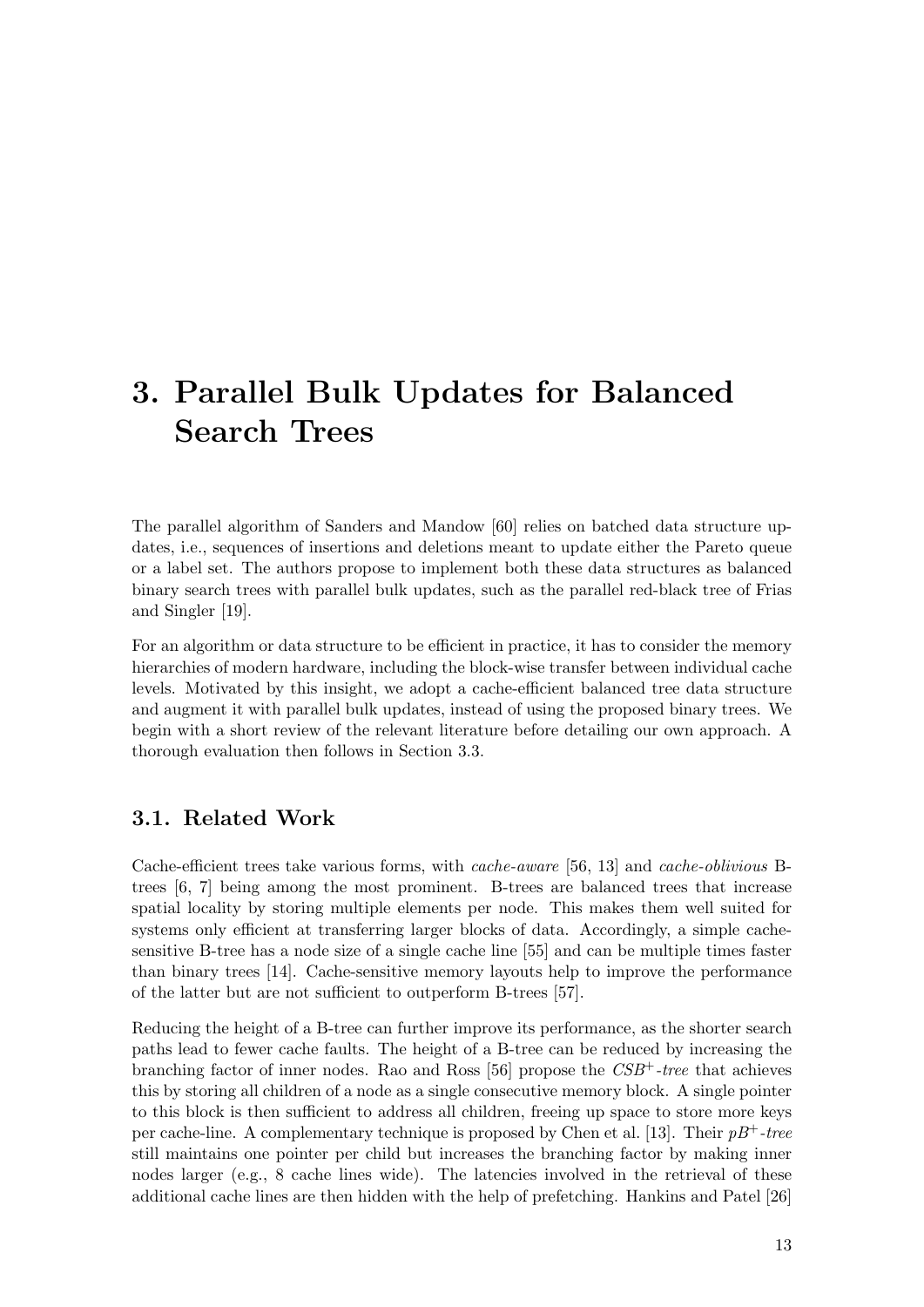# <span id="page-20-0"></span>3. Parallel Bulk Updates for Balanced Search Trees

The parallel algorithm of Sanders and Mandow [\[60\]](#page-66-1) relies on batched data structure updates, i.e., sequences of insertions and deletions meant to update either the Pareto queue or a label set. The authors propose to implement both these data structures as balanced binary search trees with parallel bulk updates, such as the parallel red-black tree of Frias and Singler [\[19\]](#page-63-4).

For an algorithm or data structure to be efficient in practice, it has to consider the memory hierarchies of modern hardware, including the block-wise transfer between individual cache levels. Motivated by this insight, we adopt a cache-efficient balanced tree data structure and augment it with parallel bulk updates, instead of using the proposed binary trees. We begin with a short review of the relevant literature before detailing our own approach. A thorough evaluation then follows in Section [3.3.](#page-26-1)

## <span id="page-20-1"></span>3.1. Related Work

Cache-efficient trees take various forms, with cache-aware [\[56,](#page-66-4) [13\]](#page-63-8) and cache-oblivious Btrees [\[6,](#page-62-5) [7\]](#page-62-6) being among the most prominent. B-trees are balanced trees that increase spatial locality by storing multiple elements per node. This makes them well suited for systems only efficient at transferring larger blocks of data. Accordingly, a simple cachesensitive B-tree has a node size of a single cache line [\[55\]](#page-66-5) and can be multiple times faster than binary trees [\[14\]](#page-63-9). Cache-sensitive memory layouts help to improve the performance of the latter but are not sufficient to outperform B-trees [\[57\]](#page-66-6).

Reducing the height of a B-tree can further improve its performance, as the shorter search paths lead to fewer cache faults. The height of a B-tree can be reduced by increasing the branching factor of inner nodes. Rao and Ross  $[56]$  propose the  $CSB<sup>+</sup>$ -tree that achieves this by storing all children of a node as a single consecutive memory block. A single pointer to this block is then sufficient to address all children, freeing up space to store more keys per cache-line. A complementary technique is proposed by Chen et al. [\[13\]](#page-63-8). Their  $pB^+$ -tree still maintains one pointer per child but increases the branching factor by making inner nodes larger (e.g., 8 cache lines wide). The latencies involved in the retrieval of these additional cache lines are then hidden with the help of prefetching. Hankins and Patel [\[26\]](#page-64-4)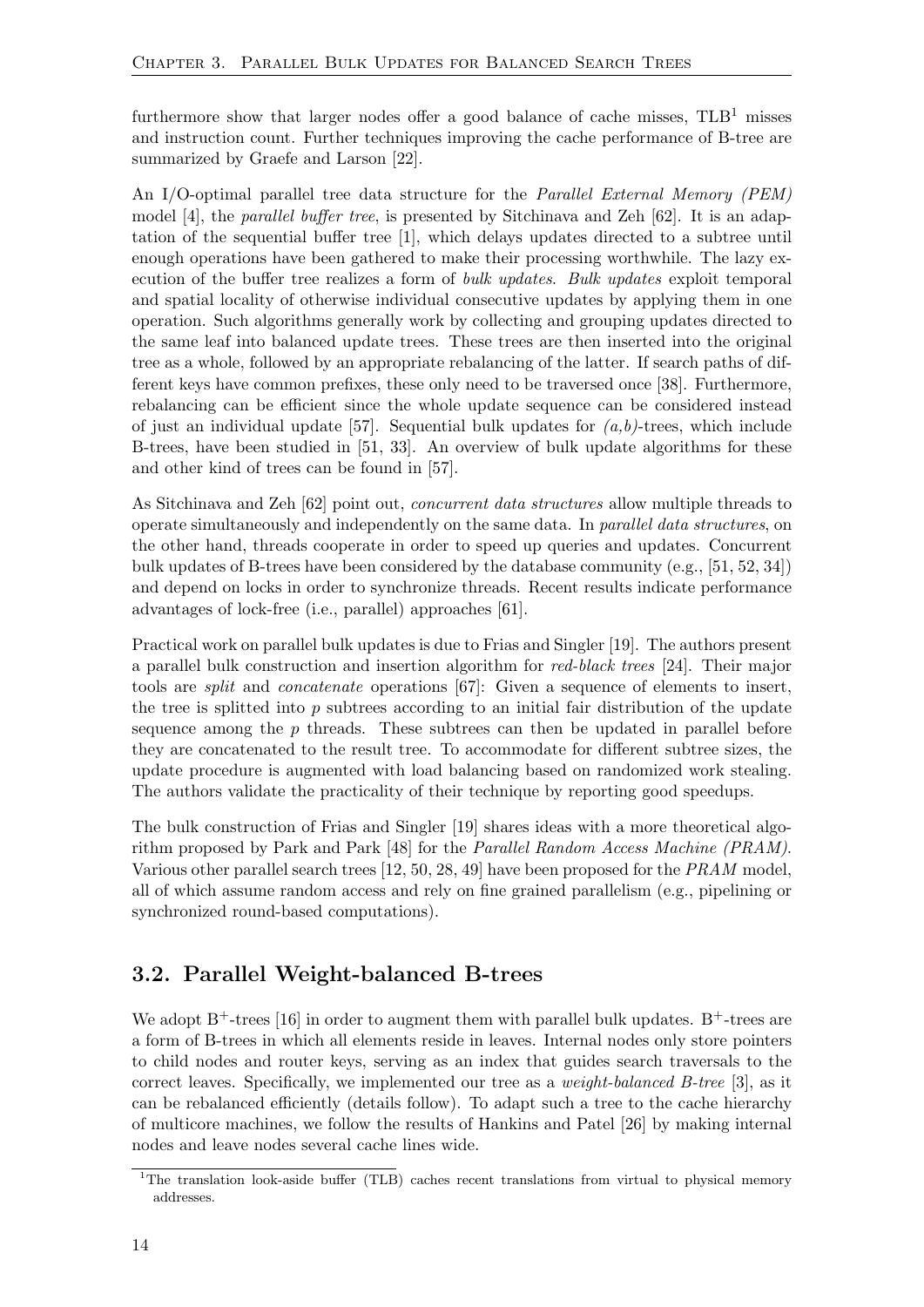furthermore show that larger nodes offer a good balance of cache misses,  $TLB<sup>1</sup>$  $TLB<sup>1</sup>$  $TLB<sup>1</sup>$  misses and instruction count. Further techniques improving the cache performance of B-tree are summarized by Graefe and Larson [\[22\]](#page-63-10).

An I/O-optimal parallel tree data structure for the *Parallel External Memory (PEM)* model [\[4\]](#page-62-7), the parallel buffer tree, is presented by Sitchinava and Zeh [\[62\]](#page-67-3). It is an adaptation of the sequential buffer tree [\[1\]](#page-62-8), which delays updates directed to a subtree until enough operations have been gathered to make their processing worthwhile. The lazy execution of the buffer tree realizes a form of bulk updates. Bulk updates exploit temporal and spatial locality of otherwise individual consecutive updates by applying them in one operation. Such algorithms generally work by collecting and grouping updates directed to the same leaf into balanced update trees. These trees are then inserted into the original tree as a whole, followed by an appropriate rebalancing of the latter. If search paths of different keys have common prefixes, these only need to be traversed once [\[38\]](#page-65-4). Furthermore, rebalancing can be efficient since the whole update sequence can be considered instead of just an individual update [\[57\]](#page-66-6). Sequential bulk updates for  $(a,b)$ -trees, which include B-trees, have been studied in [\[51,](#page-66-7) [33\]](#page-64-5). An overview of bulk update algorithms for these and other kind of trees can be found in [\[57\]](#page-66-6).

As Sitchinava and Zeh [\[62\]](#page-67-3) point out, concurrent data structures allow multiple threads to operate simultaneously and independently on the same data. In parallel data structures, on the other hand, threads cooperate in order to speed up queries and updates. Concurrent bulk updates of B-trees have been considered by the database community (e.g., [\[51,](#page-66-7) [52,](#page-66-8) [34\]](#page-64-6)) and depend on locks in order to synchronize threads. Recent results indicate performance advantages of lock-free (i.e., parallel) approaches [\[61\]](#page-66-9).

Practical work on parallel bulk updates is due to Frias and Singler [\[19\]](#page-63-4). The authors present a parallel bulk construction and insertion algorithm for red-black trees [\[24\]](#page-64-7). Their major tools are split and concatenate operations [\[67\]](#page-67-4): Given a sequence of elements to insert, the tree is splitted into  $p$  subtrees according to an initial fair distribution of the update sequence among the  $p$  threads. These subtrees can then be updated in parallel before they are concatenated to the result tree. To accommodate for different subtree sizes, the update procedure is augmented with load balancing based on randomized work stealing. The authors validate the practicality of their technique by reporting good speedups.

The bulk construction of Frias and Singler [\[19\]](#page-63-4) shares ideas with a more theoretical algorithm proposed by Park and Park [\[48\]](#page-65-5) for the Parallel Random Access Machine (PRAM). Various other parallel search trees [\[12,](#page-63-11) [50,](#page-66-10) [28,](#page-64-8) [49\]](#page-65-6) have been proposed for the PRAM model, all of which assume random access and rely on fine grained parallelism (e.g., pipelining or synchronized round-based computations).

## <span id="page-21-0"></span>3.2. Parallel Weight-balanced B-trees

We adopt  $B^+$ -trees [\[16\]](#page-63-12) in order to augment them with parallel bulk updates.  $B^+$ -trees are a form of B-trees in which all elements reside in leaves. Internal nodes only store pointers to child nodes and router keys, serving as an index that guides search traversals to the correct leaves. Specifically, we implemented our tree as a weight-balanced B-tree [\[3\]](#page-62-0), as it can be rebalanced efficiently (details follow). To adapt such a tree to the cache hierarchy of multicore machines, we follow the results of Hankins and Patel [\[26\]](#page-64-4) by making internal nodes and leave nodes several cache lines wide.

<span id="page-21-1"></span><sup>&</sup>lt;sup>1</sup>The translation look-aside buffer (TLB) caches recent translations from virtual to physical memory addresses.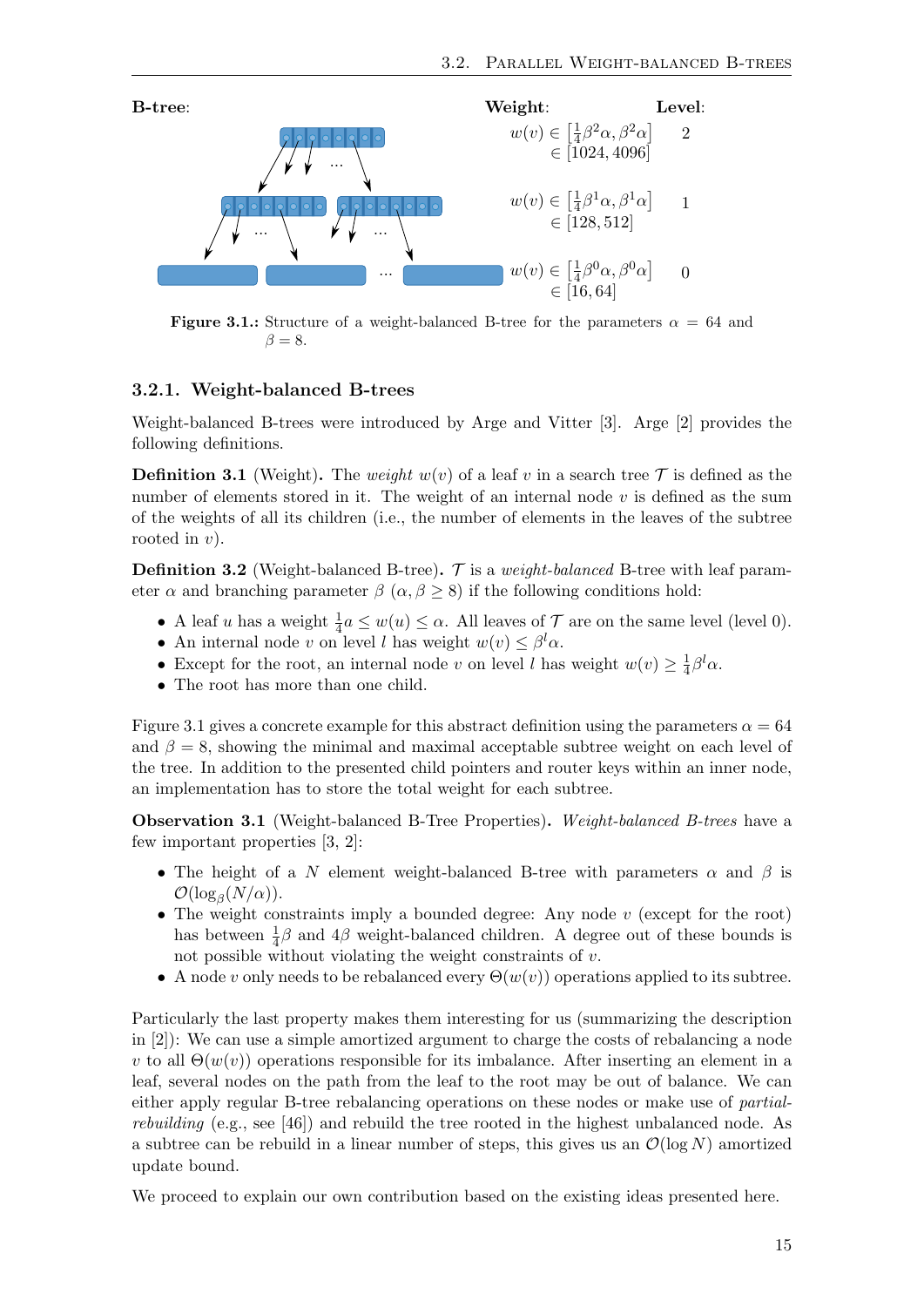<span id="page-22-1"></span>

**Figure 3.1.:** Structure of a weight-balanced B-tree for the parameters  $\alpha = 64$  and  $\beta = 8.$ 

#### <span id="page-22-0"></span>3.2.1. Weight-balanced B-trees

Weight-balanced B-trees were introduced by Arge and Vitter [\[3\]](#page-62-0). Arge [\[2\]](#page-62-9) provides the following definitions.

**Definition 3.1** (Weight). The weight  $w(v)$  of a leaf v in a search tree  $\mathcal{T}$  is defined as the number of elements stored in it. The weight of an internal node  $v$  is defined as the sum of the weights of all its children (i.e., the number of elements in the leaves of the subtree rooted in  $v$ ).

<span id="page-22-2"></span>**Definition 3.2** (Weight-balanced B-tree).  $\mathcal{T}$  is a *weight-balanced* B-tree with leaf parameter  $\alpha$  and branching parameter  $\beta$  ( $\alpha, \beta \ge 8$ ) if the following conditions hold:

- A leaf u has a weight  $\frac{1}{4}a \leq w(u) \leq \alpha$ . All leaves of  $\mathcal T$  are on the same level (level 0).
- An internal node v on level l has weight  $w(v) \leq \beta^l \alpha$ .
- Except for the root, an internal node v on level l has weight  $w(v) \geq \frac{1}{4}$  $\frac{1}{4}\beta^l\alpha.$
- The root has more than one child.

Figure [3.1](#page-22-1) gives a concrete example for this abstract definition using the parameters  $\alpha = 64$ and  $\beta = 8$ , showing the minimal and maximal acceptable subtree weight on each level of the tree. In addition to the presented child pointers and router keys within an inner node, an implementation has to store the total weight for each subtree.

<span id="page-22-3"></span>Observation 3.1 (Weight-balanced B-Tree Properties). Weight-balanced B-trees have a few important properties [\[3,](#page-62-0) [2\]](#page-62-9):

- The height of a N element weight-balanced B-tree with parameters  $\alpha$  and  $\beta$  is  $\mathcal{O}(\log_\beta(N/\alpha)).$
- The weight constraints imply a bounded degree: Any node  $v$  (except for the root) has between  $\frac{1}{4}\beta$  and  $4\beta$  weight-balanced children. A degree out of these bounds is not possible without violating the weight constraints of  $v$ .
- A node v only needs to be rebalanced every  $\Theta(w(v))$  operations applied to its subtree.

Particularly the last property makes them interesting for us (summarizing the description in [\[2\]](#page-62-9)): We can use a simple amortized argument to charge the costs of rebalancing a node v to all  $\Theta(w(v))$  operations responsible for its imbalance. After inserting an element in a leaf, several nodes on the path from the leaf to the root may be out of balance. We can either apply regular B-tree rebalancing operations on these nodes or make use of partialrebuilding (e.g., see [\[46\]](#page-65-7)) and rebuild the tree rooted in the highest unbalanced node. As a subtree can be rebuild in a linear number of steps, this gives us an  $\mathcal{O}(\log N)$  amortized update bound.

We proceed to explain our own contribution based on the existing ideas presented here.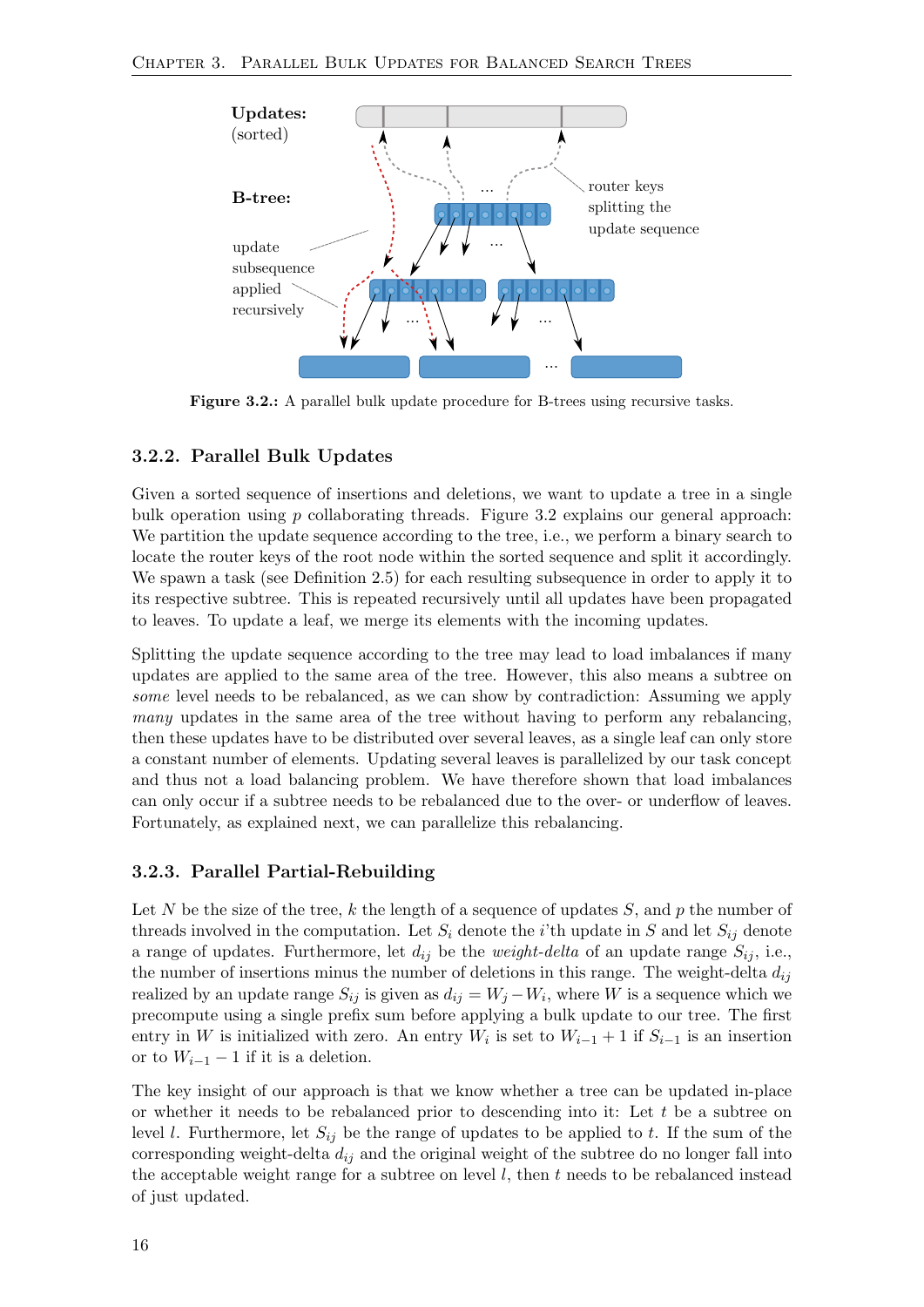<span id="page-23-2"></span>

Figure 3.2.: A parallel bulk update procedure for B-trees using recursive tasks.

#### <span id="page-23-0"></span>3.2.2. Parallel Bulk Updates

Given a sorted sequence of insertions and deletions, we want to update a tree in a single bulk operation using  $p$  collaborating threads. Figure [3.2](#page-23-2) explains our general approach: We partition the update sequence according to the tree, i.e., we perform a binary search to locate the router keys of the root node within the sorted sequence and split it accordingly. We spawn a task (see Definition [2.5\)](#page-13-4) for each resulting subsequence in order to apply it to its respective subtree. This is repeated recursively until all updates have been propagated to leaves. To update a leaf, we merge its elements with the incoming updates.

Splitting the update sequence according to the tree may lead to load imbalances if many updates are applied to the same area of the tree. However, this also means a subtree on some level needs to be rebalanced, as we can show by contradiction: Assuming we apply many updates in the same area of the tree without having to perform any rebalancing, then these updates have to be distributed over several leaves, as a single leaf can only store a constant number of elements. Updating several leaves is parallelized by our task concept and thus not a load balancing problem. We have therefore shown that load imbalances can only occur if a subtree needs to be rebalanced due to the over- or underflow of leaves. Fortunately, as explained next, we can parallelize this rebalancing.

#### <span id="page-23-1"></span>3.2.3. Parallel Partial-Rebuilding

Let N be the size of the tree, k the length of a sequence of updates S, and p the number of threads involved in the computation. Let  $S_i$  denote the *i*'th update in S and let  $S_{ij}$  denote a range of updates. Furthermore, let  $d_{ij}$  be the *weight-delta* of an update range  $S_{ij}$ , i.e., the number of insertions minus the number of deletions in this range. The weight-delta  $d_{ij}$ realized by an update range  $S_{ij}$  is given as  $d_{ij} = W_j - W_i$ , where W is a sequence which we precompute using a single prefix sum before applying a bulk update to our tree. The first entry in W is initialized with zero. An entry  $W_i$  is set to  $W_{i-1} + 1$  if  $S_{i-1}$  is an insertion or to  $W_{i-1} - 1$  if it is a deletion.

The key insight of our approach is that we know whether a tree can be updated in-place or whether it needs to be rebalanced prior to descending into it: Let  $t$  be a subtree on level l. Furthermore, let  $S_{ij}$  be the range of updates to be applied to t. If the sum of the corresponding weight-delta  $d_{ij}$  and the original weight of the subtree do no longer fall into the acceptable weight range for a subtree on level  $l$ , then  $t$  needs to be rebalanced instead of just updated.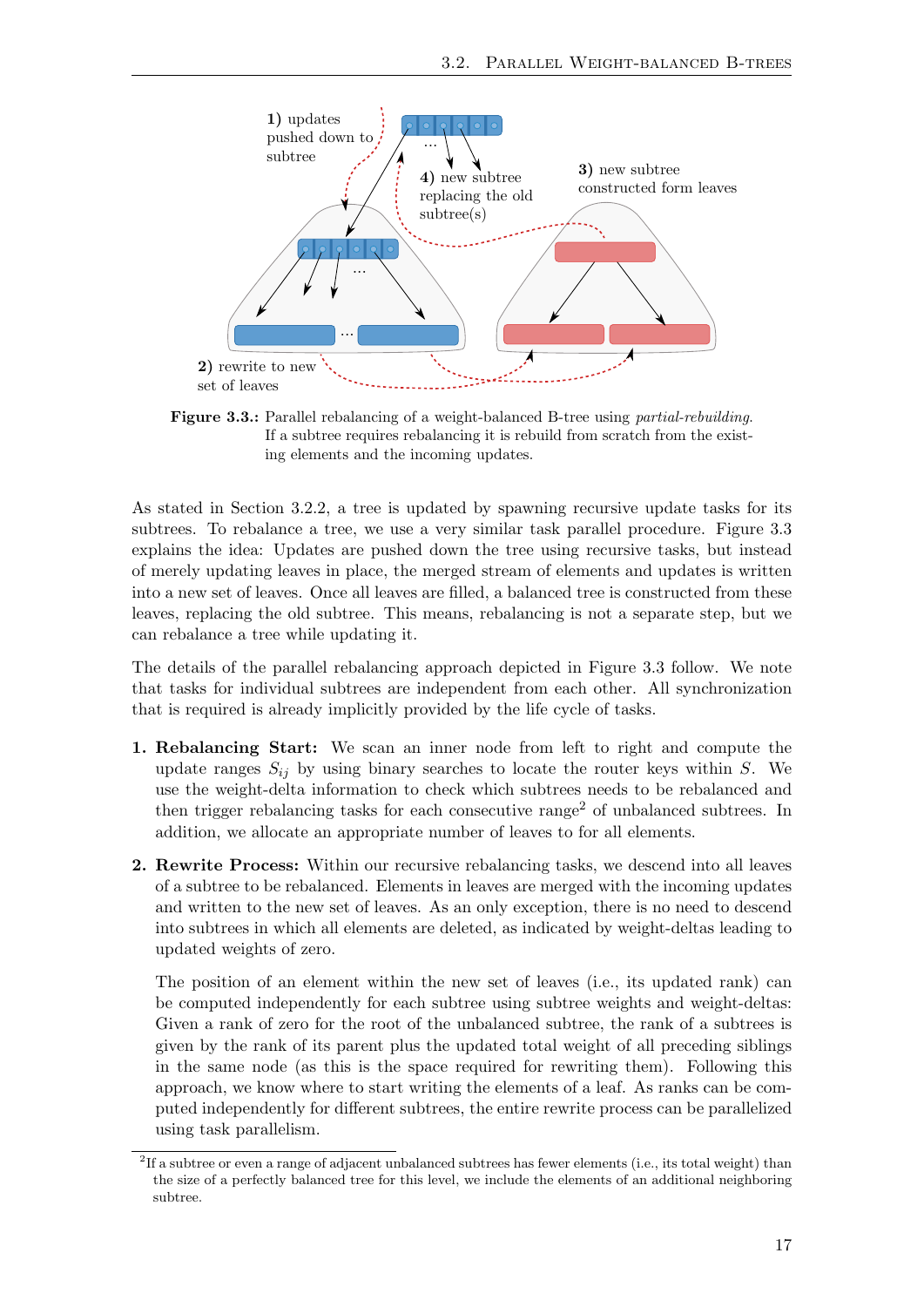<span id="page-24-0"></span>

Figure 3.3.: Parallel rebalancing of a weight-balanced B-tree using partial-rebuilding. If a subtree requires rebalancing it is rebuild from scratch from the existing elements and the incoming updates.

As stated in Section [3.2.2,](#page-23-0) a tree is updated by spawning recursive update tasks for its subtrees. To rebalance a tree, we use a very similar task parallel procedure. Figure [3.3](#page-24-0) explains the idea: Updates are pushed down the tree using recursive tasks, but instead of merely updating leaves in place, the merged stream of elements and updates is written into a new set of leaves. Once all leaves are filled, a balanced tree is constructed from these leaves, replacing the old subtree. This means, rebalancing is not a separate step, but we can rebalance a tree while updating it.

The details of the parallel rebalancing approach depicted in Figure [3.3](#page-24-0) follow. We note that tasks for individual subtrees are independent from each other. All synchronization that is required is already implicitly provided by the life cycle of tasks.

- 1. Rebalancing Start: We scan an inner node from left to right and compute the update ranges  $S_{ij}$  by using binary searches to locate the router keys within S. We use the weight-delta information to check which subtrees needs to be rebalanced and then trigger rebalancing tasks for each consecutive range<sup>[2](#page-24-1)</sup> of unbalanced subtrees. In addition, we allocate an appropriate number of leaves to for all elements.
- 2. Rewrite Process: Within our recursive rebalancing tasks, we descend into all leaves of a subtree to be rebalanced. Elements in leaves are merged with the incoming updates and written to the new set of leaves. As an only exception, there is no need to descend into subtrees in which all elements are deleted, as indicated by weight-deltas leading to updated weights of zero.

The position of an element within the new set of leaves (i.e., its updated rank) can be computed independently for each subtree using subtree weights and weight-deltas: Given a rank of zero for the root of the unbalanced subtree, the rank of a subtrees is given by the rank of its parent plus the updated total weight of all preceding siblings in the same node (as this is the space required for rewriting them). Following this approach, we know where to start writing the elements of a leaf. As ranks can be computed independently for different subtrees, the entire rewrite process can be parallelized using task parallelism.

<span id="page-24-1"></span> ${}^{2}$ If a subtree or even a range of adjacent unbalanced subtrees has fewer elements (i.e., its total weight) than the size of a perfectly balanced tree for this level, we include the elements of an additional neighboring subtree.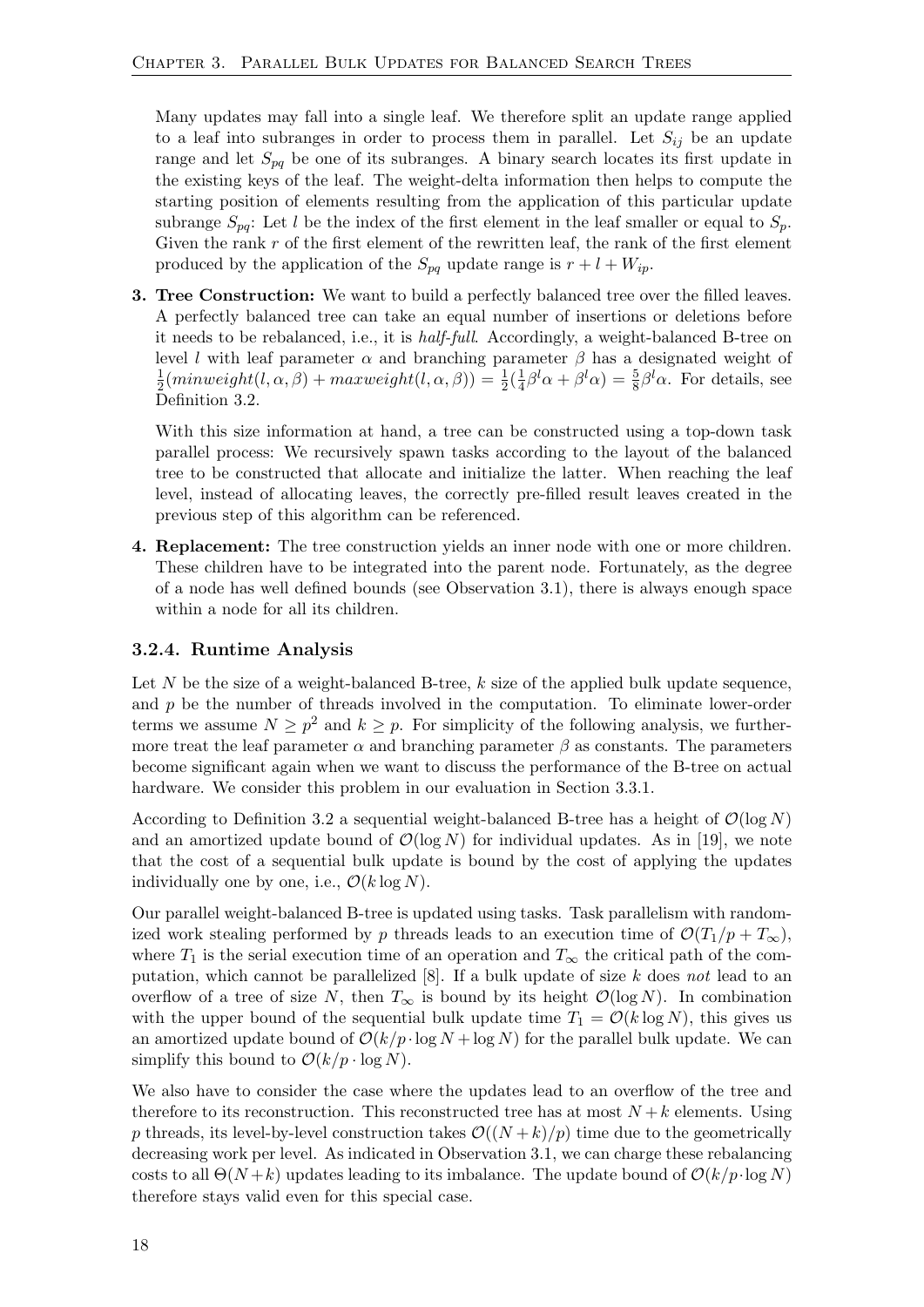Many updates may fall into a single leaf. We therefore split an update range applied to a leaf into subranges in order to process them in parallel. Let  $S_{ij}$  be an update range and let  $S_{pq}$  be one of its subranges. A binary search locates its first update in the existing keys of the leaf. The weight-delta information then helps to compute the starting position of elements resulting from the application of this particular update subrange  $S_{pq}$ : Let l be the index of the first element in the leaf smaller or equal to  $S_p$ . Given the rank  $r$  of the first element of the rewritten leaf, the rank of the first element produced by the application of the  $S_{pq}$  update range is  $r + l + W_{ip}$ .

**3. Tree Construction:** We want to build a perfectly balanced tree over the filled leaves. A perfectly balanced tree can take an equal number of insertions or deletions before it needs to be rebalanced, i.e., it is half-full. Accordingly, a weight-balanced B-tree on level *l* with leaf parameter  $\alpha$  and branching parameter  $\beta$  has a designated weight of 1  $\frac{1}{2}(\textit{minweight}(l, \alpha, \beta) + \textit{maxweight}(l, \alpha, \beta)) = \frac{1}{2}(\frac{1}{4})$  $\frac{1}{4}\beta^l\alpha + \beta^l\alpha$  =  $\frac{5}{8}\beta^l\alpha$ . For details, see Definition [3.2.](#page-22-2)

With this size information at hand, a tree can be constructed using a top-down task parallel process: We recursively spawn tasks according to the layout of the balanced tree to be constructed that allocate and initialize the latter. When reaching the leaf level, instead of allocating leaves, the correctly pre-filled result leaves created in the previous step of this algorithm can be referenced.

4. Replacement: The tree construction yields an inner node with one or more children. These children have to be integrated into the parent node. Fortunately, as the degree of a node has well defined bounds (see Observation [3.1\)](#page-22-3), there is always enough space within a node for all its children.

#### <span id="page-25-0"></span>3.2.4. Runtime Analysis

Let  $N$  be the size of a weight-balanced B-tree,  $k$  size of the applied bulk update sequence, and  $p$  be the number of threads involved in the computation. To eliminate lower-order terms we assume  $N \geq p^2$  and  $k \geq p$ . For simplicity of the following analysis, we furthermore treat the leaf parameter  $\alpha$  and branching parameter  $\beta$  as constants. The parameters become significant again when we want to discuss the performance of the B-tree on actual hardware. We consider this problem in our evaluation in Section [3.3.1.](#page-27-0)

According to Definition [3.2](#page-22-2) a sequential weight-balanced B-tree has a height of  $\mathcal{O}(\log N)$ and an amortized update bound of  $\mathcal{O}(\log N)$  for individual updates. As in [\[19\]](#page-63-4), we note that the cost of a sequential bulk update is bound by the cost of applying the updates individually one by one, i.e.,  $\mathcal{O}(k \log N)$ .

Our parallel weight-balanced B-tree is updated using tasks. Task parallelism with randomized work stealing performed by p threads leads to an execution time of  $\mathcal{O}(T_1/p + T_{\infty})$ , where  $T_1$  is the serial execution time of an operation and  $T_\infty$  the critical path of the computation, which cannot be parallelized  $[8]$ . If a bulk update of size k does not lead to an overflow of a tree of size N, then  $T_{\infty}$  is bound by its height  $\mathcal{O}(\log N)$ . In combination with the upper bound of the sequential bulk update time  $T_1 = \mathcal{O}(k \log N)$ , this gives us an amortized update bound of  $\mathcal{O}(k/p \cdot \log N + \log N)$  for the parallel bulk update. We can simplify this bound to  $\mathcal{O}(k/p \cdot \log N)$ .

We also have to consider the case where the updates lead to an overflow of the tree and therefore to its reconstruction. This reconstructed tree has at most  $N + k$  elements. Using p threads, its level-by-level construction takes  $\mathcal{O}((N+k)/p)$  time due to the geometrically decreasing work per level. As indicated in Observation [3.1,](#page-22-3) we can charge these rebalancing costs to all  $\Theta(N+k)$  updates leading to its imbalance. The update bound of  $\mathcal{O}(k/p \cdot \log N)$ therefore stays valid even for this special case.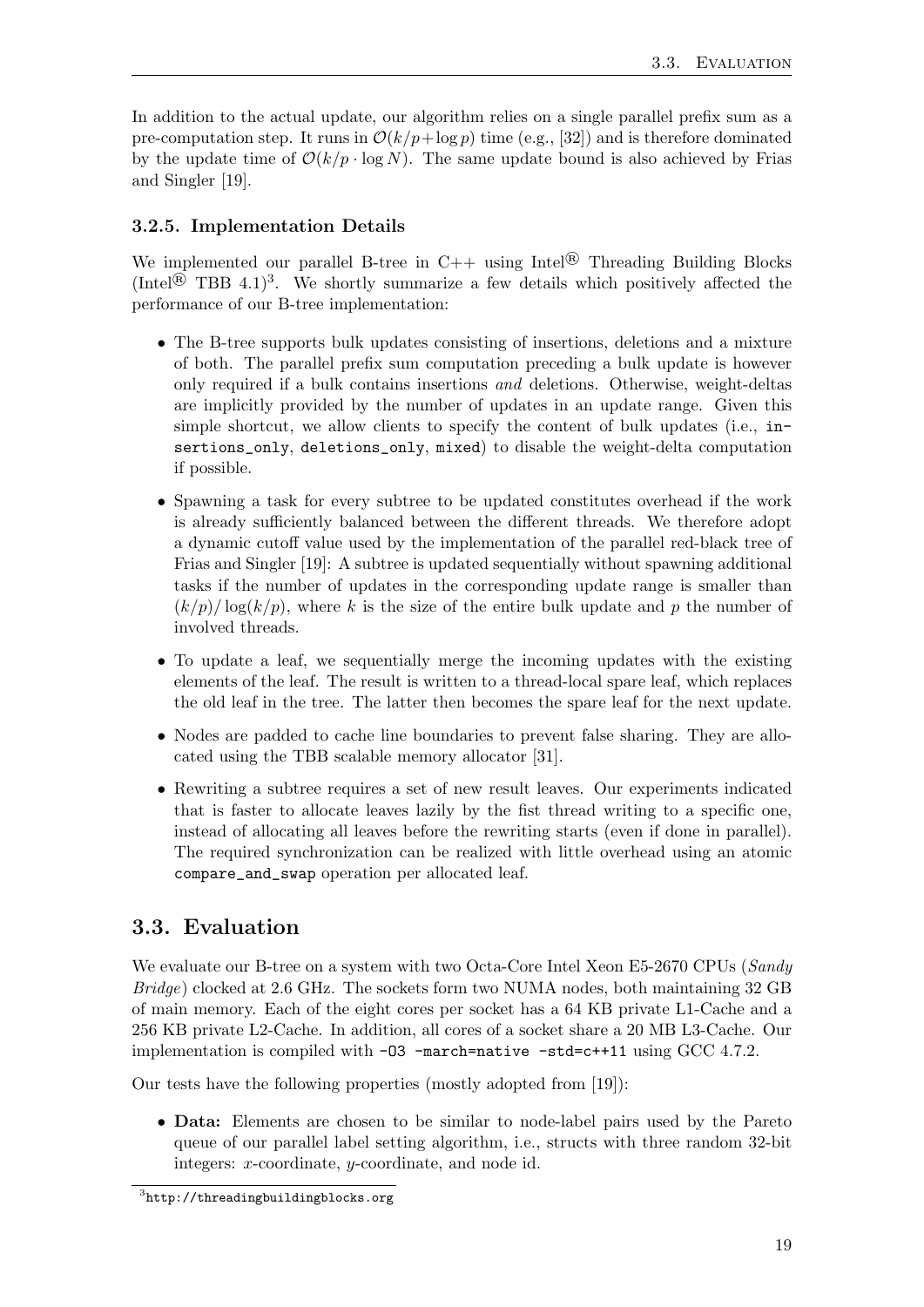In addition to the actual update, our algorithm relies on a single parallel prefix sum as a pre-computation step. It runs in  $\mathcal{O}(k/p + \log p)$  time (e.g., [\[32\]](#page-64-9)) and is therefore dominated by the update time of  $\mathcal{O}(k/p \cdot \log N)$ . The same update bound is also achieved by Frias and Singler [\[19\]](#page-63-4).

### <span id="page-26-0"></span>3.2.5. Implementation Details

We implemented our parallel B-tree in  $C++$  using Intel<sup>®</sup> Threading Building Blocks (Intel<sup>®</sup> TBB 4.1)<sup>[3](#page-26-2)</sup>. We shortly summarize a few details which positively affected the performance of our B-tree implementation:

- The B-tree supports bulk updates consisting of insertions, deletions and a mixture of both. The parallel prefix sum computation preceding a bulk update is however only required if a bulk contains insertions and deletions. Otherwise, weight-deltas are implicitly provided by the number of updates in an update range. Given this simple shortcut, we allow clients to specify the content of bulk updates (i.e., insertions\_only, deletions\_only, mixed) to disable the weight-delta computation if possible.
- Spawning a task for every subtree to be updated constitutes overhead if the work is already sufficiently balanced between the different threads. We therefore adopt a dynamic cutoff value used by the implementation of the parallel red-black tree of Frias and Singler [\[19\]](#page-63-4): A subtree is updated sequentially without spawning additional tasks if the number of updates in the corresponding update range is smaller than  $(k/p)/\log(k/p)$ , where k is the size of the entire bulk update and p the number of involved threads.
- To update a leaf, we sequentially merge the incoming updates with the existing elements of the leaf. The result is written to a thread-local spare leaf, which replaces the old leaf in the tree. The latter then becomes the spare leaf for the next update.
- Nodes are padded to cache line boundaries to prevent false sharing. They are allocated using the TBB scalable memory allocator [\[31\]](#page-64-10).
- Rewriting a subtree requires a set of new result leaves. Our experiments indicated that is faster to allocate leaves lazily by the fist thread writing to a specific one, instead of allocating all leaves before the rewriting starts (even if done in parallel). The required synchronization can be realized with little overhead using an atomic compare\_and\_swap operation per allocated leaf.

## <span id="page-26-1"></span>3.3. Evaluation

We evaluate our B-tree on a system with two Octa-Core Intel Xeon E5-2670 CPUs (Sandy Bridge) clocked at 2.6 GHz. The sockets form two NUMA nodes, both maintaining 32 GB of main memory. Each of the eight cores per socket has a 64 KB private L1-Cache and a 256 KB private L2-Cache. In addition, all cores of a socket share a 20 MB L3-Cache. Our implementation is compiled with -O3 -march=native -std=c++11 using GCC 4.7.2.

Our tests have the following properties (mostly adopted from [\[19\]](#page-63-4)):

• Data: Elements are chosen to be similar to node-label pairs used by the Pareto queue of our parallel label setting algorithm, i.e., structs with three random 32-bit integers: x-coordinate, y-coordinate, and node id.

<span id="page-26-2"></span> $^3$ <http://threadingbuildingblocks.org>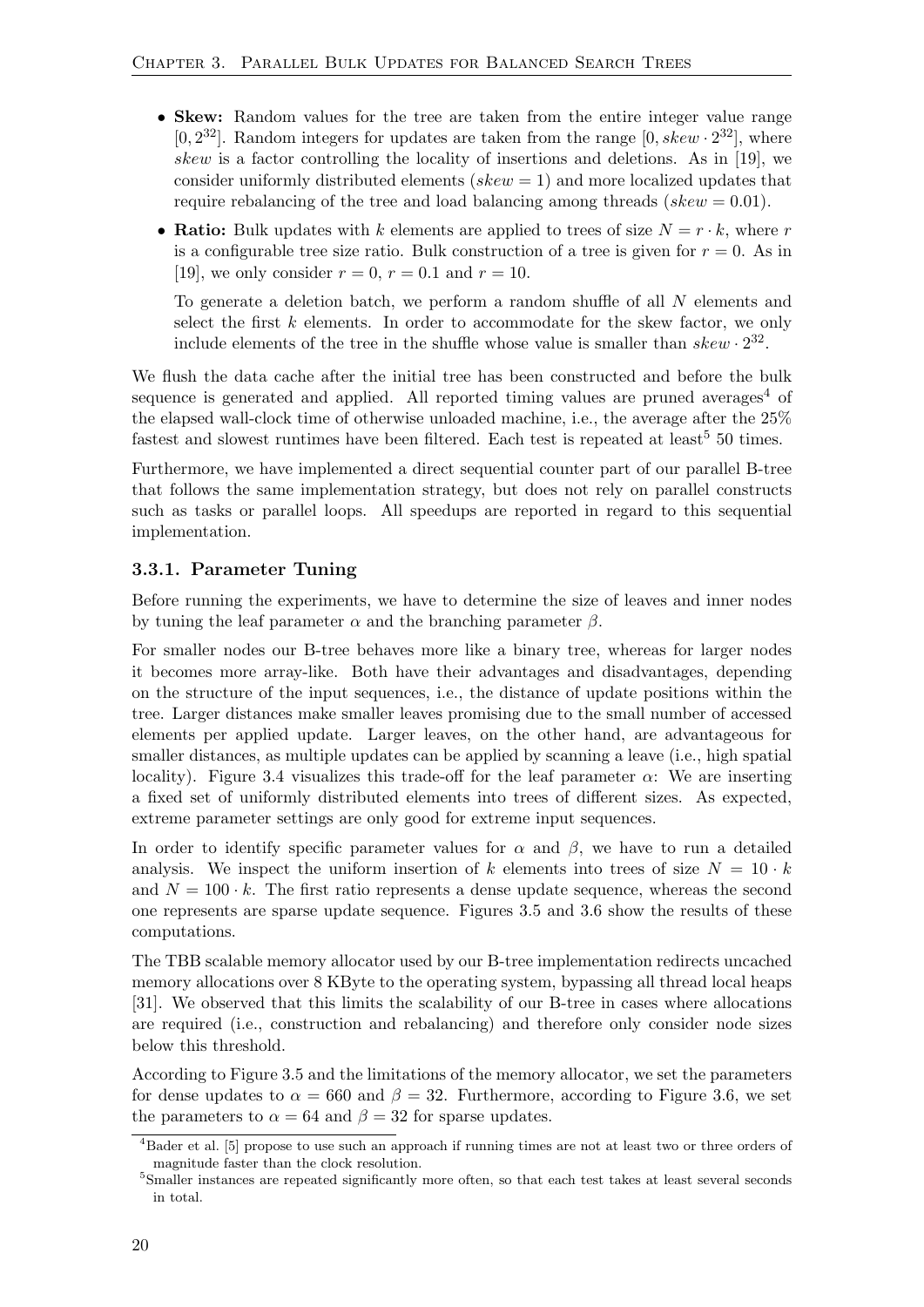- Skew: Random values for the tree are taken from the entire integer value range [0,  $2^{32}$ ]. Random integers for updates are taken from the range [0,  $skew \cdot 2^{32}$ ], where skew is a factor controlling the locality of insertions and deletions. As in [\[19\]](#page-63-4), we consider uniformly distributed elements ( $skew = 1$ ) and more localized updates that require rebalancing of the tree and load balancing among threads ( $skew = 0.01$ ).
- Ratio: Bulk updates with k elements are applied to trees of size  $N = r \cdot k$ , where r is a configurable tree size ratio. Bulk construction of a tree is given for  $r = 0$ . As in [\[19\]](#page-63-4), we only consider  $r = 0$ ,  $r = 0.1$  and  $r = 10$ .

To generate a deletion batch, we perform a random shuffle of all N elements and select the first  $k$  elements. In order to accommodate for the skew factor, we only include elements of the tree in the shuffle whose value is smaller than  $skew \cdot 2^{32}$ .

We flush the data cache after the initial tree has been constructed and before the bulk sequence is generated and applied. All reported timing values are pruned averages<sup>[4](#page-27-1)</sup> of the elapsed wall-clock time of otherwise unloaded machine, i.e., the average after the 25% fastest and slowest runtimes have been filtered. Each test is repeated at least<sup>[5](#page-27-2)</sup> 50 times.

Furthermore, we have implemented a direct sequential counter part of our parallel B-tree that follows the same implementation strategy, but does not rely on parallel constructs such as tasks or parallel loops. All speedups are reported in regard to this sequential implementation.

#### <span id="page-27-0"></span>3.3.1. Parameter Tuning

Before running the experiments, we have to determine the size of leaves and inner nodes by tuning the leaf parameter  $\alpha$  and the branching parameter  $\beta$ .

For smaller nodes our B-tree behaves more like a binary tree, whereas for larger nodes it becomes more array-like. Both have their advantages and disadvantages, depending on the structure of the input sequences, i.e., the distance of update positions within the tree. Larger distances make smaller leaves promising due to the small number of accessed elements per applied update. Larger leaves, on the other hand, are advantageous for smaller distances, as multiple updates can be applied by scanning a leave (i.e., high spatial locality). Figure [3.4](#page-28-0) visualizes this trade-off for the leaf parameter  $\alpha$ : We are inserting a fixed set of uniformly distributed elements into trees of different sizes. As expected, extreme parameter settings are only good for extreme input sequences.

In order to identify specific parameter values for  $\alpha$  and  $\beta$ , we have to run a detailed analysis. We inspect the uniform insertion of k elements into trees of size  $N = 10 \cdot k$ and  $N = 100 \cdot k$ . The first ratio represents a dense update sequence, whereas the second one represents are sparse update sequence. Figures [3.5](#page-28-1) and [3.6](#page-28-2) show the results of these computations.

The TBB scalable memory allocator used by our B-tree implementation redirects uncached memory allocations over 8 KByte to the operating system, bypassing all thread local heaps [\[31\]](#page-64-10). We observed that this limits the scalability of our B-tree in cases where allocations are required (i.e., construction and rebalancing) and therefore only consider node sizes below this threshold.

According to Figure [3.5](#page-28-1) and the limitations of the memory allocator, we set the parameters for dense updates to  $\alpha = 660$  and  $\beta = 32$ . Furthermore, according to Figure [3.6,](#page-28-2) we set the parameters to  $\alpha = 64$  and  $\beta = 32$  for sparse updates.

<span id="page-27-1"></span><sup>4</sup>Bader et al. [\[5\]](#page-62-10) propose to use such an approach if running times are not at least two or three orders of magnitude faster than the clock resolution.

<span id="page-27-2"></span><sup>5</sup>Smaller instances are repeated significantly more often, so that each test takes at least several seconds in total.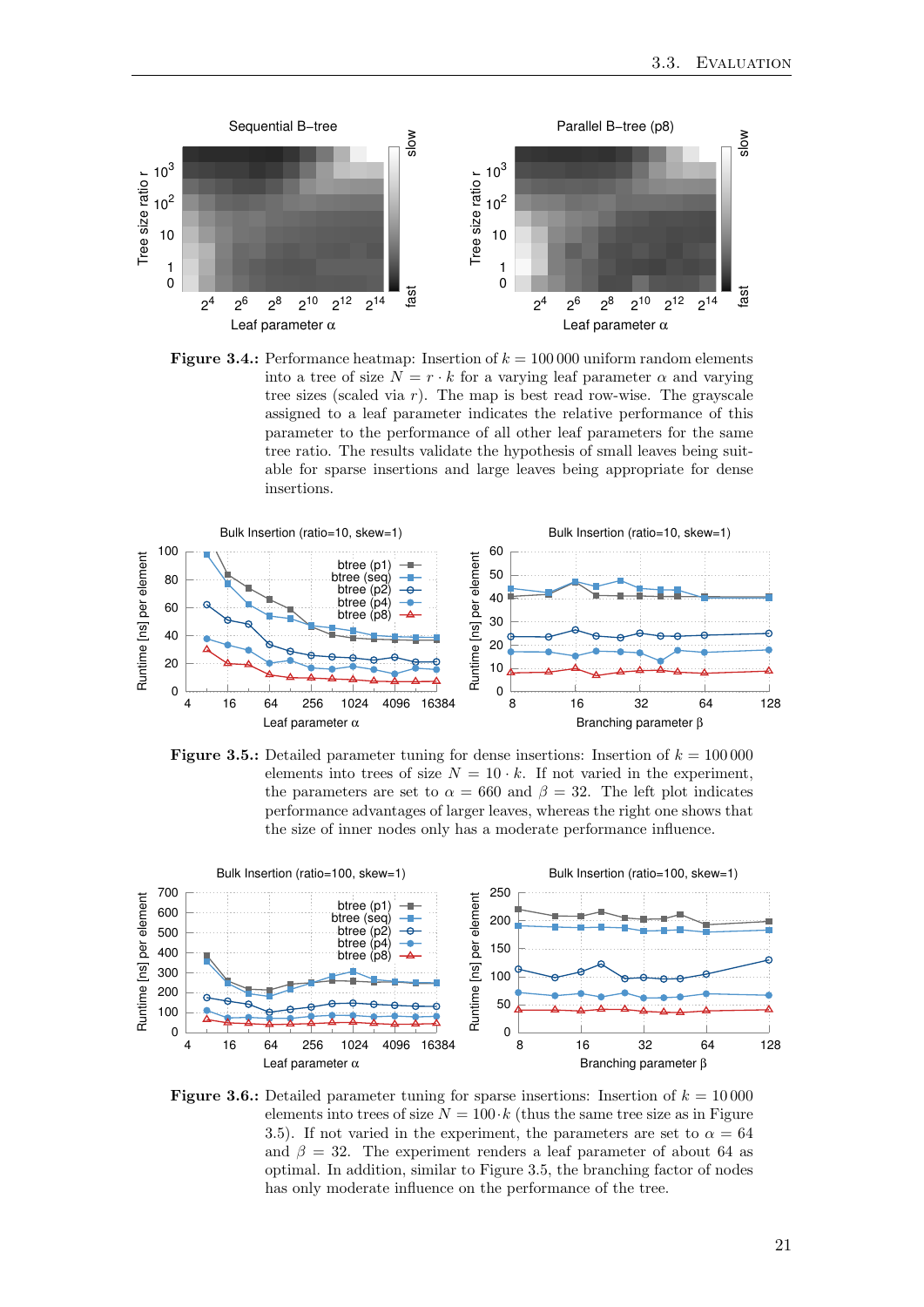<span id="page-28-0"></span>

**Figure 3.4.:** Performance heatmap: Insertion of  $k = 100000$  uniform random elements into a tree of size  $N = r \cdot k$  for a varying leaf parameter  $\alpha$  and varying tree sizes (scaled via  $r$ ). The map is best read row-wise. The grayscale assigned to a leaf parameter indicates the relative performance of this parameter to the performance of all other leaf parameters for the same tree ratio. The results validate the hypothesis of small leaves being suitable for sparse insertions and large leaves being appropriate for dense insertions.

<span id="page-28-1"></span>

**Figure 3.5.:** Detailed parameter tuning for dense insertions: Insertion of  $k = 100000$ elements into trees of size  $N = 10 \cdot k$ . If not varied in the experiment, the parameters are set to  $\alpha = 660$  and  $\beta = 32$ . The left plot indicates performance advantages of larger leaves, whereas the right one shows that the size of inner nodes only has a moderate performance influence.

<span id="page-28-2"></span>

**Figure 3.6.:** Detailed parameter tuning for sparse insertions: Insertion of  $k = 10000$ elements into trees of size  $N = 100 \cdot k$  (thus the same tree size as in Figure [3.5\)](#page-28-1). If not varied in the experiment, the parameters are set to  $\alpha = 64$ and  $\beta = 32$ . The experiment renders a leaf parameter of about 64 as optimal. In addition, similar to Figure [3.5,](#page-28-1) the branching factor of nodes has only moderate influence on the performance of the tree.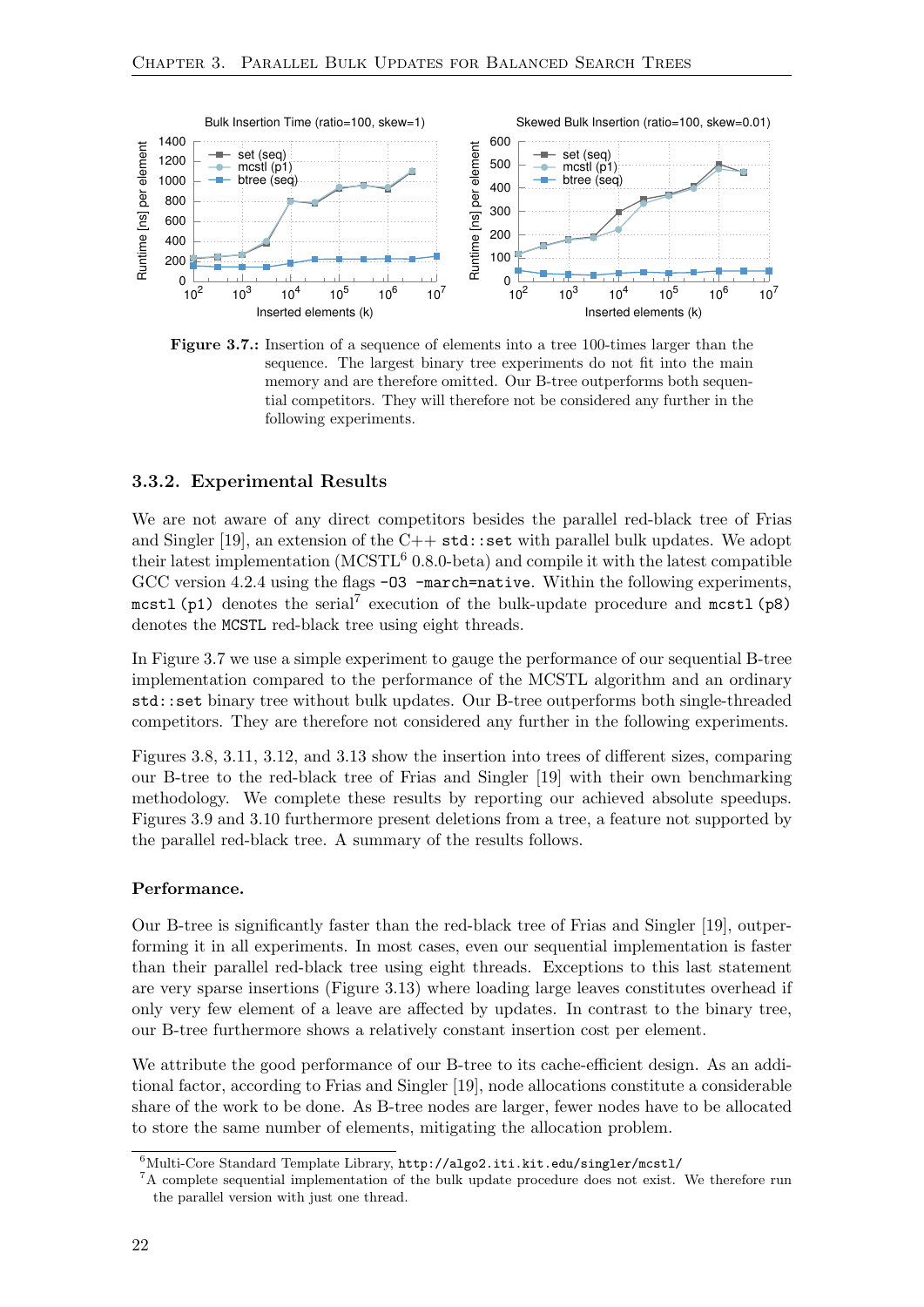<span id="page-29-1"></span>

Figure 3.7.: Insertion of a sequence of elements into a tree 100-times larger than the sequence. The largest binary tree experiments do not fit into the main memory and are therefore omitted. Our B-tree outperforms both sequential competitors. They will therefore not be considered any further in the following experiments.

#### <span id="page-29-0"></span>3.3.2. Experimental Results

We are not aware of any direct competitors besides the parallel red-black tree of Frias and Singler [\[19\]](#page-63-4), an extension of the C++  $std::set$  with parallel bulk updates. We adopt their latest implementation  $(MCSTL<sup>6</sup> 0.8.0$  $(MCSTL<sup>6</sup> 0.8.0$  $(MCSTL<sup>6</sup> 0.8.0$ -beta) and compile it with the latest compatible GCC version 4.2.4 using the flags  $-03$  -march=native. Within the following experiments, mcstl (p1) denotes the serial<sup>[7](#page-29-3)</sup> execution of the bulk-update procedure and mcstl (p8) denotes the MCSTL red-black tree using eight threads.

In Figure [3.7](#page-29-1) we use a simple experiment to gauge the performance of our sequential B-tree implementation compared to the performance of the MCSTL algorithm and an ordinary std::set binary tree without bulk updates. Our B-tree outperforms both single-threaded competitors. They are therefore not considered any further in the following experiments.

Figures [3.8,](#page-30-0) [3.11,](#page-32-0) [3.12,](#page-32-1) and [3.13](#page-32-2) show the insertion into trees of different sizes, comparing our B-tree to the red-black tree of Frias and Singler [\[19\]](#page-63-4) with their own benchmarking methodology. We complete these results by reporting our achieved absolute speedups. Figures [3.9](#page-31-0) and [3.10](#page-31-1) furthermore present deletions from a tree, a feature not supported by the parallel red-black tree. A summary of the results follows.

#### Performance.

Our B-tree is significantly faster than the red-black tree of Frias and Singler [\[19\]](#page-63-4), outperforming it in all experiments. In most cases, even our sequential implementation is faster than their parallel red-black tree using eight threads. Exceptions to this last statement are very sparse insertions (Figure [3.13\)](#page-32-2) where loading large leaves constitutes overhead if only very few element of a leave are affected by updates. In contrast to the binary tree, our B-tree furthermore shows a relatively constant insertion cost per element.

We attribute the good performance of our B-tree to its cache-efficient design. As an additional factor, according to Frias and Singler [\[19\]](#page-63-4), node allocations constitute a considerable share of the work to be done. As B-tree nodes are larger, fewer nodes have to be allocated to store the same number of elements, mitigating the allocation problem.

<span id="page-29-2"></span> $6$ Multi-Core Standard Template Library, <http://algo2.iti.kit.edu/singler/mcstl/>

<span id="page-29-3"></span><sup>&</sup>lt;sup>7</sup>A complete sequential implementation of the bulk update procedure does not exist. We therefore run the parallel version with just one thread.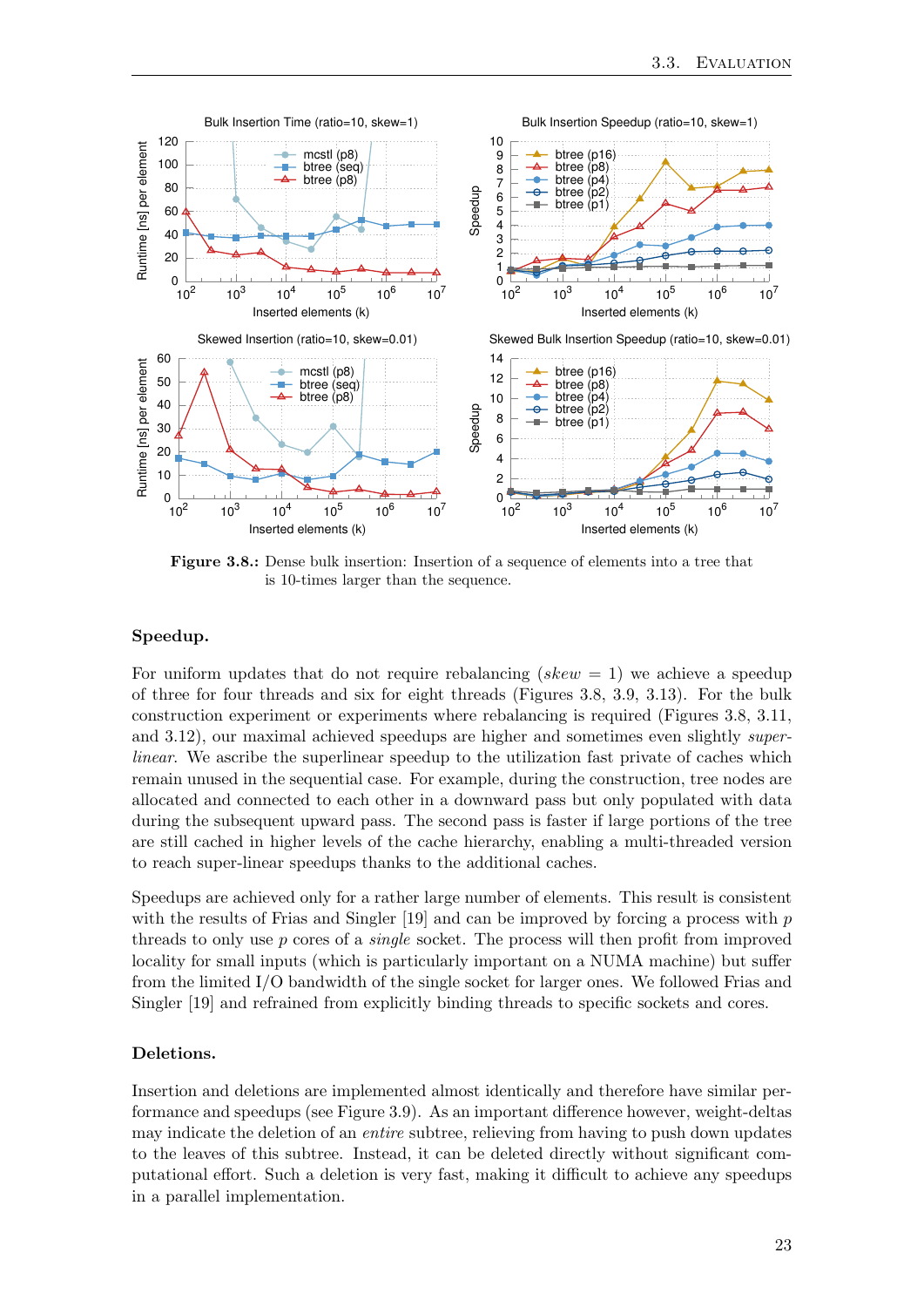<span id="page-30-0"></span>

Figure 3.8.: Dense bulk insertion: Insertion of a sequence of elements into a tree that is 10-times larger than the sequence.

#### Speedup.

For uniform updates that do not require rebalancing (skew  $= 1$ ) we achieve a speedup of three for four threads and six for eight threads (Figures [3.8,](#page-30-0) [3.9,](#page-31-0) [3.13\)](#page-32-2). For the bulk construction experiment or experiments where rebalancing is required (Figures [3.8,](#page-30-0) [3.11,](#page-32-0) and [3.12\)](#page-32-1), our maximal achieved speedups are higher and sometimes even slightly superlinear. We ascribe the superlinear speedup to the utilization fast private of caches which remain unused in the sequential case. For example, during the construction, tree nodes are allocated and connected to each other in a downward pass but only populated with data during the subsequent upward pass. The second pass is faster if large portions of the tree are still cached in higher levels of the cache hierarchy, enabling a multi-threaded version to reach super-linear speedups thanks to the additional caches.

Speedups are achieved only for a rather large number of elements. This result is consistent with the results of Frias and Singler  $[19]$  and can be improved by forcing a process with p threads to only use  $p$  cores of a *single* socket. The process will then profit from improved locality for small inputs (which is particularly important on a NUMA machine) but suffer from the limited I/O bandwidth of the single socket for larger ones. We followed Frias and Singler [\[19\]](#page-63-4) and refrained from explicitly binding threads to specific sockets and cores.

#### <span id="page-30-1"></span>Deletions.

Insertion and deletions are implemented almost identically and therefore have similar performance and speedups (see Figure [3.9\)](#page-31-0). As an important difference however, weight-deltas may indicate the deletion of an entire subtree, relieving from having to push down updates to the leaves of this subtree. Instead, it can be deleted directly without significant computational effort. Such a deletion is very fast, making it difficult to achieve any speedups in a parallel implementation.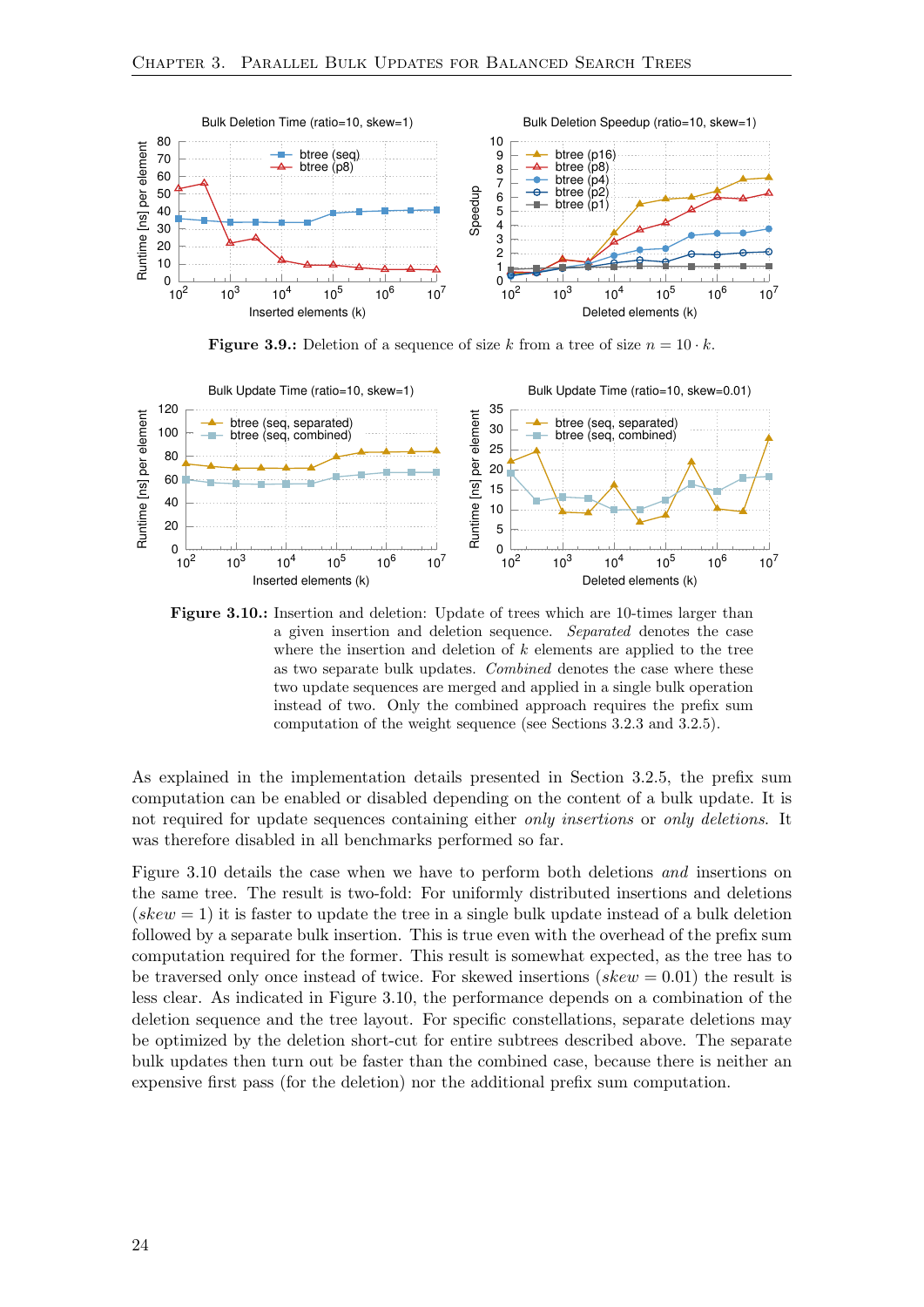<span id="page-31-0"></span>

**Figure 3.9.:** Deletion of a sequence of size k from a tree of size  $n = 10 \cdot k$ .

<span id="page-31-1"></span>

Figure 3.10.: Insertion and deletion: Update of trees which are 10-times larger than a given insertion and deletion sequence. Separated denotes the case where the insertion and deletion of  $k$  elements are applied to the tree as two separate bulk updates. Combined denotes the case where these two update sequences are merged and applied in a single bulk operation instead of two. Only the combined approach requires the prefix sum computation of the weight sequence (see Sections [3.2.3](#page-23-1) and [3.2.5\)](#page-26-0).

As explained in the implementation details presented in Section [3.2.5,](#page-26-0) the prefix sum computation can be enabled or disabled depending on the content of a bulk update. It is not required for update sequences containing either *only insertions* or *only deletions*. It was therefore disabled in all benchmarks performed so far.

Figure [3.10](#page-31-1) details the case when we have to perform both deletions and insertions on the same tree. The result is two-fold: For uniformly distributed insertions and deletions (skew  $= 1$ ) it is faster to update the tree in a single bulk update instead of a bulk deletion followed by a separate bulk insertion. This is true even with the overhead of the prefix sum computation required for the former. This result is somewhat expected, as the tree has to be traversed only once instead of twice. For skewed insertions ( $skew = 0.01$ ) the result is less clear. As indicated in Figure [3.10,](#page-31-1) the performance depends on a combination of the deletion sequence and the tree layout. For specific constellations, separate deletions may be optimized by the deletion short-cut for entire subtrees described above. The separate bulk updates then turn out be faster than the combined case, because there is neither an expensive first pass (for the deletion) nor the additional prefix sum computation.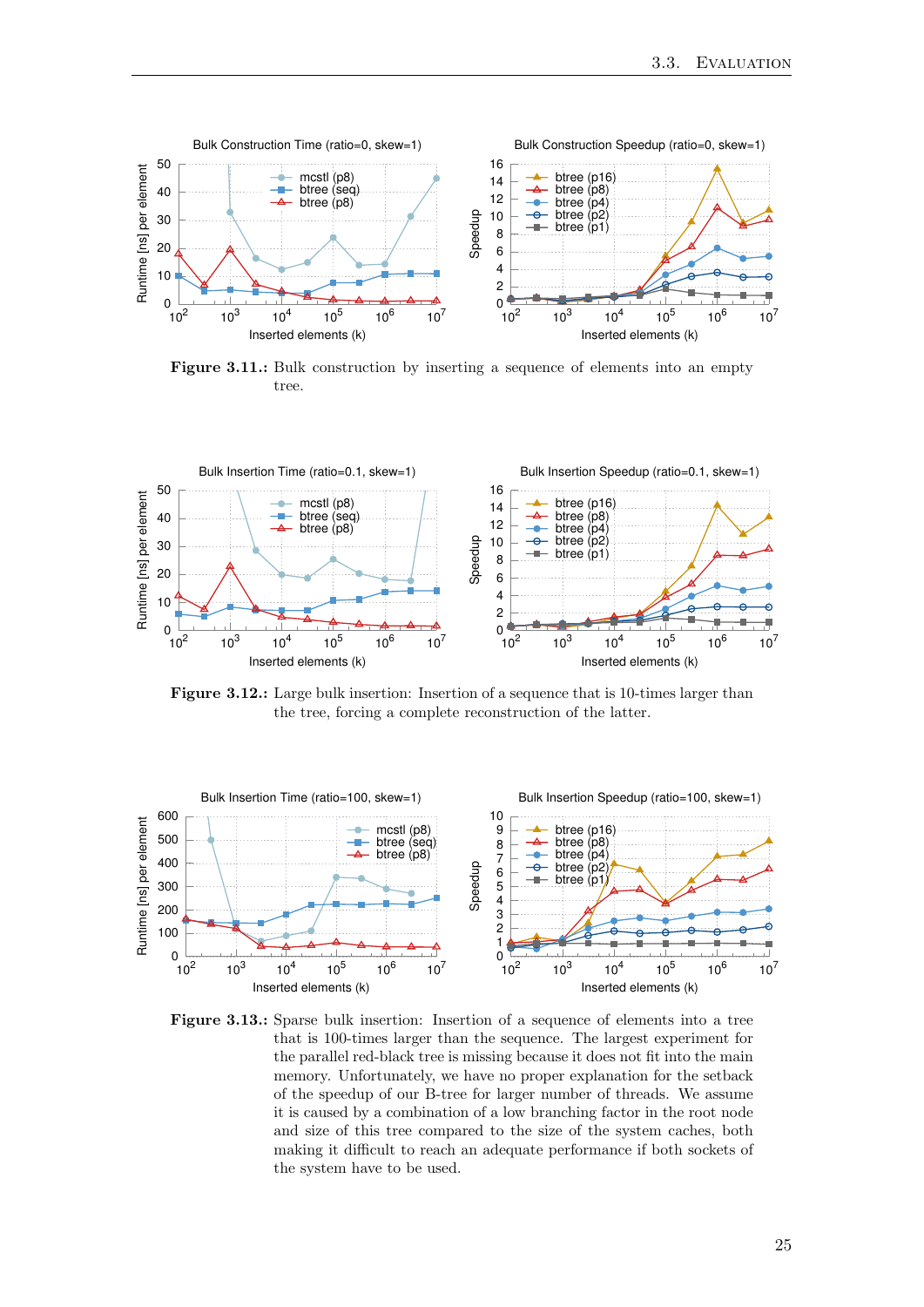<span id="page-32-0"></span>

Figure 3.11.: Bulk construction by inserting a sequence of elements into an empty tree.

<span id="page-32-1"></span>

Figure 3.12.: Large bulk insertion: Insertion of a sequence that is 10-times larger than the tree, forcing a complete reconstruction of the latter.

<span id="page-32-2"></span>

Figure 3.13.: Sparse bulk insertion: Insertion of a sequence of elements into a tree that is 100-times larger than the sequence. The largest experiment for the parallel red-black tree is missing because it does not fit into the main memory. Unfortunately, we have no proper explanation for the setback of the speedup of our B-tree for larger number of threads. We assume it is caused by a combination of a low branching factor in the root node and size of this tree compared to the size of the system caches, both making it difficult to reach an adequate performance if both sockets of the system have to be used.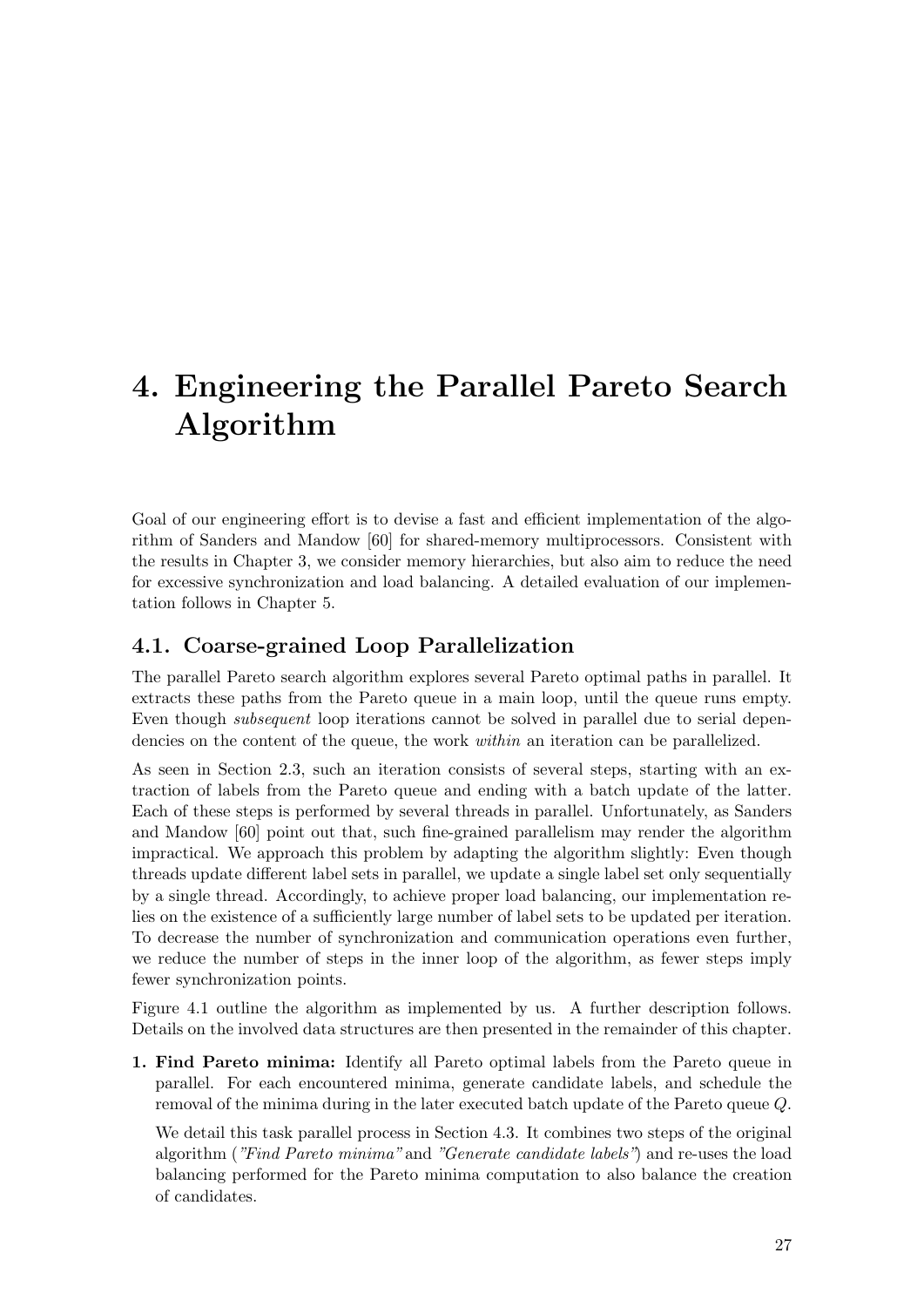# <span id="page-34-0"></span>4. Engineering the Parallel Pareto Search Algorithm

Goal of our engineering effort is to devise a fast and efficient implementation of the algorithm of Sanders and Mandow [\[60\]](#page-66-1) for shared-memory multiprocessors. Consistent with the results in Chapter [3,](#page-20-0) we consider memory hierarchies, but also aim to reduce the need for excessive synchronization and load balancing. A detailed evaluation of our implementation follows in Chapter [5.](#page-42-0)

## <span id="page-34-1"></span>4.1. Coarse-grained Loop Parallelization

The parallel Pareto search algorithm explores several Pareto optimal paths in parallel. It extracts these paths from the Pareto queue in a main loop, until the queue runs empty. Even though subsequent loop iterations cannot be solved in parallel due to serial dependencies on the content of the queue, the work within an iteration can be parallelized.

As seen in Section [2.3,](#page-16-0) such an iteration consists of several steps, starting with an extraction of labels from the Pareto queue and ending with a batch update of the latter. Each of these steps is performed by several threads in parallel. Unfortunately, as Sanders and Mandow [\[60\]](#page-66-1) point out that, such fine-grained parallelism may render the algorithm impractical. We approach this problem by adapting the algorithm slightly: Even though threads update different label sets in parallel, we update a single label set only sequentially by a single thread. Accordingly, to achieve proper load balancing, our implementation relies on the existence of a sufficiently large number of label sets to be updated per iteration. To decrease the number of synchronization and communication operations even further, we reduce the number of steps in the inner loop of the algorithm, as fewer steps imply fewer synchronization points.

Figure [4.1](#page-35-0) outline the algorithm as implemented by us. A further description follows. Details on the involved data structures are then presented in the remainder of this chapter.

1. Find Pareto minima: Identify all Pareto optimal labels from the Pareto queue in parallel. For each encountered minima, generate candidate labels, and schedule the removal of the minima during in the later executed batch update of the Pareto queue Q.

We detail this task parallel process in Section [4.3.](#page-36-1) It combines two steps of the original algorithm ("Find Pareto minima" and "Generate candidate labels") and re-uses the load balancing performed for the Pareto minima computation to also balance the creation of candidates.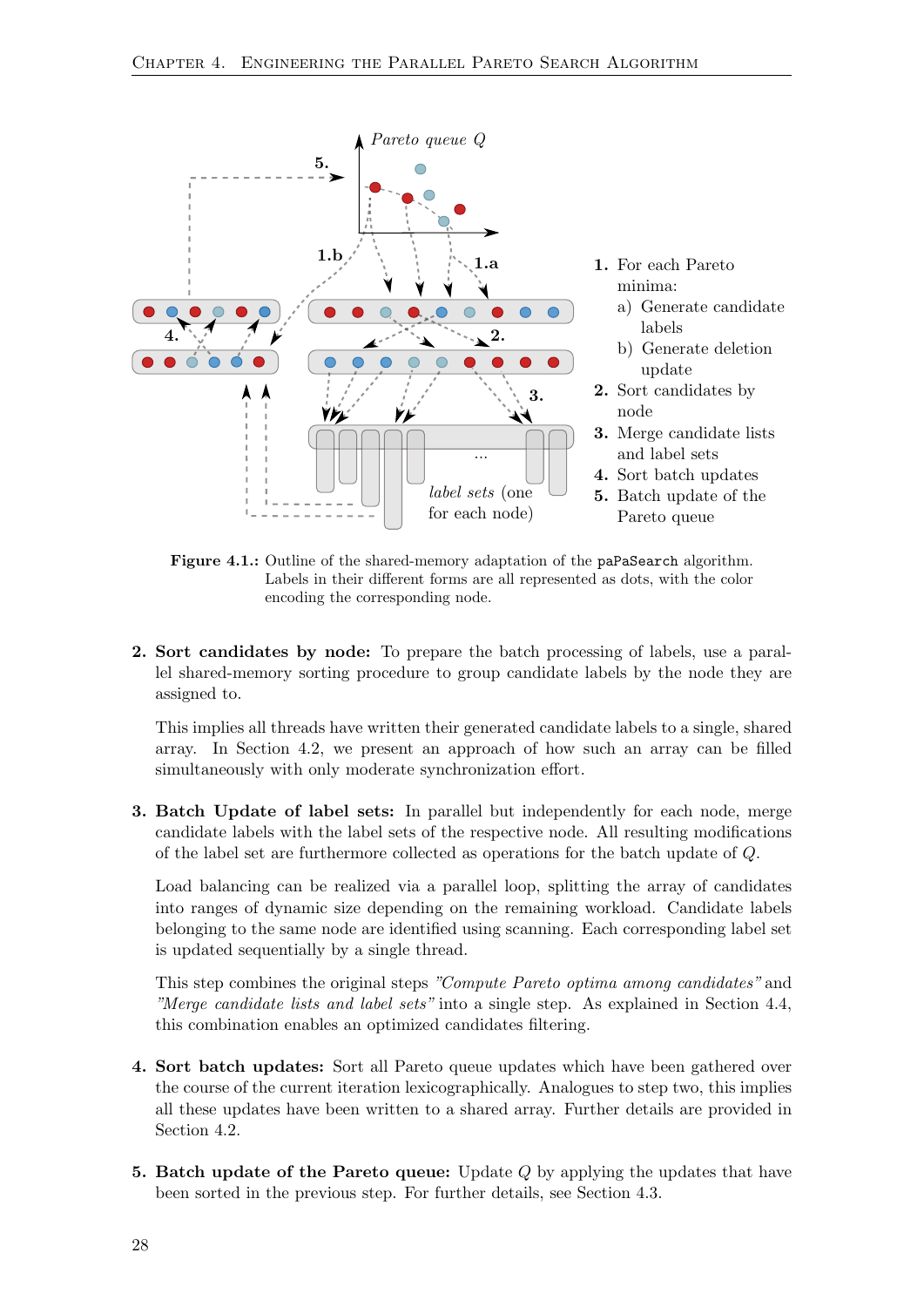<span id="page-35-0"></span>

Figure 4.1.: Outline of the shared-memory adaptation of the paPaSearch algorithm. Labels in their different forms are all represented as dots, with the color encoding the corresponding node.

2. Sort candidates by node: To prepare the batch processing of labels, use a parallel shared-memory sorting procedure to group candidate labels by the node they are assigned to.

This implies all threads have written their generated candidate labels to a single, shared array. In Section [4.2,](#page-36-0) we present an approach of how such an array can be filled simultaneously with only moderate synchronization effort.

3. Batch Update of label sets: In parallel but independently for each node, merge candidate labels with the label sets of the respective node. All resulting modifications of the label set are furthermore collected as operations for the batch update of Q.

Load balancing can be realized via a parallel loop, splitting the array of candidates into ranges of dynamic size depending on the remaining workload. Candidate labels belonging to the same node are identified using scanning. Each corresponding label set is updated sequentially by a single thread.

This step combines the original steps "Compute Pareto optima among candidates" and "Merge candidate lists and label sets" into a single step. As explained in Section [4.4,](#page-38-0) this combination enables an optimized candidates filtering.

- 4. Sort batch updates: Sort all Pareto queue updates which have been gathered over the course of the current iteration lexicographically. Analogues to step two, this implies all these updates have been written to a shared array. Further details are provided in Section [4.2.](#page-36-0)
- 5. Batch update of the Pareto queue: Update  $Q$  by applying the updates that have been sorted in the previous step. For further details, see Section [4.3.](#page-36-1)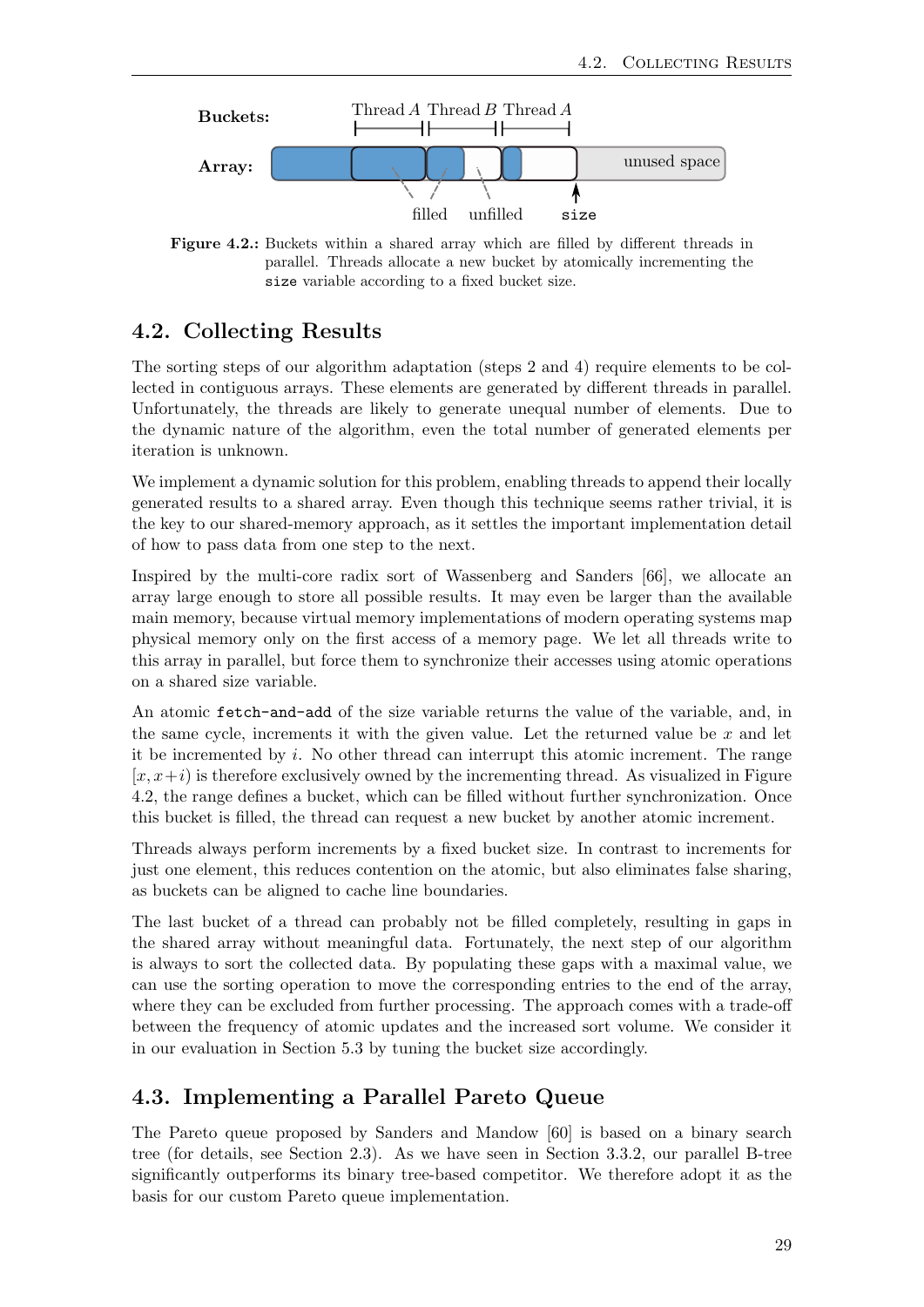<span id="page-36-2"></span>

Figure 4.2.: Buckets within a shared array which are filled by different threads in parallel. Threads allocate a new bucket by atomically incrementing the size variable according to a fixed bucket size.

## <span id="page-36-0"></span>4.2. Collecting Results

The sorting steps of our algorithm adaptation (steps 2 and 4) require elements to be collected in contiguous arrays. These elements are generated by different threads in parallel. Unfortunately, the threads are likely to generate unequal number of elements. Due to the dynamic nature of the algorithm, even the total number of generated elements per iteration is unknown.

We implement a dynamic solution for this problem, enabling threads to append their locally generated results to a shared array. Even though this technique seems rather trivial, it is the key to our shared-memory approach, as it settles the important implementation detail of how to pass data from one step to the next.

Inspired by the multi-core radix sort of Wassenberg and Sanders [\[66\]](#page-67-5), we allocate an array large enough to store all possible results. It may even be larger than the available main memory, because virtual memory implementations of modern operating systems map physical memory only on the first access of a memory page. We let all threads write to this array in parallel, but force them to synchronize their accesses using atomic operations on a shared size variable.

An atomic fetch-and-add of the size variable returns the value of the variable, and, in the same cycle, increments it with the given value. Let the returned value be  $x$  and let it be incremented by i. No other thread can interrupt this atomic increment. The range  $[x, x+i)$  is therefore exclusively owned by the incrementing thread. As visualized in Figure [4.2,](#page-36-2) the range defines a bucket, which can be filled without further synchronization. Once this bucket is filled, the thread can request a new bucket by another atomic increment.

Threads always perform increments by a fixed bucket size. In contrast to increments for just one element, this reduces contention on the atomic, but also eliminates false sharing, as buckets can be aligned to cache line boundaries.

The last bucket of a thread can probably not be filled completely, resulting in gaps in the shared array without meaningful data. Fortunately, the next step of our algorithm is always to sort the collected data. By populating these gaps with a maximal value, we can use the sorting operation to move the corresponding entries to the end of the array, where they can be excluded from further processing. The approach comes with a trade-off between the frequency of atomic updates and the increased sort volume. We consider it in our evaluation in Section [5.3](#page-46-0) by tuning the bucket size accordingly.

## <span id="page-36-1"></span>4.3. Implementing a Parallel Pareto Queue

The Pareto queue proposed by Sanders and Mandow [\[60\]](#page-66-1) is based on a binary search tree (for details, see Section [2.3\)](#page-17-0). As we have seen in Section [3.3.2,](#page-29-0) our parallel B-tree significantly outperforms its binary tree-based competitor. We therefore adopt it as the basis for our custom Pareto queue implementation.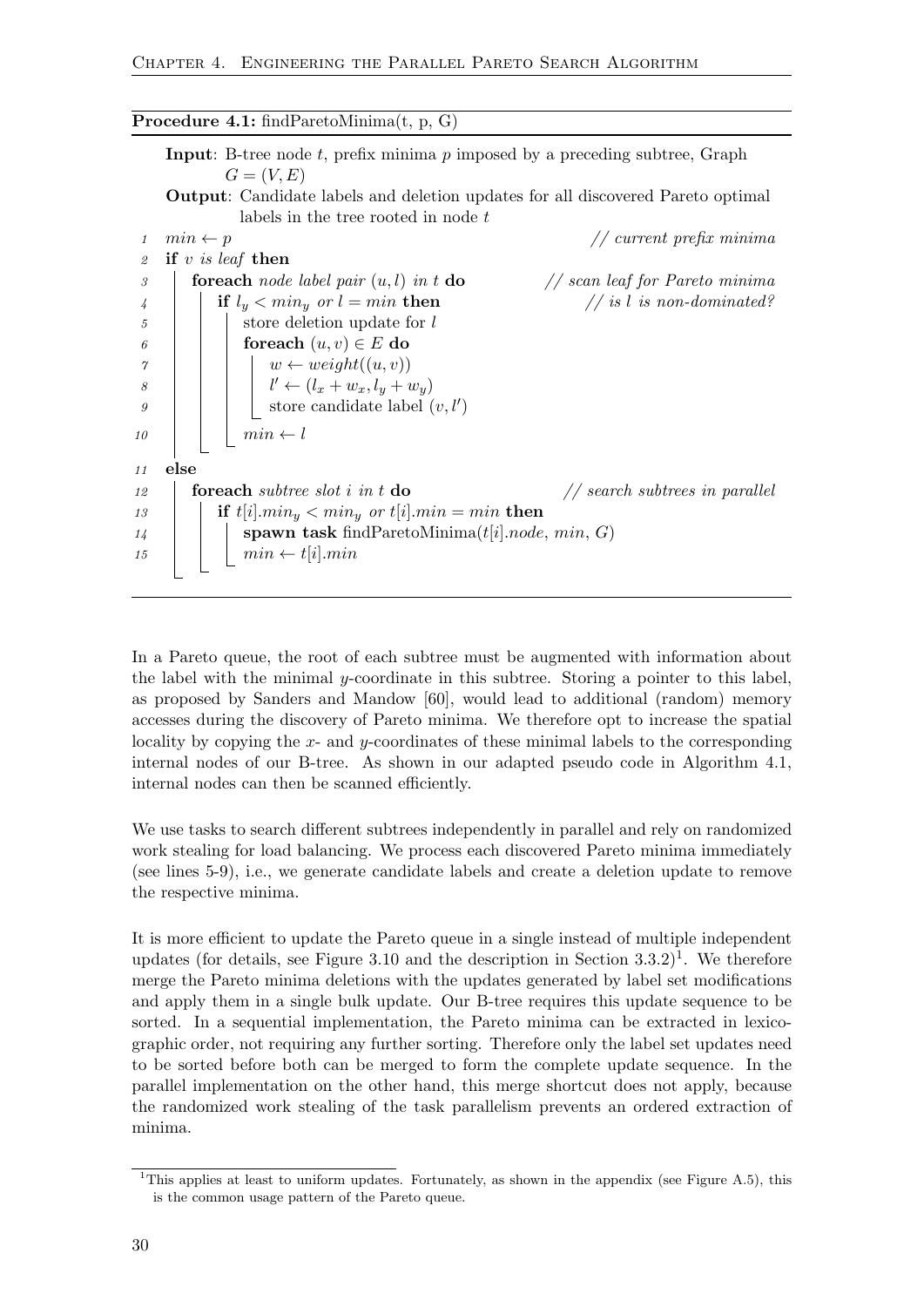Procedure 4.1: findParetoMinima(t, p, G) **Input:** B-tree node  $t$ , prefix minima  $p$  imposed by a preceding subtree, Graph  $G=(V,E)$ Output: Candidate labels and deletion updates for all discovered Pareto optimal labels in the tree rooted in node t 1 min  $\leftarrow$  p // current prefix minima 2 if v is leaf then 3 **foreach** node label pair  $(u, l)$  in t **do** // scan leaf for Pareto minima 4 if  $l_y < min_y$  or  $l = min$  then // is l is non-dominated? 5 | | store deletion update for l 6 | | foreach  $(u, v) \in E$  do  $\gamma \mid \mid \mid \mid w \leftarrow weight((u, v))$ 8 | | | | *|*  $\prime \leftarrow (l_x + w_x, l_y + w_y)$  $\begin{array}{c|c|c|c} g & \text{ } & \text{ } \end{array}$  store candidate label  $(v, l')$ 10 |  $min \leftarrow l$ 11 else  $12$  **foreach** subtree slot i in t **do** // search subtrees in parallel 13 **if**  $t[i] . min_y < min_y$  or  $t[i] . min = min$  then  $14$  | spawn task findParetoMinima(t[i].node, min, G) 15  $\mid \mid \ \ \ \min \leftarrow t[i].min$ 

In a Pareto queue, the root of each subtree must be augmented with information about the label with the minimal  $y$ -coordinate in this subtree. Storing a pointer to this label, as proposed by Sanders and Mandow [\[60\]](#page-66-1), would lead to additional (random) memory accesses during the discovery of Pareto minima. We therefore opt to increase the spatial locality by copying the x- and y-coordinates of these minimal labels to the corresponding internal nodes of our B-tree. As shown in our adapted pseudo code in Algorithm [4.1,](#page-18-1) internal nodes can then be scanned efficiently.

We use tasks to search different subtrees independently in parallel and rely on randomized work stealing for load balancing. We process each discovered Pareto minima immediately (see lines 5-9), i.e., we generate candidate labels and create a deletion update to remove the respective minima.

It is more efficient to update the Pareto queue in a single instead of multiple independent updates (for details, see Figure [3.10](#page-31-1) and the description in Section  $3.3.2$ )<sup>[1](#page-37-0)</sup>. We therefore merge the Pareto minima deletions with the updates generated by label set modifications and apply them in a single bulk update. Our B-tree requires this update sequence to be sorted. In a sequential implementation, the Pareto minima can be extracted in lexicographic order, not requiring any further sorting. Therefore only the label set updates need to be sorted before both can be merged to form the complete update sequence. In the parallel implementation on the other hand, this merge shortcut does not apply, because the randomized work stealing of the task parallelism prevents an ordered extraction of minima.

<span id="page-37-0"></span><sup>&</sup>lt;sup>1</sup>This applies at least to uniform updates. Fortunately, as shown in the appendix (see Figure [A.5\)](#page-59-0), this is the common usage pattern of the Pareto queue.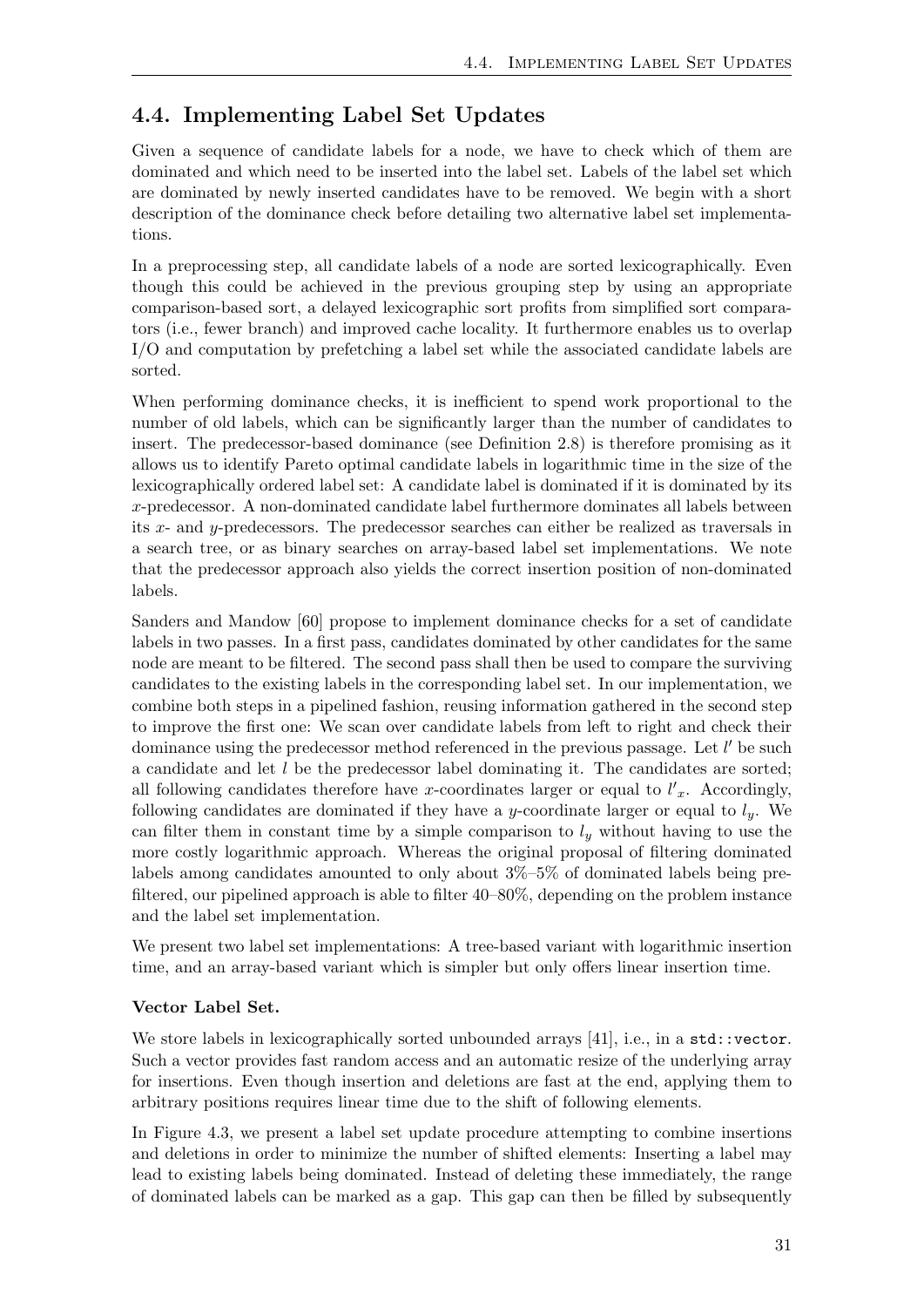## <span id="page-38-0"></span>4.4. Implementing Label Set Updates

Given a sequence of candidate labels for a node, we have to check which of them are dominated and which need to be inserted into the label set. Labels of the label set which are dominated by newly inserted candidates have to be removed. We begin with a short description of the dominance check before detailing two alternative label set implementations.

In a preprocessing step, all candidate labels of a node are sorted lexicographically. Even though this could be achieved in the previous grouping step by using an appropriate comparison-based sort, a delayed lexicographic sort profits from simplified sort comparators (i.e., fewer branch) and improved cache locality. It furthermore enables us to overlap I/O and computation by prefetching a label set while the associated candidate labels are sorted.

When performing dominance checks, it is inefficient to spend work proportional to the number of old labels, which can be significantly larger than the number of candidates to insert. The predecessor-based dominance (see Definition [2.8\)](#page-18-2) is therefore promising as it allows us to identify Pareto optimal candidate labels in logarithmic time in the size of the lexicographically ordered label set: A candidate label is dominated if it is dominated by its x-predecessor. A non-dominated candidate label furthermore dominates all labels between its x- and y-predecessors. The predecessor searches can either be realized as traversals in a search tree, or as binary searches on array-based label set implementations. We note that the predecessor approach also yields the correct insertion position of non-dominated labels.

Sanders and Mandow [\[60\]](#page-66-1) propose to implement dominance checks for a set of candidate labels in two passes. In a first pass, candidates dominated by other candidates for the same node are meant to be filtered. The second pass shall then be used to compare the surviving candidates to the existing labels in the corresponding label set. In our implementation, we combine both steps in a pipelined fashion, reusing information gathered in the second step to improve the first one: We scan over candidate labels from left to right and check their dominance using the predecessor method referenced in the previous passage. Let  $l'$  be such a candidate and let l be the predecessor label dominating it. The candidates are sorted; all following candidates therefore have x-coordinates larger or equal to  $l'_{x}$ . Accordingly, following candidates are dominated if they have a y-coordinate larger or equal to  $l_y$ . We can filter them in constant time by a simple comparison to  $l_y$  without having to use the more costly logarithmic approach. Whereas the original proposal of filtering dominated labels among candidates amounted to only about 3%–5% of dominated labels being prefiltered, our pipelined approach is able to filter 40–80%, depending on the problem instance and the label set implementation.

We present two label set implementations: A tree-based variant with logarithmic insertion time, and an array-based variant which is simpler but only offers linear insertion time.

#### Vector Label Set.

We store labels in lexicographically sorted unbounded arrays [\[41\]](#page-65-8), i.e., in a std::vector. Such a vector provides fast random access and an automatic resize of the underlying array for insertions. Even though insertion and deletions are fast at the end, applying them to arbitrary positions requires linear time due to the shift of following elements.

In Figure [4.3,](#page-39-0) we present a label set update procedure attempting to combine insertions and deletions in order to minimize the number of shifted elements: Inserting a label may lead to existing labels being dominated. Instead of deleting these immediately, the range of dominated labels can be marked as a gap. This gap can then be filled by subsequently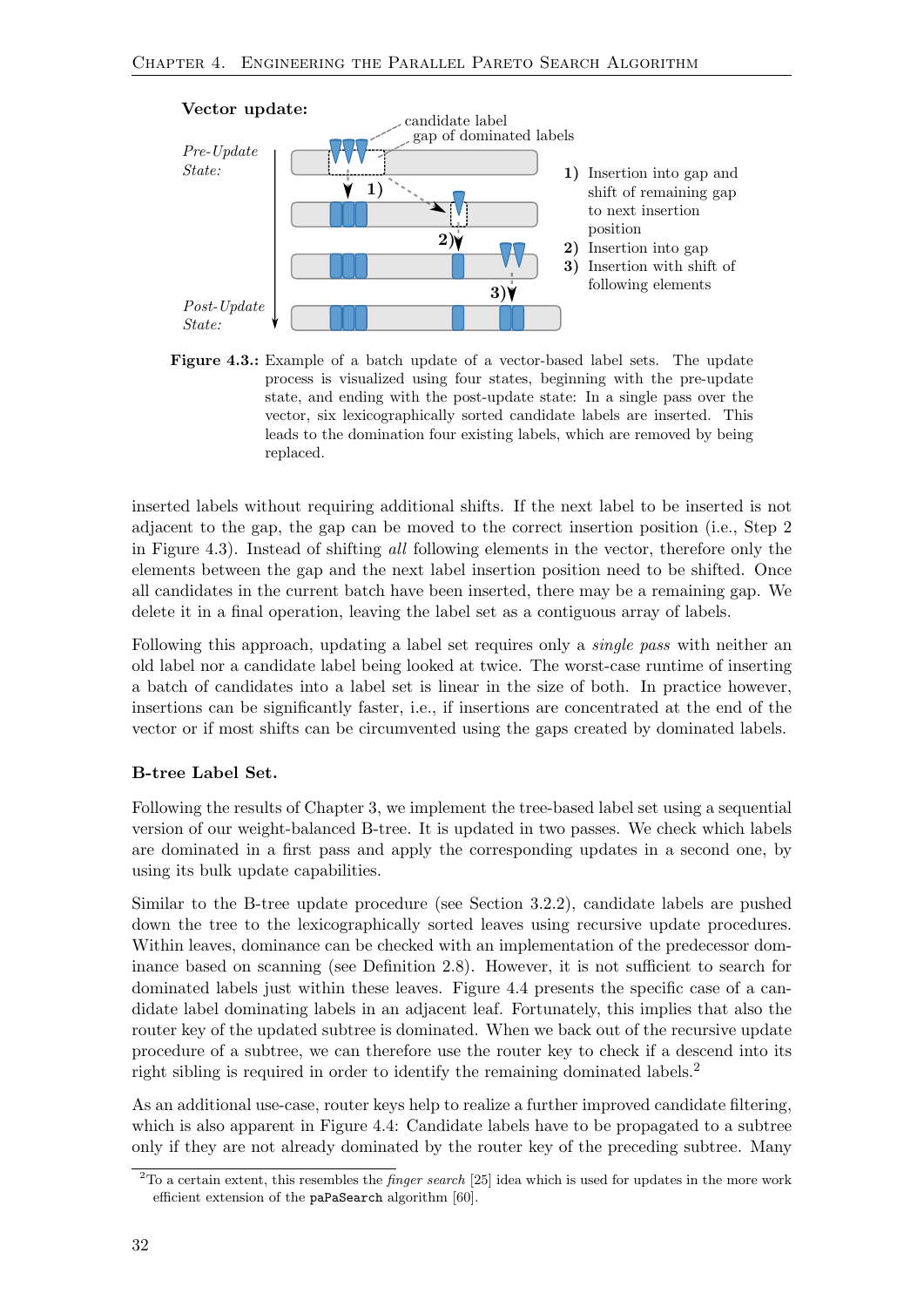<span id="page-39-0"></span>

Figure 4.3.: Example of a batch update of a vector-based label sets. The update process is visualized using four states, beginning with the pre-update state, and ending with the post-update state: In a single pass over the vector, six lexicographically sorted candidate labels are inserted. This leads to the domination four existing labels, which are removed by being replaced.

inserted labels without requiring additional shifts. If the next label to be inserted is not adjacent to the gap, the gap can be moved to the correct insertion position (i.e., Step 2 in Figure [4.3\)](#page-39-0). Instead of shifting all following elements in the vector, therefore only the elements between the gap and the next label insertion position need to be shifted. Once all candidates in the current batch have been inserted, there may be a remaining gap. We delete it in a final operation, leaving the label set as a contiguous array of labels.

Following this approach, updating a label set requires only a *single pass* with neither an old label nor a candidate label being looked at twice. The worst-case runtime of inserting a batch of candidates into a label set is linear in the size of both. In practice however, insertions can be significantly faster, i.e., if insertions are concentrated at the end of the vector or if most shifts can be circumvented using the gaps created by dominated labels.

#### B-tree Label Set.

Following the results of Chapter [3,](#page-20-0) we implement the tree-based label set using a sequential version of our weight-balanced B-tree. It is updated in two passes. We check which labels are dominated in a first pass and apply the corresponding updates in a second one, by using its bulk update capabilities.

Similar to the B-tree update procedure (see Section [3.2.2\)](#page-23-0), candidate labels are pushed down the tree to the lexicographically sorted leaves using recursive update procedures. Within leaves, dominance can be checked with an implementation of the predecessor dominance based on scanning (see Definition [2.8\)](#page-18-2). However, it is not sufficient to search for dominated labels just within these leaves. Figure [4.4](#page-40-0) presents the specific case of a candidate label dominating labels in an adjacent leaf. Fortunately, this implies that also the router key of the updated subtree is dominated. When we back out of the recursive update procedure of a subtree, we can therefore use the router key to check if a descend into its right sibling is required in order to identify the remaining dominated labels.[2](#page-39-1)

As an additional use-case, router keys help to realize a further improved candidate filtering, which is also apparent in Figure [4.4:](#page-40-0) Candidate labels have to be propagated to a subtree only if they are not already dominated by the router key of the preceding subtree. Many

<span id="page-39-1"></span> $2$ To a certain extent, this resembles the *finger search* [\[25\]](#page-64-11) idea which is used for updates in the more work efficient extension of the paPaSearch algorithm [\[60\]](#page-66-1).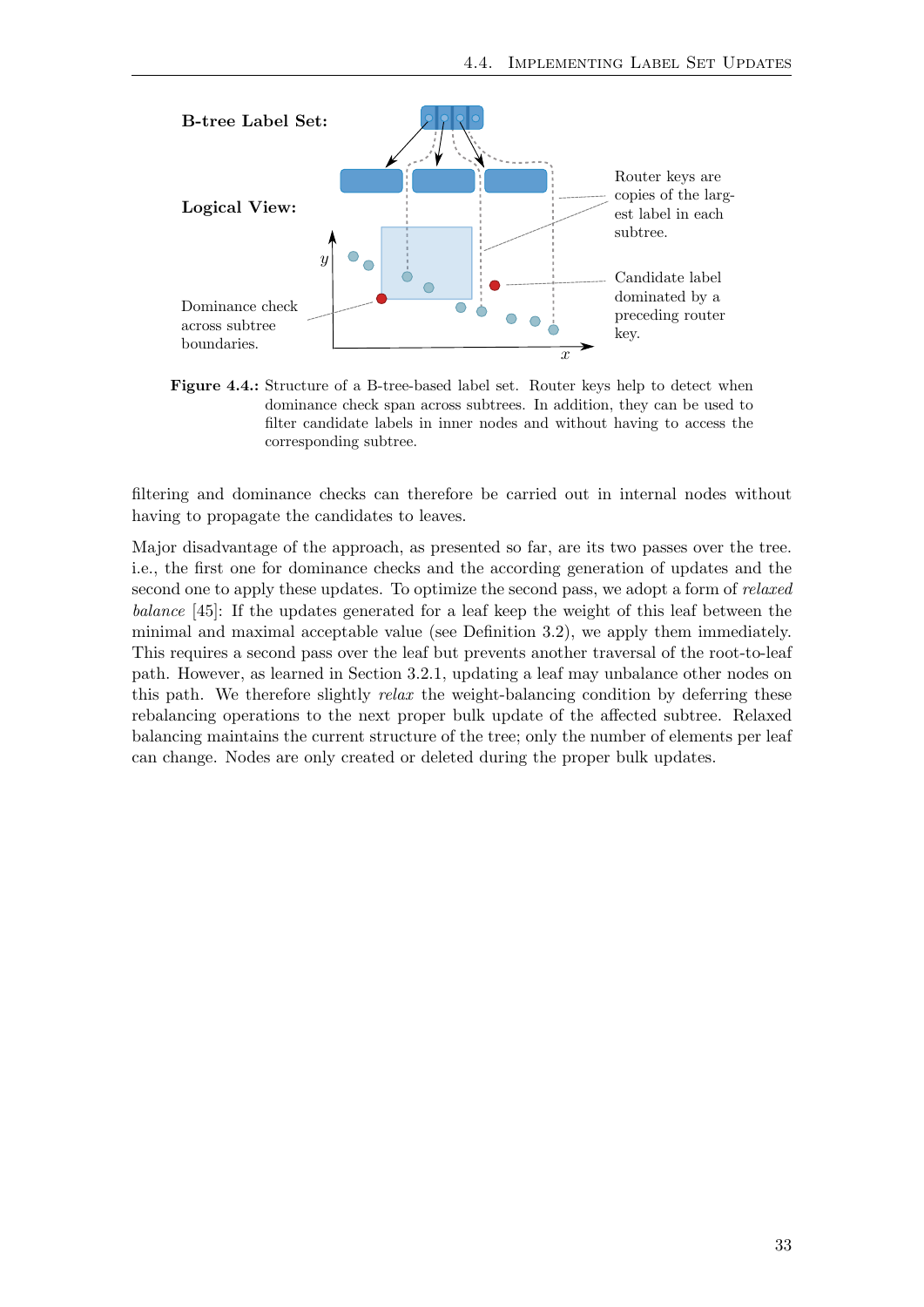<span id="page-40-0"></span>

Figure 4.4.: Structure of a B-tree-based label set. Router keys help to detect when dominance check span across subtrees. In addition, they can be used to filter candidate labels in inner nodes and without having to access the corresponding subtree.

filtering and dominance checks can therefore be carried out in internal nodes without having to propagate the candidates to leaves.

Major disadvantage of the approach, as presented so far, are its two passes over the tree. i.e., the first one for dominance checks and the according generation of updates and the second one to apply these updates. To optimize the second pass, we adopt a form of relaxed balance [\[45\]](#page-65-9): If the updates generated for a leaf keep the weight of this leaf between the minimal and maximal acceptable value (see Definition [3.2\)](#page-22-2), we apply them immediately. This requires a second pass over the leaf but prevents another traversal of the root-to-leaf path. However, as learned in Section [3.2.1,](#page-22-0) updating a leaf may unbalance other nodes on this path. We therefore slightly  $relax$  the weight-balancing condition by deferring these rebalancing operations to the next proper bulk update of the affected subtree. Relaxed balancing maintains the current structure of the tree; only the number of elements per leaf can change. Nodes are only created or deleted during the proper bulk updates.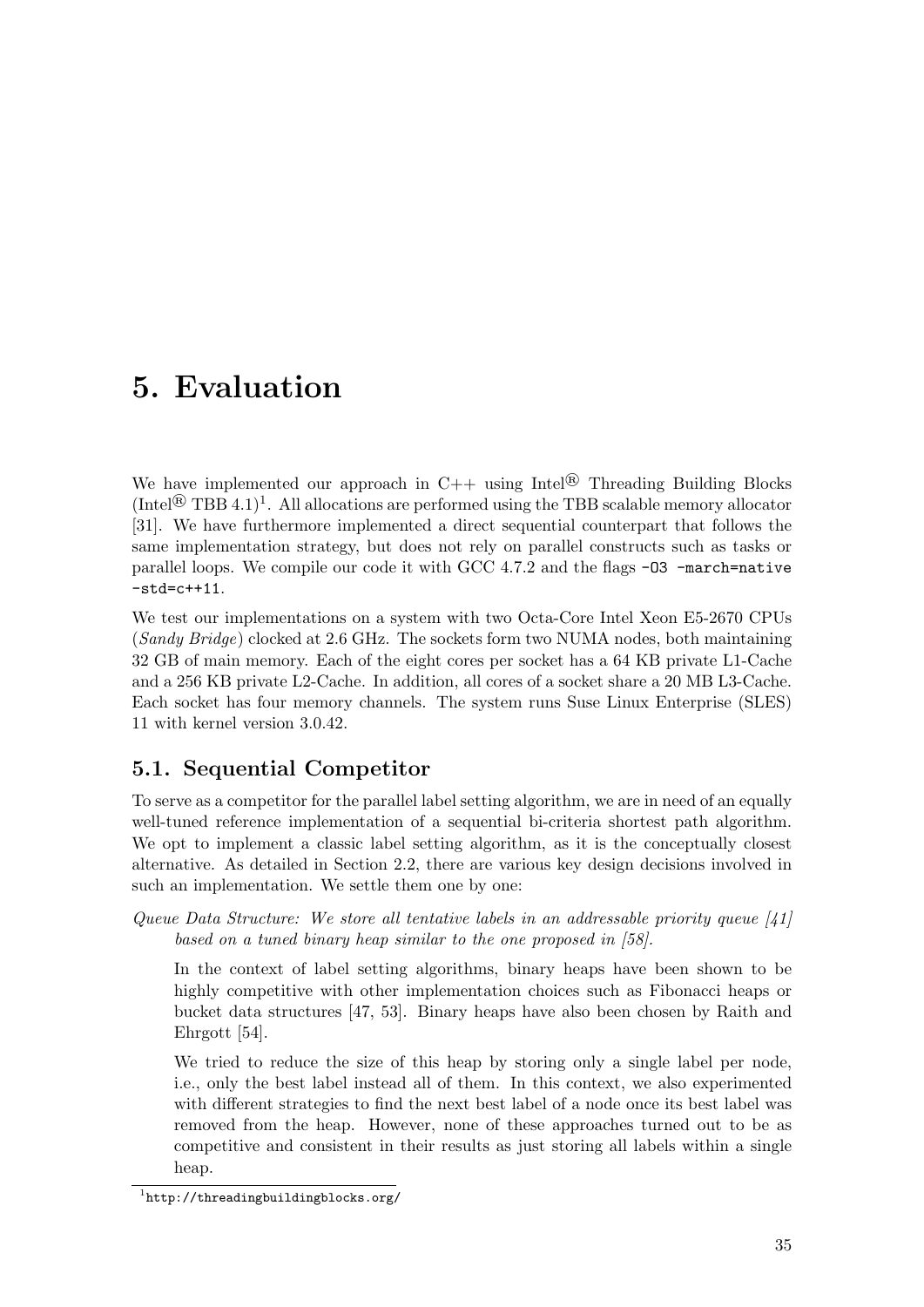# <span id="page-42-0"></span>5. Evaluation

We have implemented our approach in  $C++$  using Intel<sup>®</sup> Threading Building Blocks  $(Intel<sup>®</sup> TBB 4.1)<sup>1</sup>$  $(Intel<sup>®</sup> TBB 4.1)<sup>1</sup>$  $(Intel<sup>®</sup> TBB 4.1)<sup>1</sup>$ . All allocations are performed using the TBB scalable memory allocator [\[31\]](#page-64-10). We have furthermore implemented a direct sequential counterpart that follows the same implementation strategy, but does not rely on parallel constructs such as tasks or parallel loops. We compile our code it with GCC 4.7.2 and the flags -O3 -march=native -std=c++11.

We test our implementations on a system with two Octa-Core Intel Xeon E5-2670 CPUs (Sandy Bridge) clocked at 2.6 GHz. The sockets form two NUMA nodes, both maintaining 32 GB of main memory. Each of the eight cores per socket has a 64 KB private L1-Cache and a 256 KB private L2-Cache. In addition, all cores of a socket share a 20 MB L3-Cache. Each socket has four memory channels. The system runs Suse Linux Enterprise (SLES) 11 with kernel version 3.0.42.

## <span id="page-42-1"></span>5.1. Sequential Competitor

To serve as a competitor for the parallel label setting algorithm, we are in need of an equally well-tuned reference implementation of a sequential bi-criteria shortest path algorithm. We opt to implement a classic label setting algorithm, as it is the conceptually closest alternative. As detailed in Section [2.2,](#page-14-0) there are various key design decisions involved in such an implementation. We settle them one by one:

Queue Data Structure: We store all tentative labels in an addressable priority queue [\[41\]](#page-65-8) based on a tuned binary heap similar to the one proposed in [\[58\]](#page-66-11).

In the context of label setting algorithms, binary heaps have been shown to be highly competitive with other implementation choices such as Fibonacci heaps or bucket data structures [\[47,](#page-65-2) [53\]](#page-66-3). Binary heaps have also been chosen by Raith and Ehrgott [\[54\]](#page-66-0).

We tried to reduce the size of this heap by storing only a single label per node, i.e., only the best label instead all of them. In this context, we also experimented with different strategies to find the next best label of a node once its best label was removed from the heap. However, none of these approaches turned out to be as competitive and consistent in their results as just storing all labels within a single heap.

<span id="page-42-2"></span><sup>1</sup> <http://threadingbuildingblocks.org/>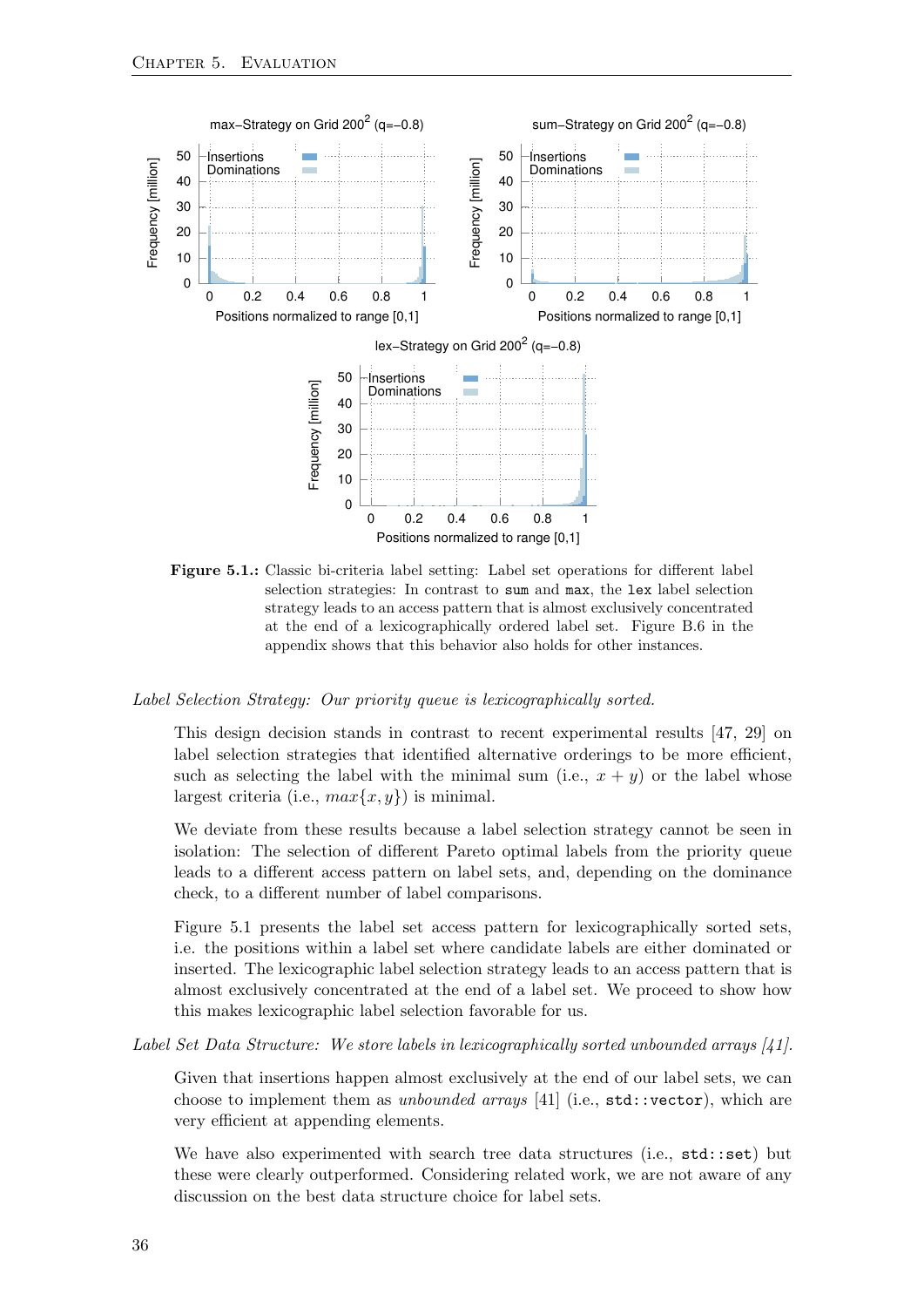<span id="page-43-0"></span>

Figure 5.1.: Classic bi-criteria label setting: Label set operations for different label selection strategies: In contrast to sum and max, the lex label selection strategy leads to an access pattern that is almost exclusively concentrated at the end of a lexicographically ordered label set. Figure [B.6](#page-61-2) in the appendix shows that this behavior also holds for other instances.

Label Selection Strategy: Our priority queue is lexicographically sorted.

This design decision stands in contrast to recent experimental results [\[47,](#page-65-2) [29\]](#page-64-3) on label selection strategies that identified alternative orderings to be more efficient, such as selecting the label with the minimal sum (i.e.,  $x + y$ ) or the label whose largest criteria (i.e.,  $max\{x, y\}$ ) is minimal.

We deviate from these results because a label selection strategy cannot be seen in isolation: The selection of different Pareto optimal labels from the priority queue leads to a different access pattern on label sets, and, depending on the dominance check, to a different number of label comparisons.

Figure [5.1](#page-43-0) presents the label set access pattern for lexicographically sorted sets, i.e. the positions within a label set where candidate labels are either dominated or inserted. The lexicographic label selection strategy leads to an access pattern that is almost exclusively concentrated at the end of a label set. We proceed to show how this makes lexicographic label selection favorable for us.

Label Set Data Structure: We store labels in lexicographically sorted unbounded arrays [\[41\]](#page-65-8).

Given that insertions happen almost exclusively at the end of our label sets, we can choose to implement them as *unbounded arrays* [\[41\]](#page-65-8) (i.e.,  $std:vector$ ), which are very efficient at appending elements.

We have also experimented with search tree data structures (i.e.,  $\text{std}$ ::set) but these were clearly outperformed. Considering related work, we are not aware of any discussion on the best data structure choice for label sets.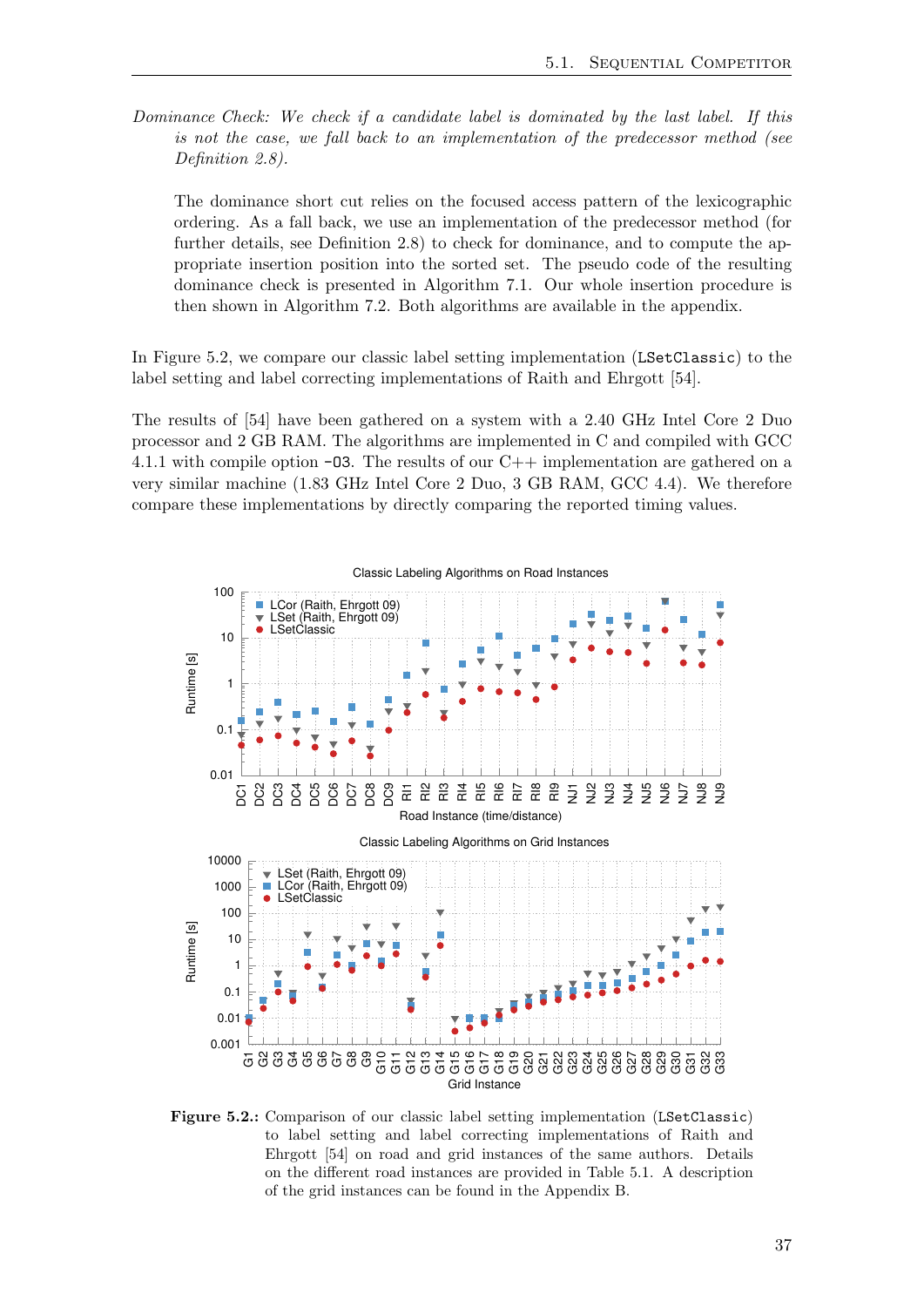Dominance Check: We check if a candidate label is dominated by the last label. If this is not the case, we fall back to an implementation of the predecessor method (see Definition [2.8\)](#page-18-2).

The dominance short cut relies on the focused access pattern of the lexicographic ordering. As a fall back, we use an implementation of the predecessor method (for further details, see Definition [2.8\)](#page-18-2) to check for dominance, and to compute the appropriate insertion position into the sorted set. The pseudo code of the resulting dominance check is presented in Algorithm [7.1.](#page-61-0) Our whole insertion procedure is then shown in Algorithm [7.2.](#page-61-1) Both algorithms are available in the appendix.

In Figure [5.2,](#page-44-0) we compare our classic label setting implementation (LSetClassic) to the label setting and label correcting implementations of Raith and Ehrgott [\[54\]](#page-66-0).

The results of [\[54\]](#page-66-0) have been gathered on a system with a 2.40 GHz Intel Core 2 Duo processor and 2 GB RAM. The algorithms are implemented in C and compiled with GCC 4.1.1 with compile option  $-03$ . The results of our C++ implementation are gathered on a very similar machine (1.83 GHz Intel Core 2 Duo, 3 GB RAM, GCC 4.4). We therefore compare these implementations by directly comparing the reported timing values.

<span id="page-44-0"></span>

Figure 5.2.: Comparison of our classic label setting implementation (LSetClassic) to label setting and label correcting implementations of Raith and Ehrgott [\[54\]](#page-66-0) on road and grid instances of the same authors. Details on the different road instances are provided in Table [5.1.](#page-46-2) A description of the grid instances can be found in the Appendix [B.](#page-60-0)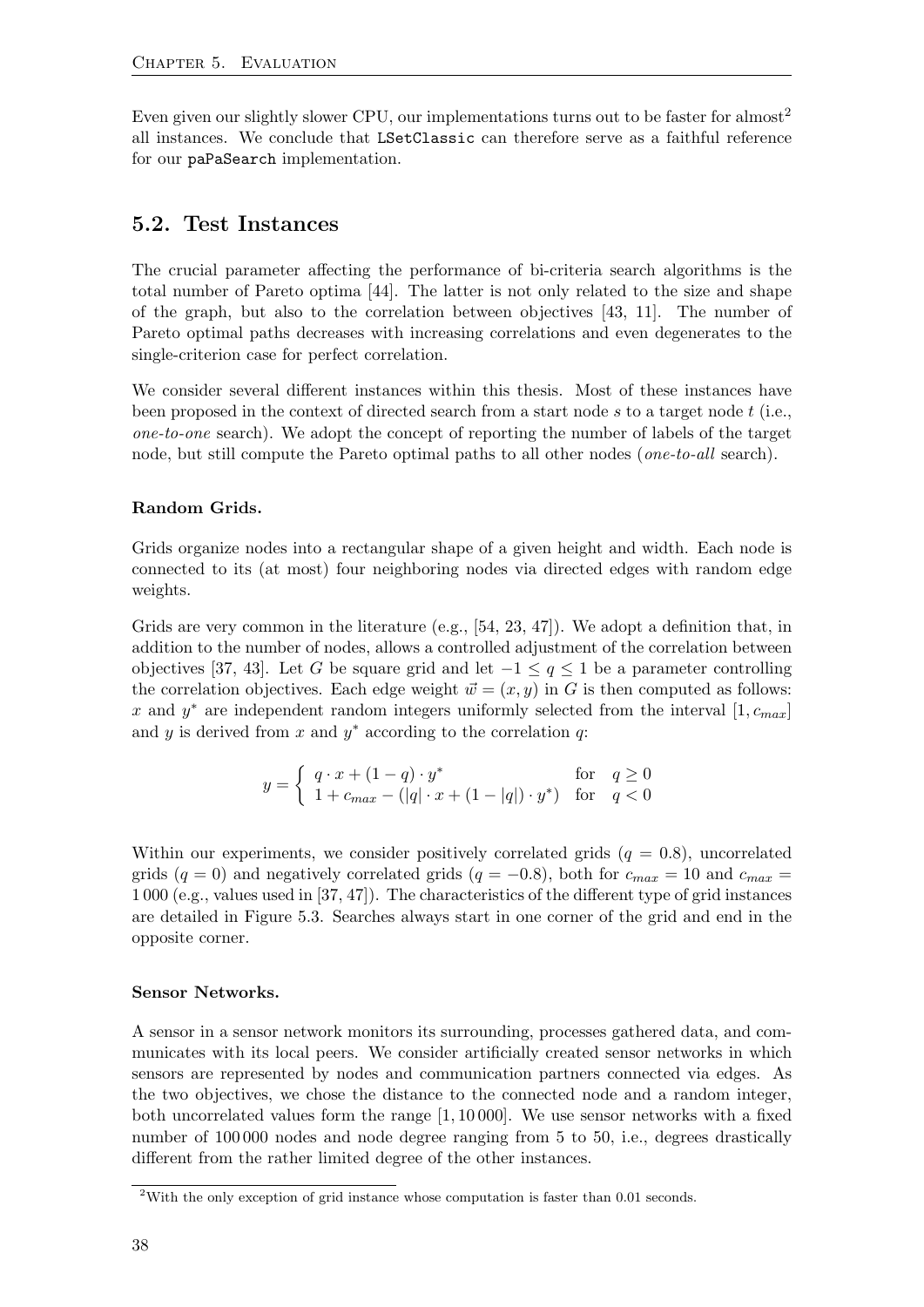Even given our slightly slower CPU, our implementations turns out to be faster for almost<sup>[2](#page-45-1)</sup> all instances. We conclude that LSetClassic can therefore serve as a faithful reference for our paPaSearch implementation.

#### <span id="page-45-0"></span>5.2. Test Instances

The crucial parameter affecting the performance of bi-criteria search algorithms is the total number of Pareto optima [\[44\]](#page-65-0). The latter is not only related to the size and shape of the graph, but also to the correlation between objectives [\[43,](#page-65-10) [11\]](#page-63-7). The number of Pareto optimal paths decreases with increasing correlations and even degenerates to the single-criterion case for perfect correlation.

We consider several different instances within this thesis. Most of these instances have been proposed in the context of directed search from a start node s to a target node  $t$  (i.e., one-to-one search). We adopt the concept of reporting the number of labels of the target node, but still compute the Pareto optimal paths to all other nodes (one-to-all search).

#### Random Grids.

Grids organize nodes into a rectangular shape of a given height and width. Each node is connected to its (at most) four neighboring nodes via directed edges with random edge weights.

Grids are very common in the literature (e.g., [\[54,](#page-66-0) [23,](#page-63-3) [47\]](#page-65-2)). We adopt a definition that, in addition to the number of nodes, allows a controlled adjustment of the correlation between objectives [\[37,](#page-65-11) [43\]](#page-65-10). Let G be square grid and let  $-1 \le q \le 1$  be a parameter controlling the correlation objectives. Each edge weight  $\vec{w} = (x, y)$  in G is then computed as follows: x and  $y^*$  are independent random integers uniformly selected from the interval  $[1, c_{max}]$ and  $y$  is derived from  $x$  and  $y^*$  according to the correlation  $q$ :

$$
y = \begin{cases} q \cdot x + (1-q) \cdot y^* & \text{for} \quad q \ge 0 \\ 1 + c_{max} - (|q| \cdot x + (1-|q|) \cdot y^*) & \text{for} \quad q < 0 \end{cases}
$$

Within our experiments, we consider positively correlated grids  $(q = 0.8)$ , uncorrelated grids  $(q = 0)$  and negatively correlated grids  $(q = -0.8)$ , both for  $c_{max} = 10$  and  $c_{max} =$ 1 000 (e.g., values used in [\[37,](#page-65-11) [47\]](#page-65-2)). The characteristics of the different type of grid instances are detailed in Figure [5.3.](#page-46-1) Searches always start in one corner of the grid and end in the opposite corner.

#### Sensor Networks.

A sensor in a sensor network monitors its surrounding, processes gathered data, and communicates with its local peers. We consider artificially created sensor networks in which sensors are represented by nodes and communication partners connected via edges. As the two objectives, we chose the distance to the connected node and a random integer, both uncorrelated values form the range [1, 10 000]. We use sensor networks with a fixed number of 100,000 nodes and node degree ranging from 5 to 50, i.e., degrees drastically different from the rather limited degree of the other instances.

<span id="page-45-1"></span><sup>2</sup>With the only exception of grid instance whose computation is faster than 0.01 seconds.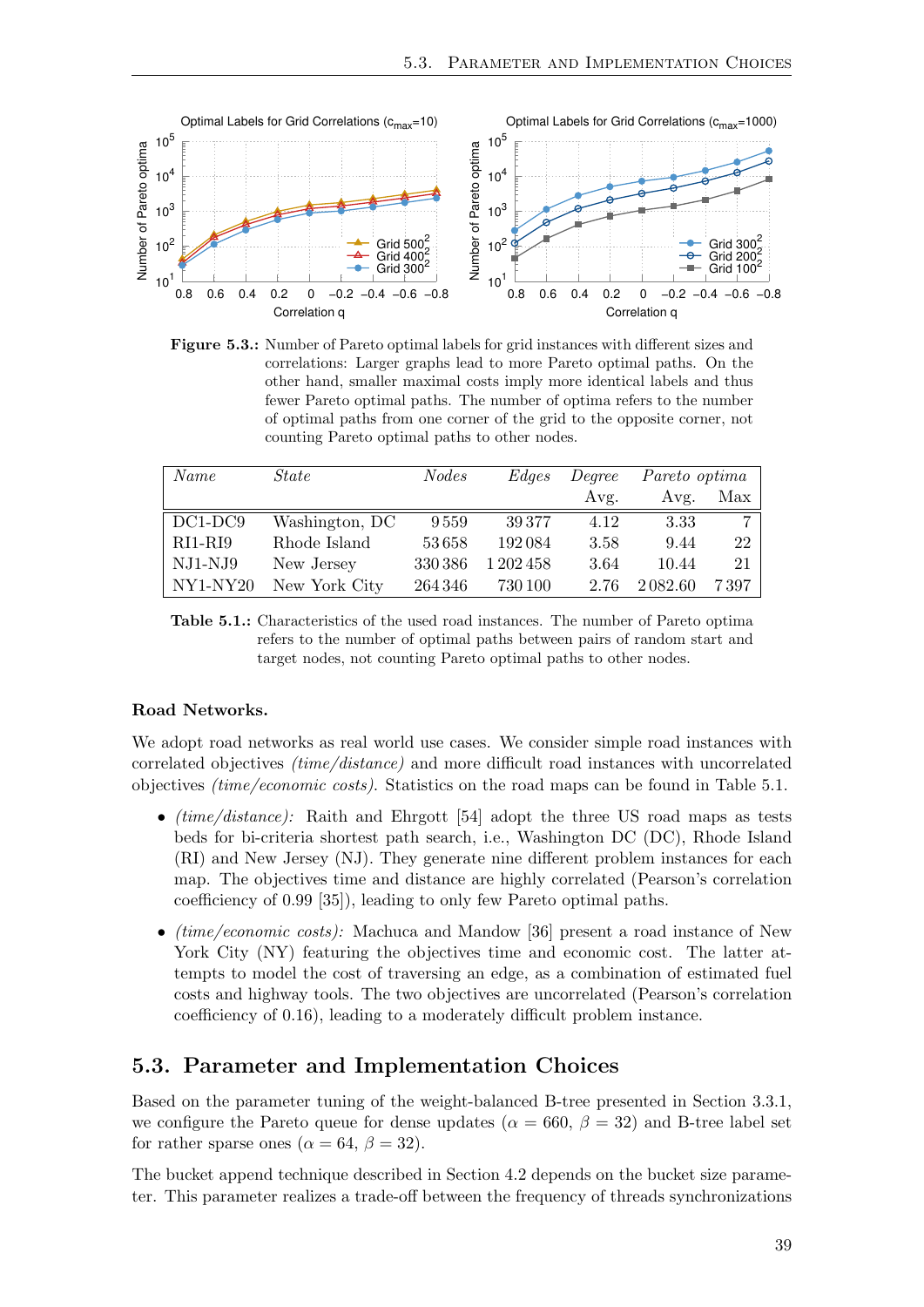<span id="page-46-1"></span>

Figure 5.3.: Number of Pareto optimal labels for grid instances with different sizes and correlations: Larger graphs lead to more Pareto optimal paths. On the other hand, smaller maximal costs imply more identical labels and thus fewer Pareto optimal paths. The number of optima refers to the number of optimal paths from one corner of the grid to the opposite corner, not counting Pareto optimal paths to other nodes.

<span id="page-46-2"></span>

| Name       | State          | <i>Nodes</i> | Edges     | Degree | Pareto optima |                |
|------------|----------------|--------------|-----------|--------|---------------|----------------|
|            |                |              |           | Avg.   | Avg.          | Max            |
| $DC1-DC9$  | Washington, DC | 9559         | 39377     | 4.12   | 3.33          | 7 <sup>1</sup> |
| RI1-RI9    | Rhode Island   | 53658        | 192084    | 3.58   | 9.44          | 22             |
| $NJ1-NJ9$  | New Jersey     | 330386       | 1 202 458 | 3.64   | 10.44         | 21             |
| $NY1-NY20$ | New York City  | 264346       | 730 100   | 2.76   | 2082.60       | 7 397          |

Table 5.1.: Characteristics of the used road instances. The number of Pareto optima refers to the number of optimal paths between pairs of random start and target nodes, not counting Pareto optimal paths to other nodes.

#### Road Networks.

We adopt road networks as real world use cases. We consider simple road instances with correlated objectives (time/distance) and more difficult road instances with uncorrelated objectives (time/economic costs). Statistics on the road maps can be found in Table [5.1.](#page-46-2)

- *(time/distance)*: Raith and Ehrgott [\[54\]](#page-66-0) adopt the three US road maps as tests beds for bi-criteria shortest path search, i.e., Washington DC (DC), Rhode Island (RI) and New Jersey (NJ). They generate nine different problem instances for each map. The objectives time and distance are highly correlated (Pearson's correlation coefficiency of 0.99 [\[35\]](#page-64-12)), leading to only few Pareto optimal paths.
- *(time/economic costs)*: Machuca and Mandow [\[36\]](#page-64-0) present a road instance of New York City (NY) featuring the objectives time and economic cost. The latter attempts to model the cost of traversing an edge, as a combination of estimated fuel costs and highway tools. The two objectives are uncorrelated (Pearson's correlation coefficiency of 0.16), leading to a moderately difficult problem instance.

#### <span id="page-46-0"></span>5.3. Parameter and Implementation Choices

Based on the parameter tuning of the weight-balanced B-tree presented in Section [3.3.1,](#page-27-0) we configure the Pareto queue for dense updates ( $\alpha = 660, \beta = 32$ ) and B-tree label set for rather sparse ones ( $\alpha = 64$ ,  $\beta = 32$ ).

The bucket append technique described in Section [4.2](#page-36-0) depends on the bucket size parameter. This parameter realizes a trade-off between the frequency of threads synchronizations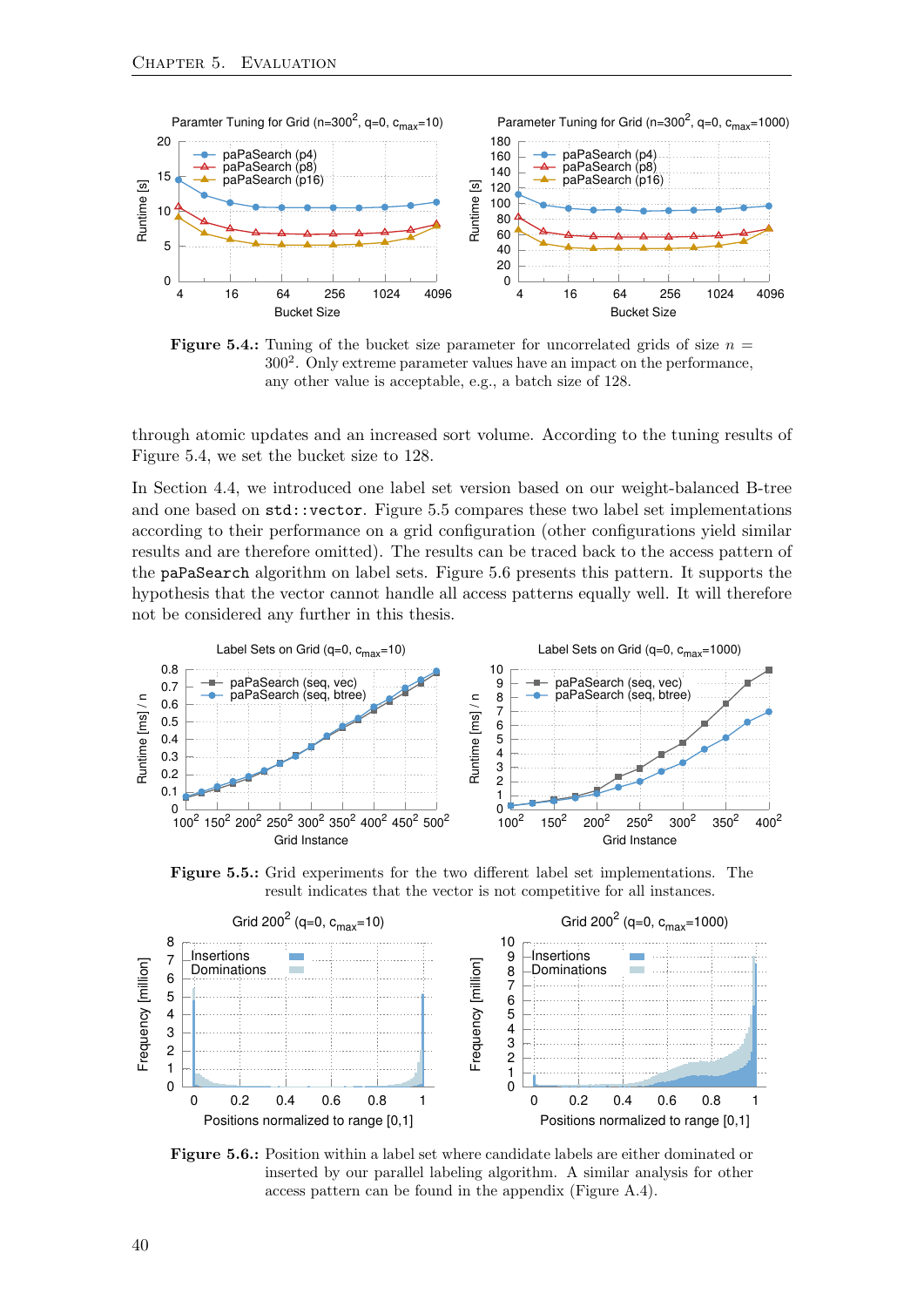<span id="page-47-0"></span>

**Figure 5.4.:** Tuning of the bucket size parameter for uncorrelated grids of size  $n =$ 300<sup>2</sup> . Only extreme parameter values have an impact on the performance, any other value is acceptable, e.g., a batch size of 128.

through atomic updates and an increased sort volume. According to the tuning results of Figure [5.4,](#page-47-0) we set the bucket size to 128.

In Section [4.4,](#page-38-0) we introduced one label set version based on our weight-balanced B-tree and one based on std::vector. Figure [5.5](#page-47-1) compares these two label set implementations according to their performance on a grid configuration (other configurations yield similar results and are therefore omitted). The results can be traced back to the access pattern of the paPaSearch algorithm on label sets. Figure [5.6](#page-47-1) presents this pattern. It supports the hypothesis that the vector cannot handle all access patterns equally well. It will therefore not be considered any further in this thesis.

<span id="page-47-1"></span>

Figure 5.5.: Grid experiments for the two different label set implementations. The result indicates that the vector is not competitive for all instances.



Figure 5.6.: Position within a label set where candidate labels are either dominated or inserted by our parallel labeling algorithm. A similar analysis for other access pattern can be found in the appendix (Figure [A.4\)](#page-58-0).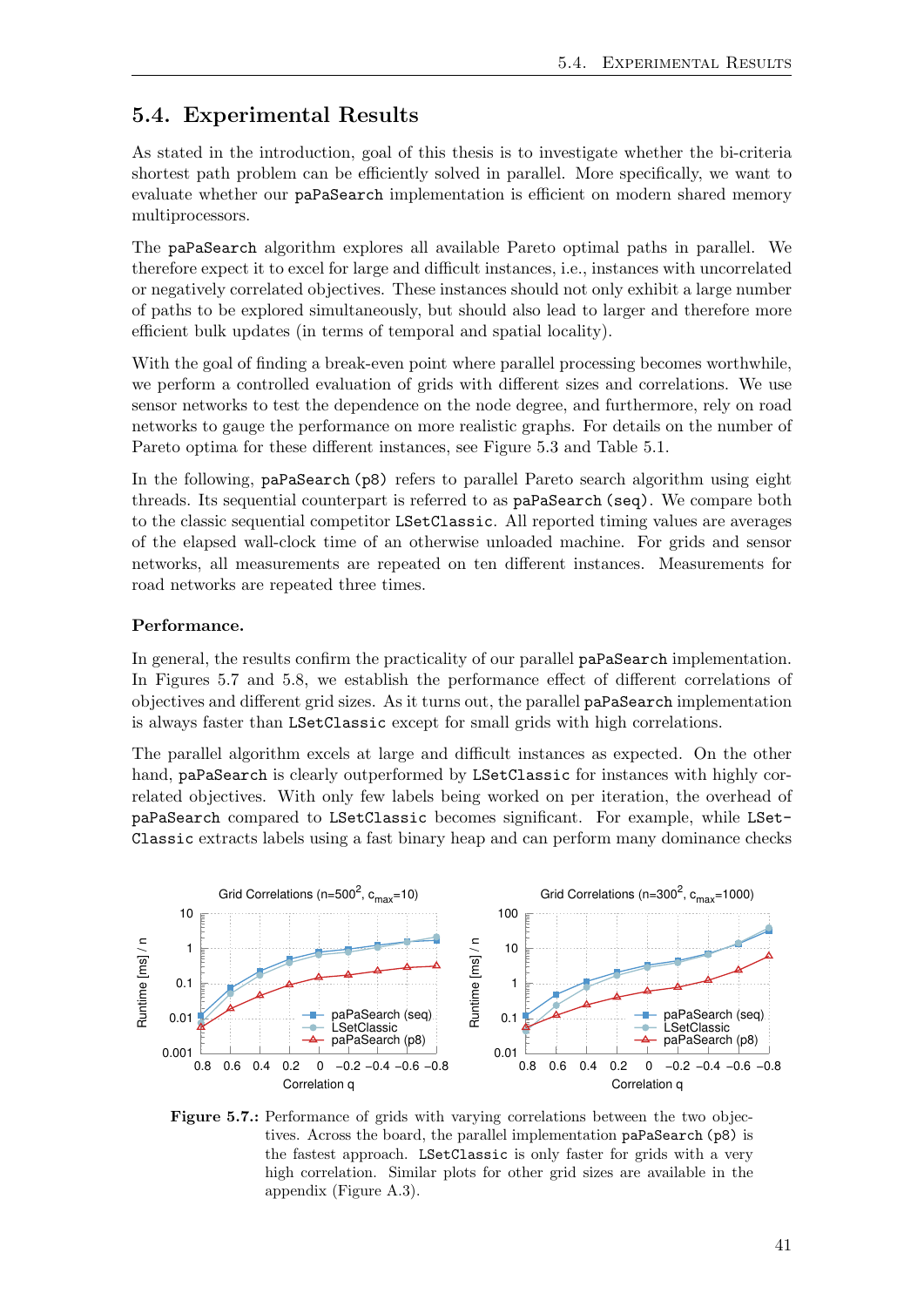## <span id="page-48-0"></span>5.4. Experimental Results

As stated in the introduction, goal of this thesis is to investigate whether the bi-criteria shortest path problem can be efficiently solved in parallel. More specifically, we want to evaluate whether our paPaSearch implementation is efficient on modern shared memory multiprocessors.

The paPaSearch algorithm explores all available Pareto optimal paths in parallel. We therefore expect it to excel for large and difficult instances, i.e., instances with uncorrelated or negatively correlated objectives. These instances should not only exhibit a large number of paths to be explored simultaneously, but should also lead to larger and therefore more efficient bulk updates (in terms of temporal and spatial locality).

With the goal of finding a break-even point where parallel processing becomes worthwhile, we perform a controlled evaluation of grids with different sizes and correlations. We use sensor networks to test the dependence on the node degree, and furthermore, rely on road networks to gauge the performance on more realistic graphs. For details on the number of Pareto optima for these different instances, see Figure [5.3](#page-46-1) and Table [5.1.](#page-46-2)

In the following, paPaSearch (p8) refers to parallel Pareto search algorithm using eight threads. Its sequential counterpart is referred to as paPaSearch (seq). We compare both to the classic sequential competitor LSetClassic. All reported timing values are averages of the elapsed wall-clock time of an otherwise unloaded machine. For grids and sensor networks, all measurements are repeated on ten different instances. Measurements for road networks are repeated three times.

#### Performance.

In general, the results confirm the practicality of our parallel paPaSearch implementation. In Figures [5.7](#page-48-1) and [5.8,](#page-49-0) we establish the performance effect of different correlations of objectives and different grid sizes. As it turns out, the parallel paPaSearch implementation is always faster than LSetClassic except for small grids with high correlations.

The parallel algorithm excels at large and difficult instances as expected. On the other hand, paPaSearch is clearly outperformed by LSetClassic for instances with highly correlated objectives. With only few labels being worked on per iteration, the overhead of paPaSearch compared to LSetClassic becomes significant. For example, while LSet-Classic extracts labels using a fast binary heap and can perform many dominance checks

<span id="page-48-1"></span>

Figure 5.7.: Performance of grids with varying correlations between the two objectives. Across the board, the parallel implementation paPaSearch (p8) is the fastest approach. LSetClassic is only faster for grids with a very high correlation. Similar plots for other grid sizes are available in the appendix (Figure [A.3\)](#page-57-0).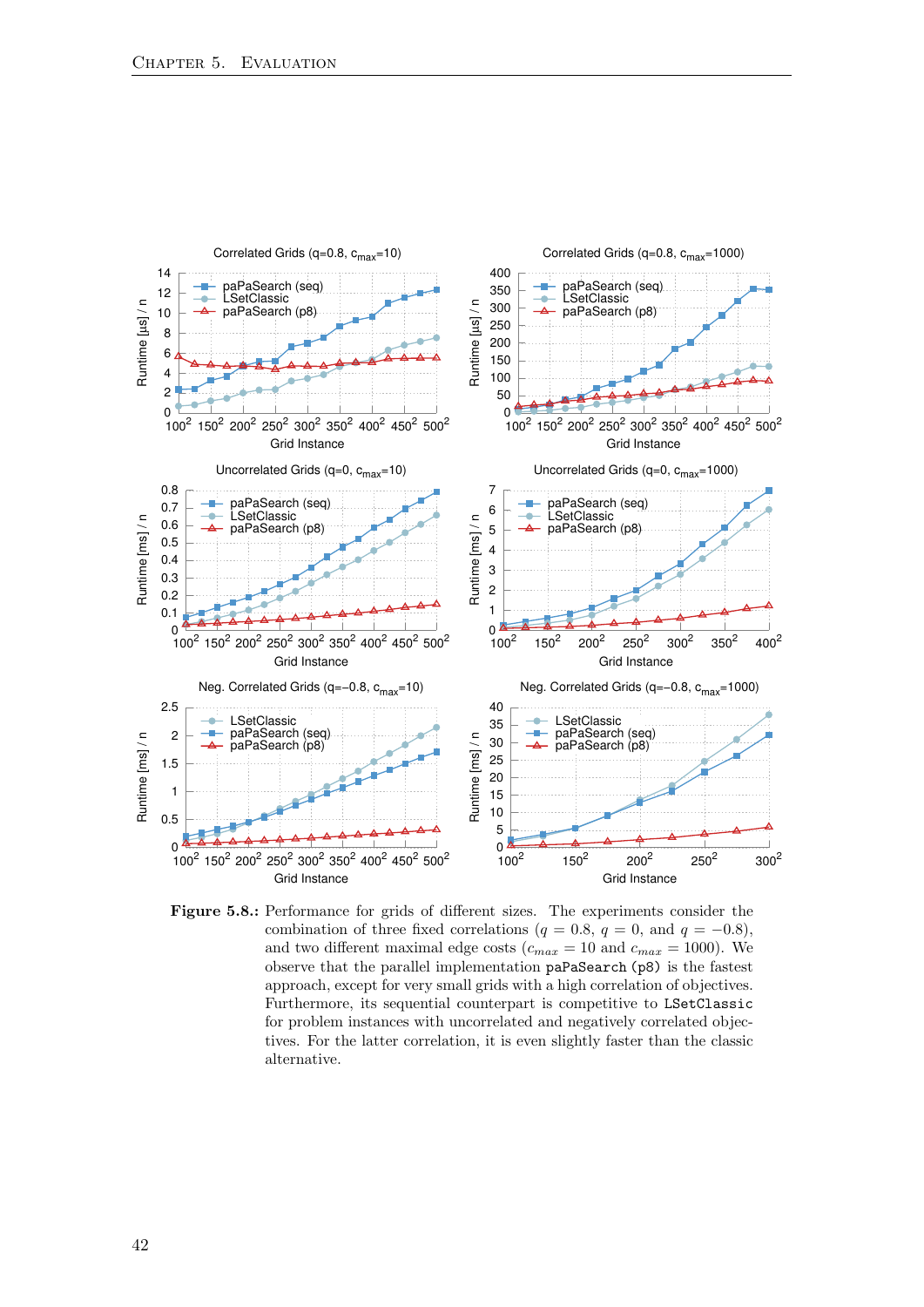<span id="page-49-0"></span>

Figure 5.8.: Performance for grids of different sizes. The experiments consider the combination of three fixed correlations ( $q = 0.8$ ,  $q = 0$ , and  $q = -0.8$ ), and two different maximal edge costs ( $c_{max} = 10$  and  $c_{max} = 1000$ ). We observe that the parallel implementation paPaSearch (p8) is the fastest approach, except for very small grids with a high correlation of objectives. Furthermore, its sequential counterpart is competitive to LSetClassic for problem instances with uncorrelated and negatively correlated objectives. For the latter correlation, it is even slightly faster than the classic alternative.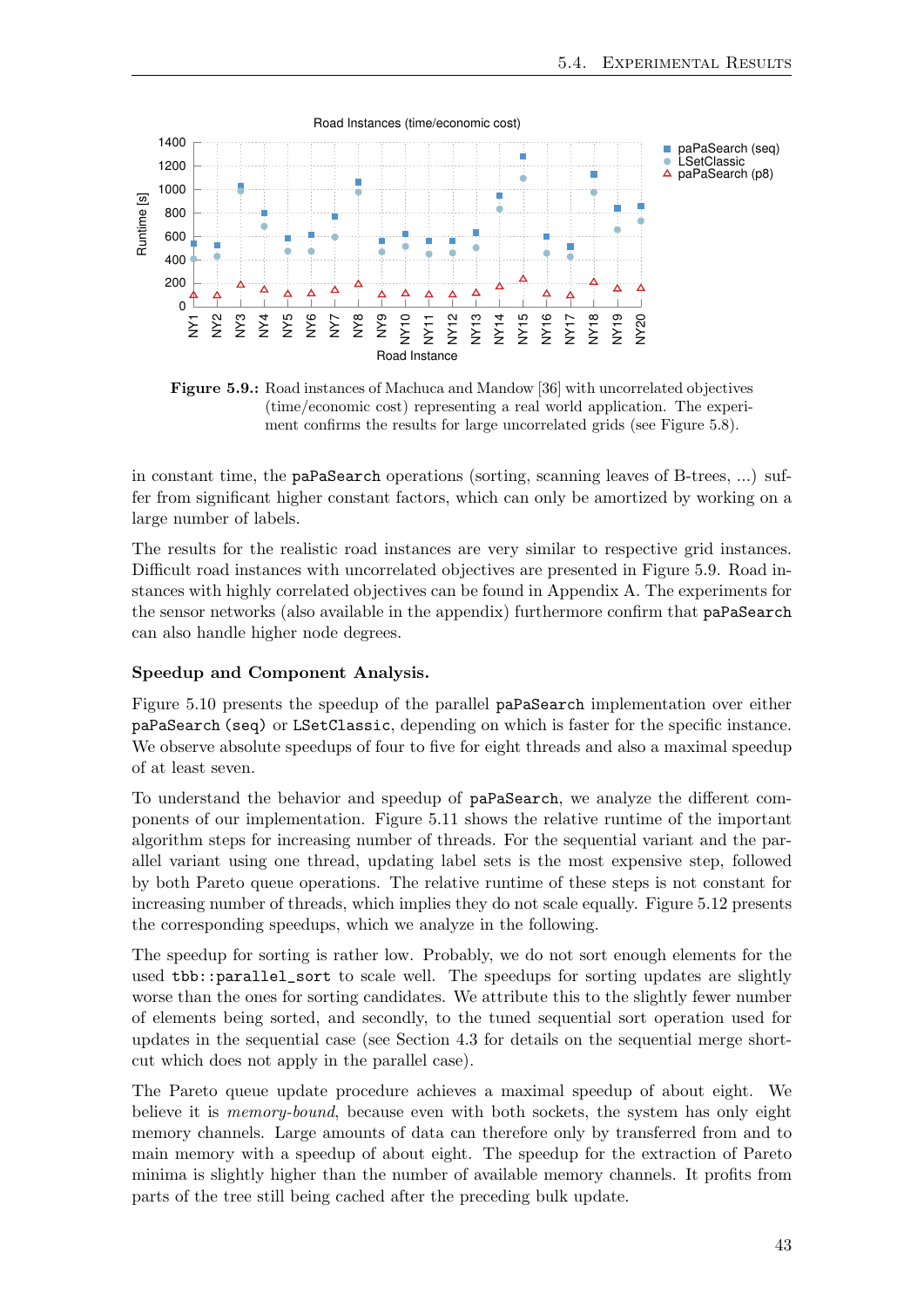<span id="page-50-0"></span>

Figure 5.9.: Road instances of Machuca and Mandow [\[36\]](#page-64-0) with uncorrelated objectives (time/economic cost) representing a real world application. The experiment confirms the results for large uncorrelated grids (see Figure [5.8\)](#page-49-0).

in constant time, the paPaSearch operations (sorting, scanning leaves of B-trees, ...) suffer from significant higher constant factors, which can only be amortized by working on a large number of labels.

The results for the realistic road instances are very similar to respective grid instances. Difficult road instances with uncorrelated objectives are presented in Figure [5.9.](#page-50-0) Road instances with highly correlated objectives can be found in Appendix [A.](#page-56-1) The experiments for the sensor networks (also available in the appendix) furthermore confirm that paPaSearch can also handle higher node degrees.

#### Speedup and Component Analysis.

Figure [5.10](#page-51-0) presents the speedup of the parallel paPaSearch implementation over either paPaSearch (seq) or LSetClassic, depending on which is faster for the specific instance. We observe absolute speedups of four to five for eight threads and also a maximal speedup of at least seven.

To understand the behavior and speedup of paPaSearch, we analyze the different components of our implementation. Figure [5.11](#page-52-0) shows the relative runtime of the important algorithm steps for increasing number of threads. For the sequential variant and the parallel variant using one thread, updating label sets is the most expensive step, followed by both Pareto queue operations. The relative runtime of these steps is not constant for increasing number of threads, which implies they do not scale equally. Figure [5.12](#page-52-0) presents the corresponding speedups, which we analyze in the following.

The speedup for sorting is rather low. Probably, we do not sort enough elements for the used tbb::parallel\_sort to scale well. The speedups for sorting updates are slightly worse than the ones for sorting candidates. We attribute this to the slightly fewer number of elements being sorted, and secondly, to the tuned sequential sort operation used for updates in the sequential case (see Section [4.3](#page-36-1) for details on the sequential merge shortcut which does not apply in the parallel case).

The Pareto queue update procedure achieves a maximal speedup of about eight. We believe it is *memory-bound*, because even with both sockets, the system has only eight memory channels. Large amounts of data can therefore only by transferred from and to main memory with a speedup of about eight. The speedup for the extraction of Pareto minima is slightly higher than the number of available memory channels. It profits from parts of the tree still being cached after the preceding bulk update.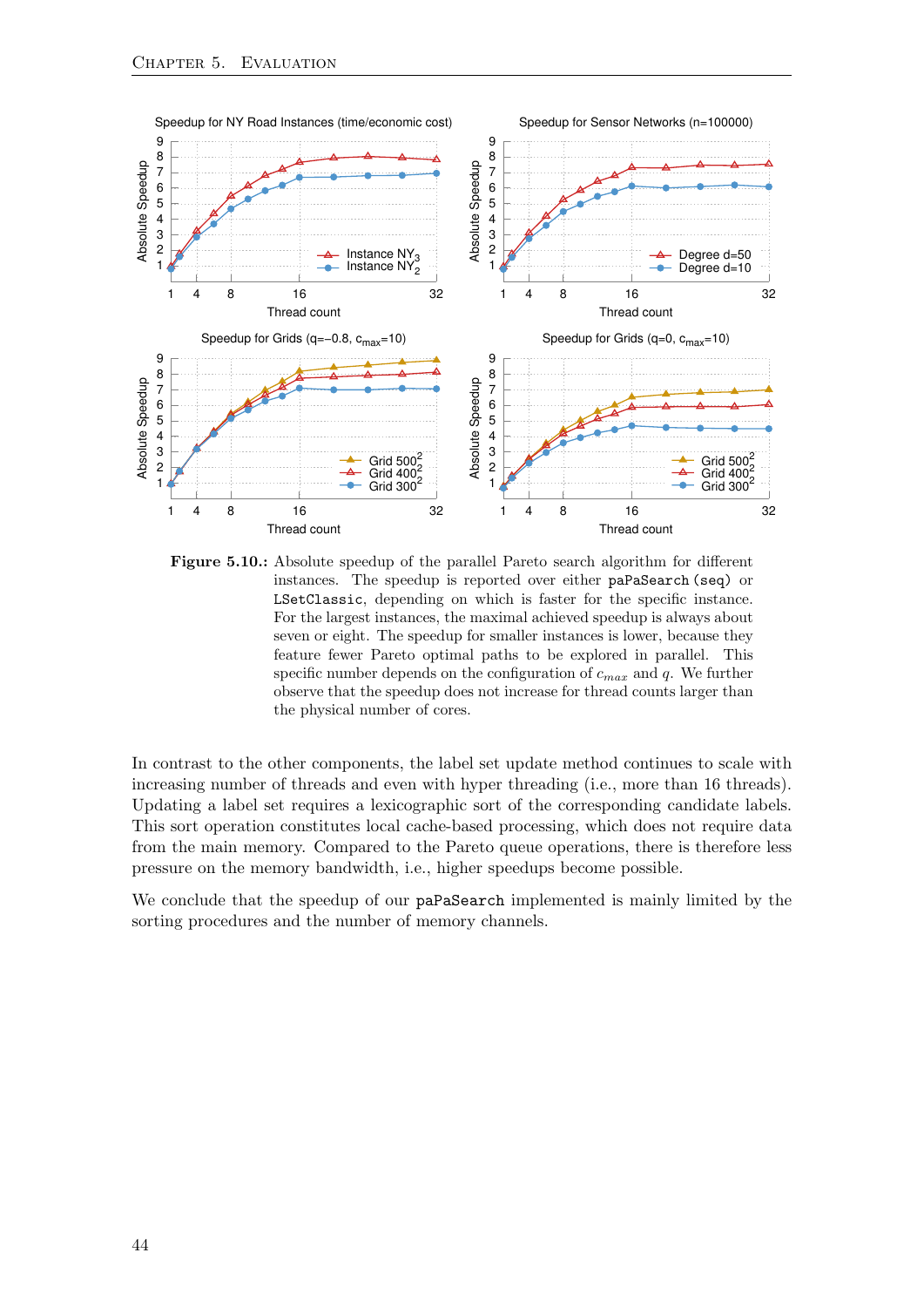<span id="page-51-0"></span>

Figure 5.10.: Absolute speedup of the parallel Pareto search algorithm for different instances. The speedup is reported over either paPaSearch (seq) or LSetClassic, depending on which is faster for the specific instance. For the largest instances, the maximal achieved speedup is always about seven or eight. The speedup for smaller instances is lower, because they feature fewer Pareto optimal paths to be explored in parallel. This specific number depends on the configuration of  $c_{max}$  and q. We further observe that the speedup does not increase for thread counts larger than the physical number of cores.

In contrast to the other components, the label set update method continues to scale with increasing number of threads and even with hyper threading (i.e., more than 16 threads). Updating a label set requires a lexicographic sort of the corresponding candidate labels. This sort operation constitutes local cache-based processing, which does not require data from the main memory. Compared to the Pareto queue operations, there is therefore less pressure on the memory bandwidth, i.e., higher speedups become possible.

We conclude that the speedup of our **paPaSearch** implemented is mainly limited by the sorting procedures and the number of memory channels.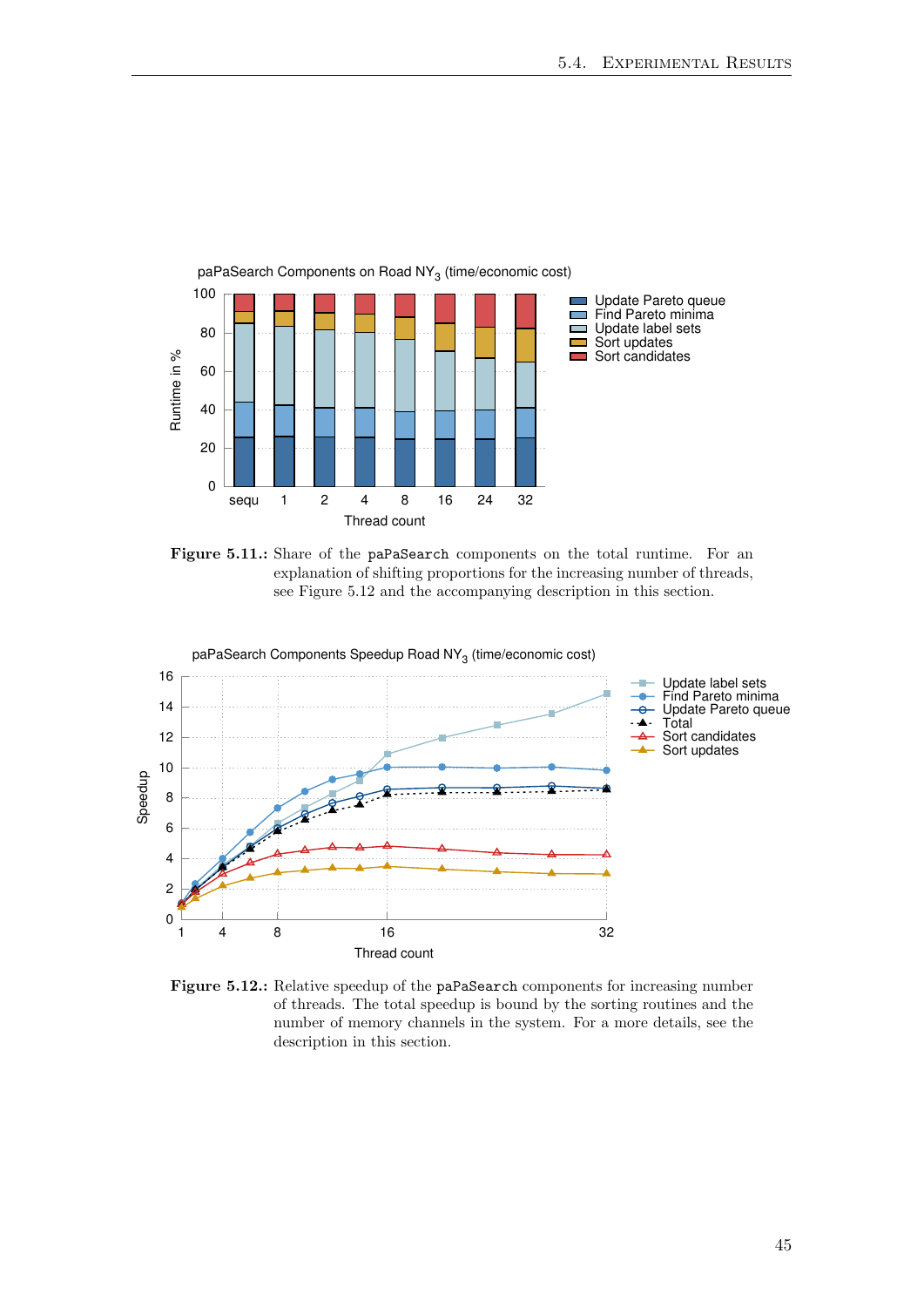<span id="page-52-0"></span>

Figure 5.11.: Share of the paPaSearch components on the total runtime. For an explanation of shifting proportions for the increasing number of threads, see Figure [5.12](#page-52-0) and the accompanying description in this section.



Figure 5.12.: Relative speedup of the paPaSearch components for increasing number of threads. The total speedup is bound by the sorting routines and the number of memory channels in the system. For a more details, see the description in this section.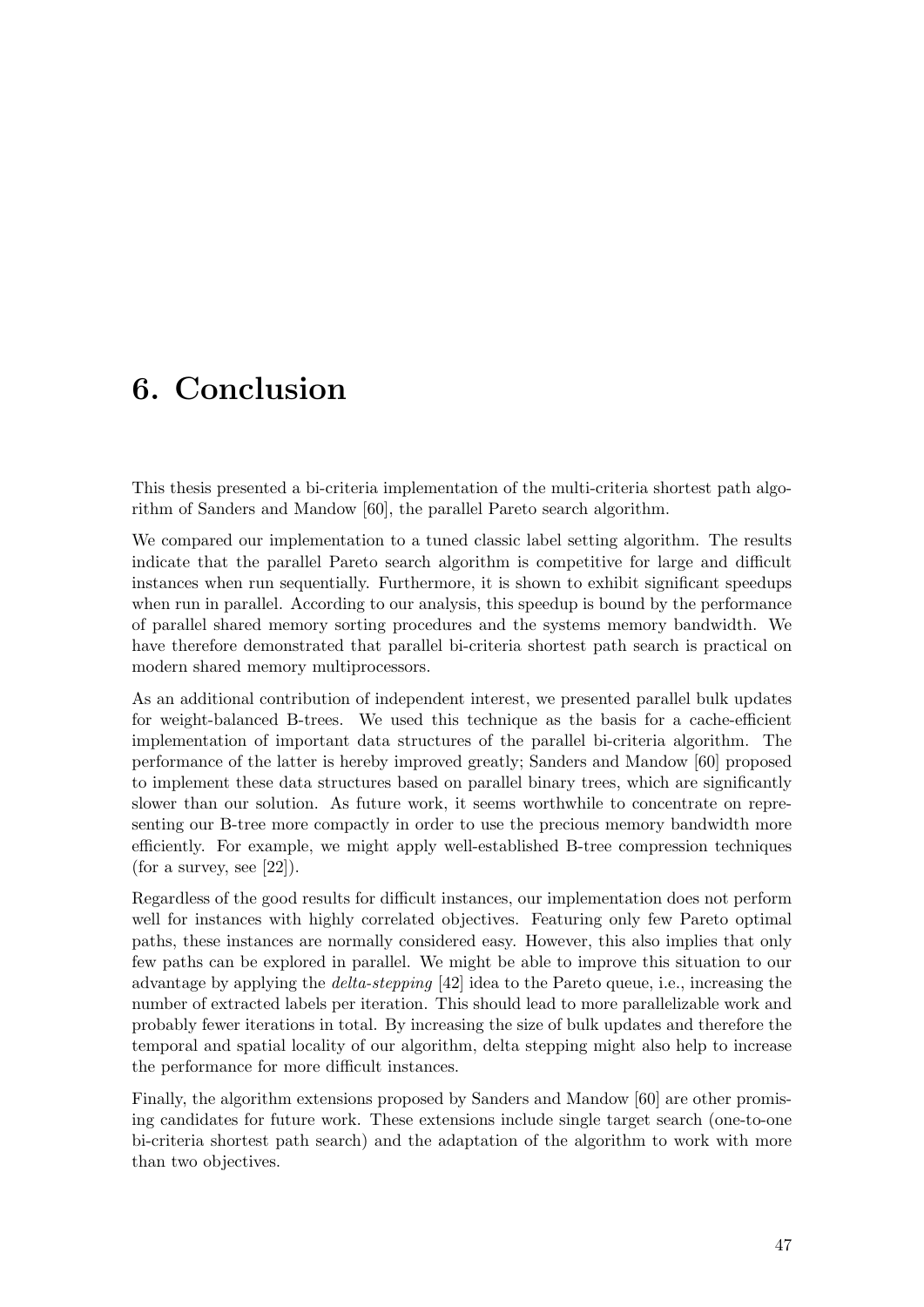# <span id="page-54-0"></span>6. Conclusion

This thesis presented a bi-criteria implementation of the multi-criteria shortest path algorithm of Sanders and Mandow [\[60\]](#page-66-1), the parallel Pareto search algorithm.

We compared our implementation to a tuned classic label setting algorithm. The results indicate that the parallel Pareto search algorithm is competitive for large and difficult instances when run sequentially. Furthermore, it is shown to exhibit significant speedups when run in parallel. According to our analysis, this speedup is bound by the performance of parallel shared memory sorting procedures and the systems memory bandwidth. We have therefore demonstrated that parallel bi-criteria shortest path search is practical on modern shared memory multiprocessors.

As an additional contribution of independent interest, we presented parallel bulk updates for weight-balanced B-trees. We used this technique as the basis for a cache-efficient implementation of important data structures of the parallel bi-criteria algorithm. The performance of the latter is hereby improved greatly; Sanders and Mandow [\[60\]](#page-66-1) proposed to implement these data structures based on parallel binary trees, which are significantly slower than our solution. As future work, it seems worthwhile to concentrate on representing our B-tree more compactly in order to use the precious memory bandwidth more efficiently. For example, we might apply well-established B-tree compression techniques (for a survey, see  $[22]$ ).

Regardless of the good results for difficult instances, our implementation does not perform well for instances with highly correlated objectives. Featuring only few Pareto optimal paths, these instances are normally considered easy. However, this also implies that only few paths can be explored in parallel. We might be able to improve this situation to our advantage by applying the delta-stepping [\[42\]](#page-65-12) idea to the Pareto queue, i.e., increasing the number of extracted labels per iteration. This should lead to more parallelizable work and probably fewer iterations in total. By increasing the size of bulk updates and therefore the temporal and spatial locality of our algorithm, delta stepping might also help to increase the performance for more difficult instances.

Finally, the algorithm extensions proposed by Sanders and Mandow [\[60\]](#page-66-1) are other promising candidates for future work. These extensions include single target search (one-to-one bi-criteria shortest path search) and the adaptation of the algorithm to work with more than two objectives.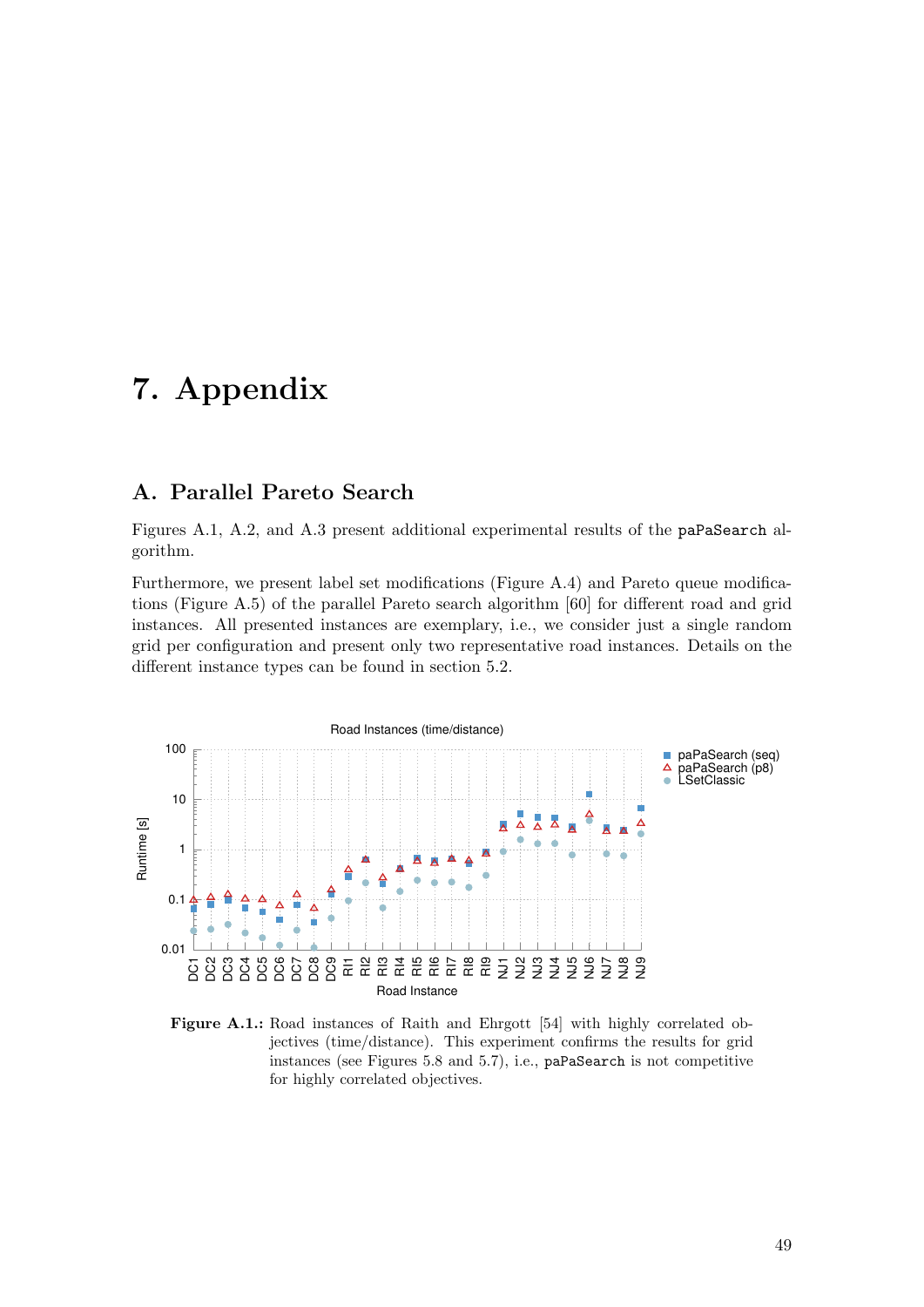## <span id="page-56-0"></span>7. Appendix

### <span id="page-56-1"></span>A. Parallel Pareto Search

Figures [A.1,](#page-56-2) [A.2,](#page-57-0) and [A.3](#page-57-0) present additional experimental results of the paPaSearch algorithm.

Furthermore, we present label set modifications (Figure [A.4\)](#page-58-0) and Pareto queue modifications (Figure [A.5\)](#page-59-0) of the parallel Pareto search algorithm [\[60\]](#page-66-1) for different road and grid instances. All presented instances are exemplary, i.e., we consider just a single random grid per configuration and present only two representative road instances. Details on the different instance types can be found in section [5.2.](#page-45-0)

<span id="page-56-2"></span>

Figure A.1.: Road instances of Raith and Ehrgott [\[54\]](#page-66-0) with highly correlated objectives (time/distance). This experiment confirms the results for grid instances (see Figures [5.8](#page-49-0) and [5.7\)](#page-48-1), i.e., paPaSearch is not competitive for highly correlated objectives.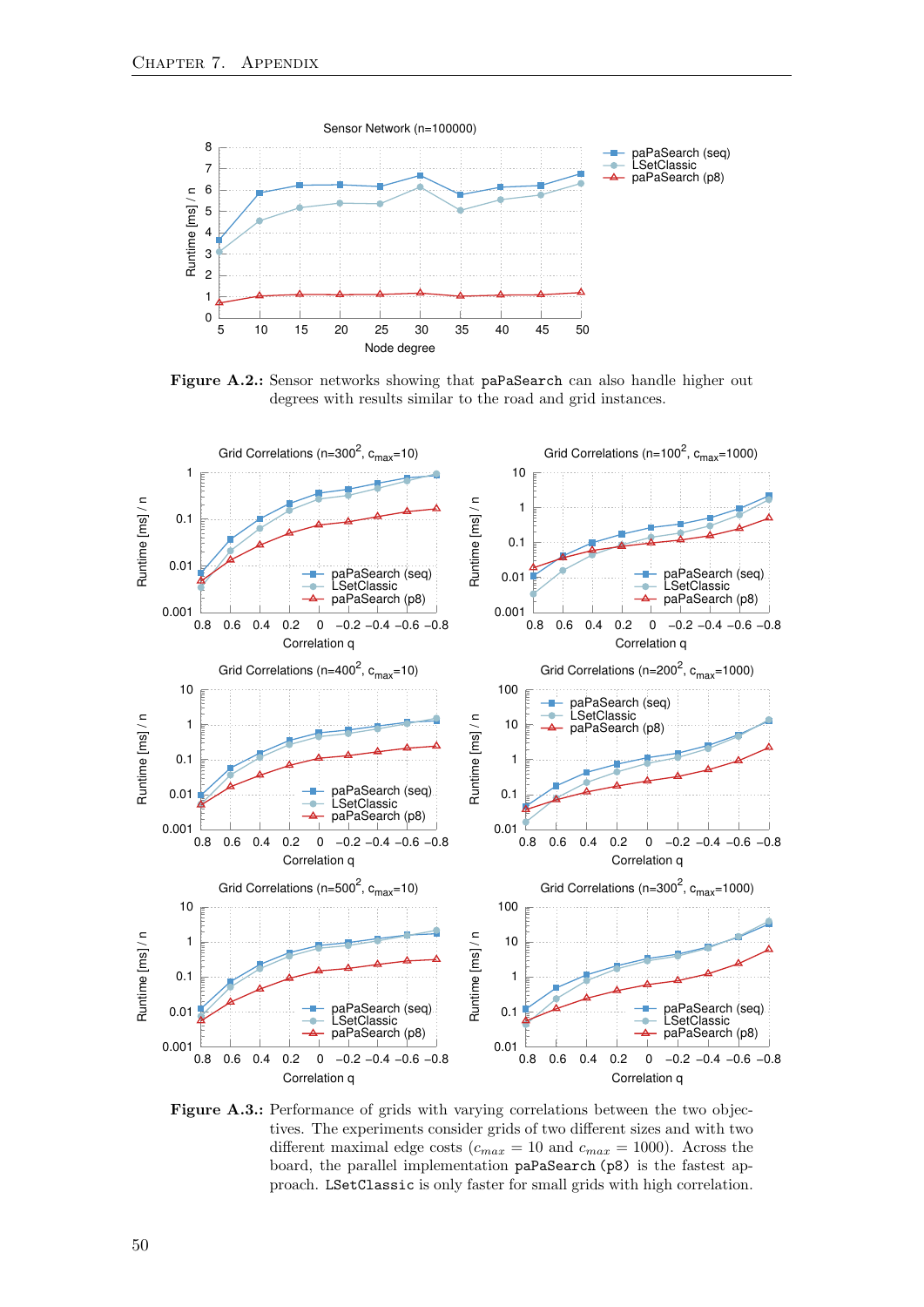<span id="page-57-0"></span>

Figure A.2.: Sensor networks showing that paPaSearch can also handle higher out degrees with results similar to the road and grid instances.



Figure A.3.: Performance of grids with varying correlations between the two objectives. The experiments consider grids of two different sizes and with two different maximal edge costs ( $c_{max} = 10$  and  $c_{max} = 1000$ ). Across the board, the parallel implementation paPaSearch (p8) is the fastest approach. LSetClassic is only faster for small grids with high correlation.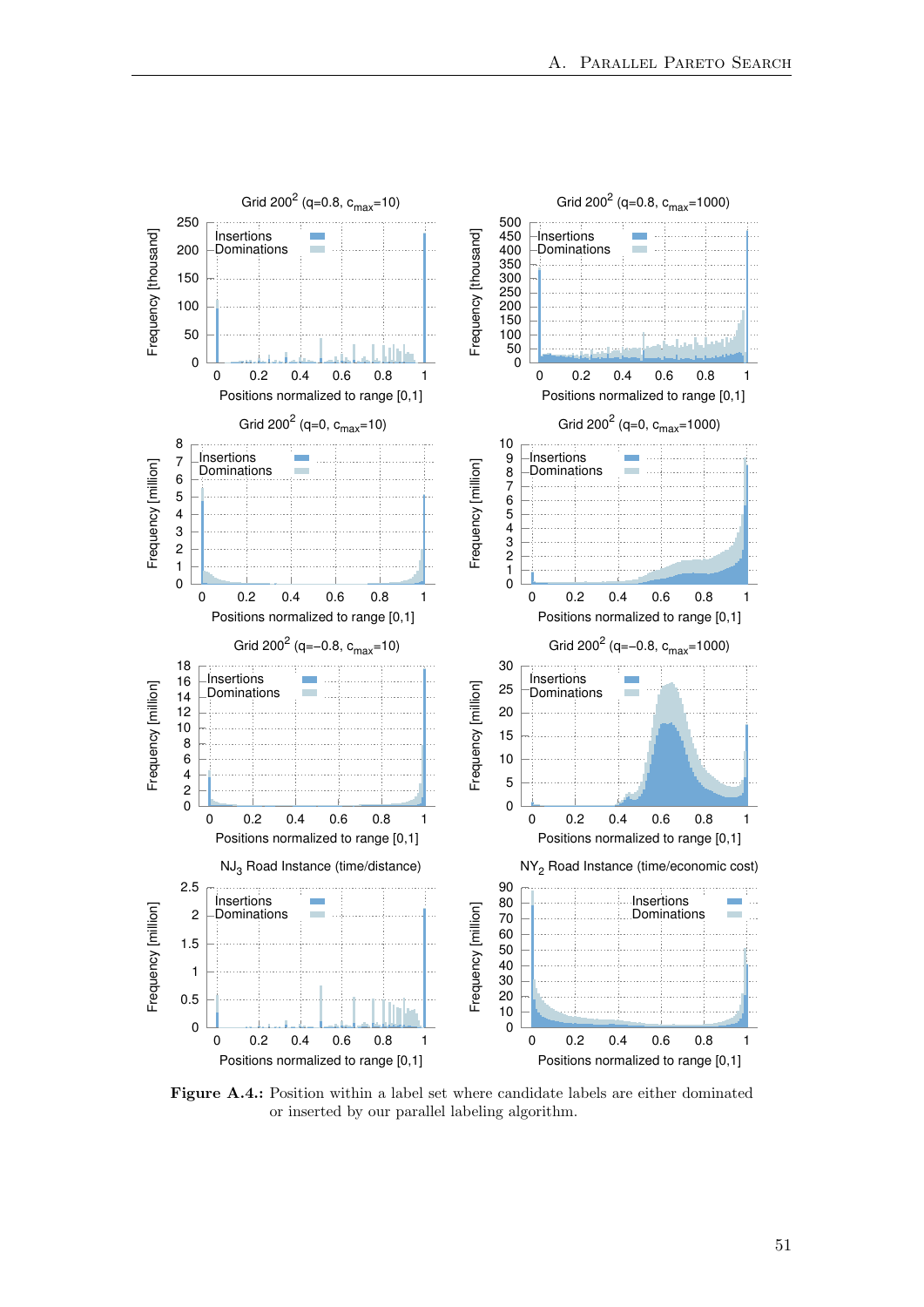<span id="page-58-0"></span>

Figure A.4.: Position within a label set where candidate labels are either dominated or inserted by our parallel labeling algorithm.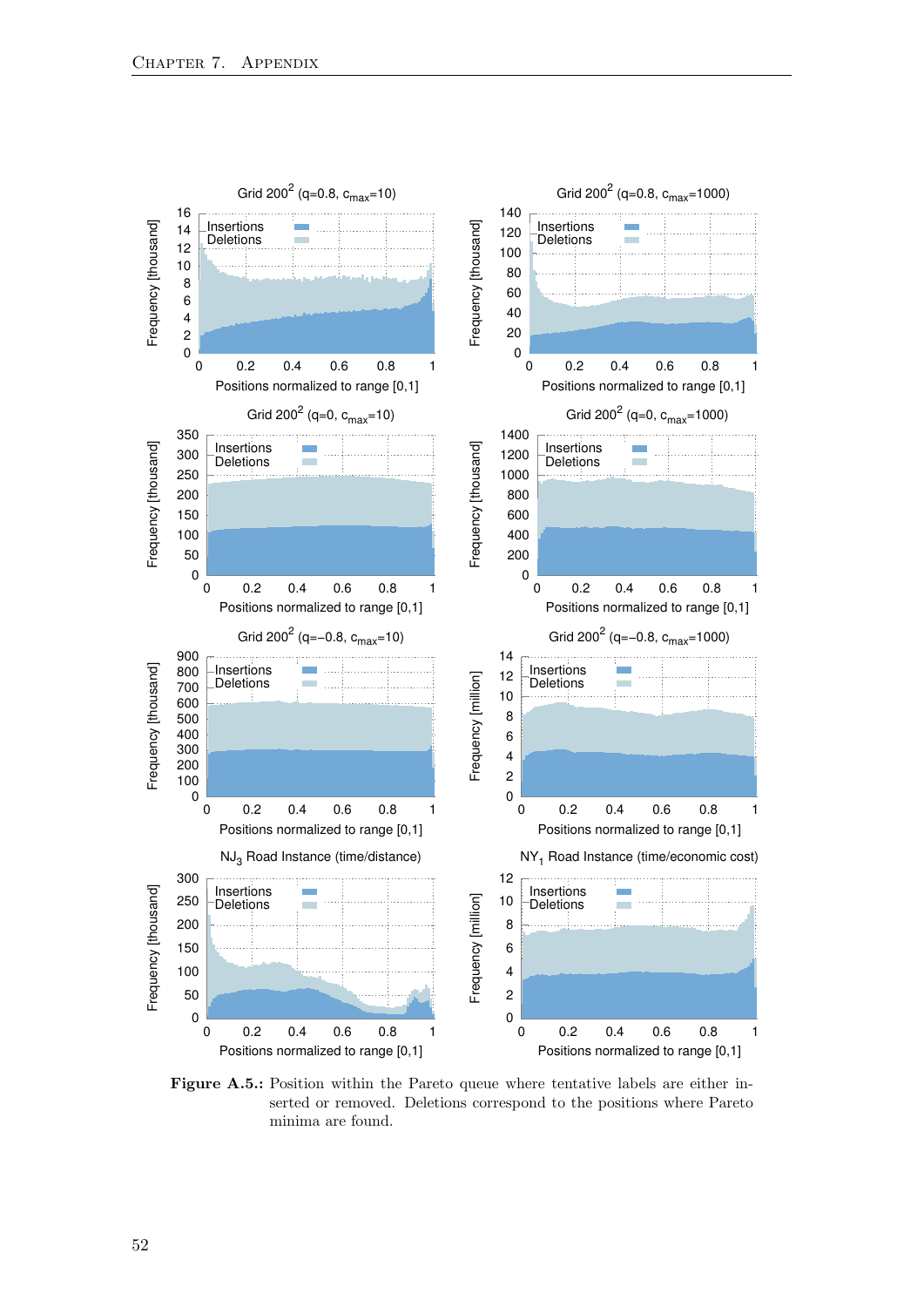<span id="page-59-0"></span>

Figure A.5.: Position within the Pareto queue where tentative labels are either inserted or removed. Deletions correspond to the positions where Pareto minima are found.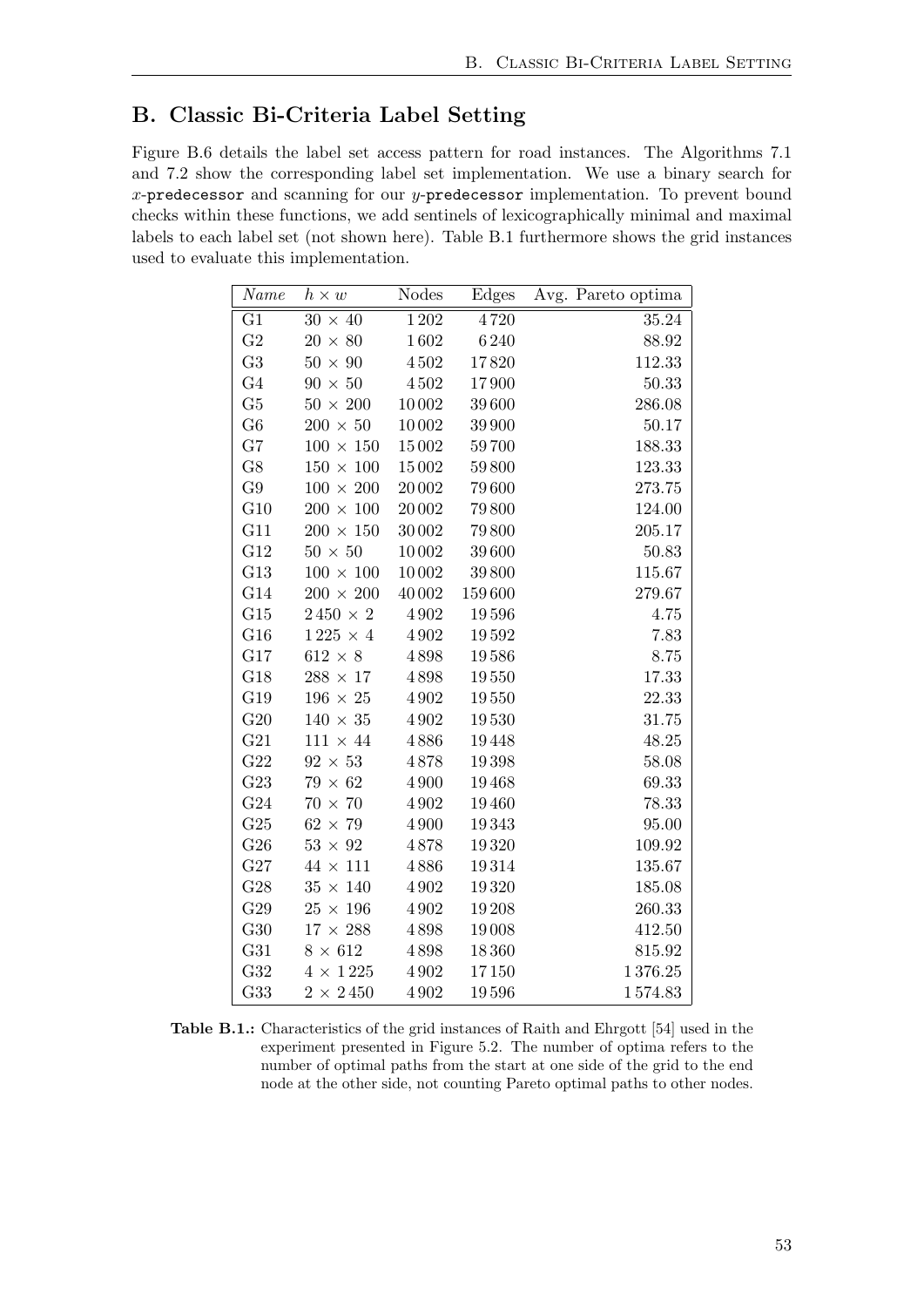## <span id="page-60-0"></span>B. Classic Bi-Criteria Label Setting

Figure [B.6](#page-61-2) details the label set access pattern for road instances. The Algorithms [7.1](#page-61-0) and [7.2](#page-61-1) show the corresponding label set implementation. We use a binary search for x-predecessor and scanning for our y-predecessor implementation. To prevent bound checks within these functions, we add sentinels of lexicographically minimal and maximal labels to each label set (not shown here). Table [B.1](#page-60-1) furthermore shows the grid instances used to evaluate this implementation.

<span id="page-60-1"></span>

| Name            | $h \times w$        | <b>Nodes</b> | Edges  | Avg. Pareto optima |
|-----------------|---------------------|--------------|--------|--------------------|
| $\overline{G1}$ | $30 \times 40$      | 1202         | 4720   | 35.24              |
| G <sub>2</sub>  | $20\,\times\,80$    | $1\,602$     | 6240   | 88.92              |
| G <sub>3</sub>  | $50 \times 90$      | $4\,502$     | 17820  | 112.33             |
| G <sub>4</sub>  | $90\,\times\,50$    | $4\,502$     | 17900  | 50.33              |
| G5              | $50$ $\times$ $200$ | 10002        | 39 600 | 286.08             |
| G6              | $200 \times 50$     | 10002        | 39 900 | 50.17              |
| G7              | $100\,\times\,150$  | 15002        | 59700  | 188.33             |
| G8              | $150\,\times\,100$  | 15002        | 59800  | 123.33             |
| G9              | $100\,\times\,200$  | 20 002       | 79600  | 273.75             |
| G10             | $200 \times 100$    | 20 002       | 79800  | $124.00\,$         |
| G11             | $200\,\times\,150$  | 30 002       | 79800  | 205.17             |
| G12             | $50\,\times\,50$    | 10002        | 39 600 | 50.83              |
| G13             | $100\,\times\,100$  | 10002        | 39800  | 115.67             |
| G14             | $200\,\times\,200$  | 40 002       | 159600 | 279.67             |
| G15             | $2\,450\,\times\,2$ | $4\,902$     | 19596  | 4.75               |
| G16             | $1\,225\,\times\,4$ | $4\,902$     | 19592  | 7.83               |
| G17             | $612\times 8$       | 4898         | 19586  | 8.75               |
| G18             | $288\,\times\,17$   | 4898         | 19550  | 17.33              |
| G19             | $196\,\times\,25$   | 4902         | 19550  | 22.33              |
| G20             | $140 \times 35$     | 4 9 0 2      | 19530  | 31.75              |
| G21             | $111 \times 44$     | 4886         | 19448  | 48.25              |
| G22             | $92 \times 53$      | 4878         | 19398  | 58.08              |
| G23             | $79\,\times\,62$    | 4 9 0 0      | 19468  | 69.33              |
| G24             | $70\,\times\,70$    | $4\,902$     | 19460  | 78.33              |
| G25             | $62 \times 79$      | 4900         | 19343  | 95.00              |
| G26             | $53$ $\times$ $92$  | 4878         | 19320  | 109.92             |
| G27             | $44$ $\times$ $111$ | 4886         | 19314  | 135.67             |
| G28             | $35$ $\times$ $140$ | 4902         | 19320  | 185.08             |
| G29             | $25$ $\times$ $196$ | 4902         | 19208  | 260.33             |
| G30             | $17$ $\times$ $288$ | 4898         | 19008  | 412.50             |
| G31             | $8 \times 612$      | 4898         | 18360  | 815.92             |
| G32             | $4\times1225$       | 4902         | 17150  | 1376.25            |
| G33             | $2 \times 2450$     | 4902         | 19596  | 1574.83            |

Table B.1.: Characteristics of the grid instances of Raith and Ehrgott [\[54\]](#page-66-0) used in the experiment presented in Figure [5.2.](#page-44-0) The number of optima refers to the number of optimal paths from the start at one side of the grid to the end node at the other side, not counting Pareto optimal paths to other nodes.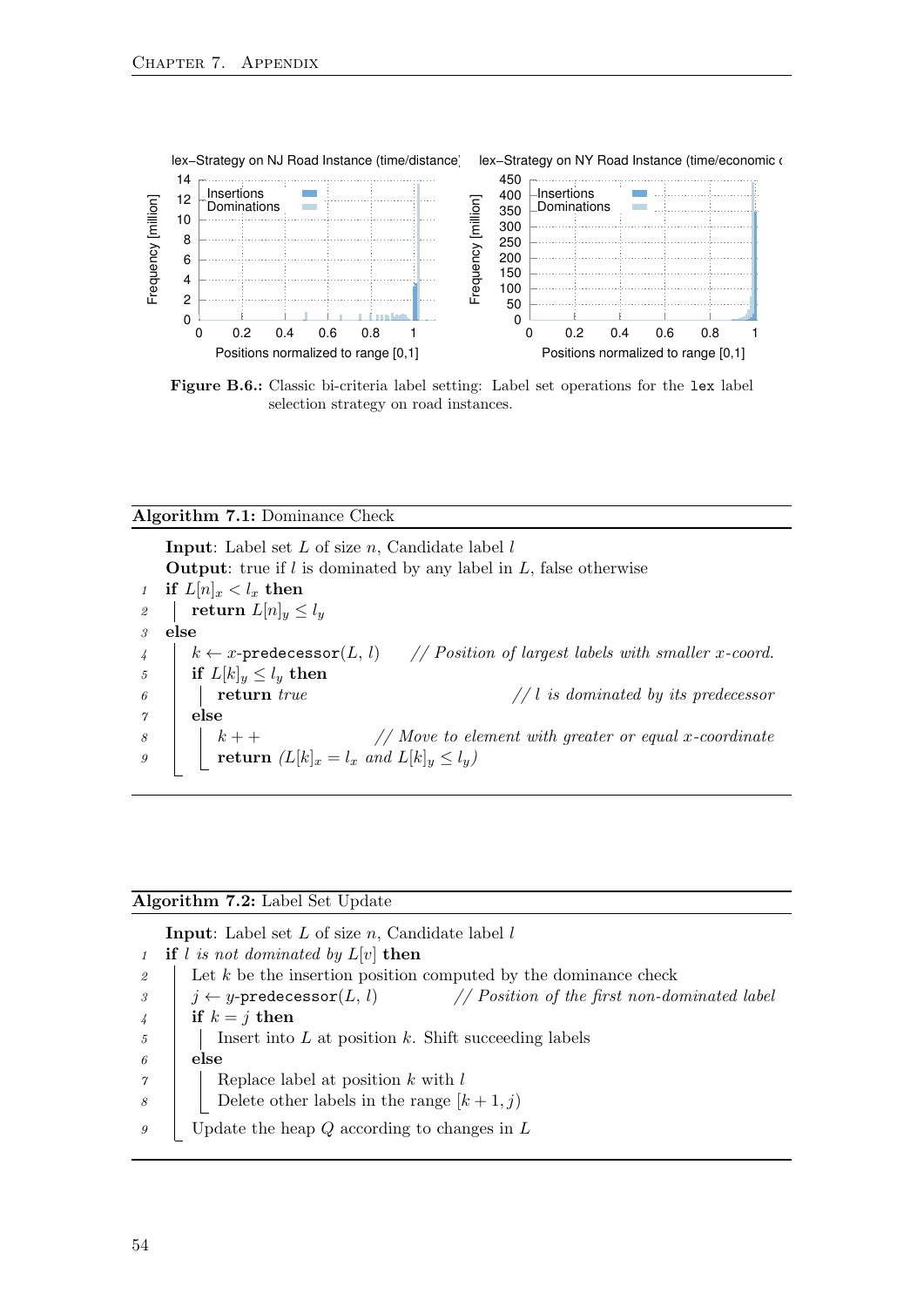<span id="page-61-2"></span>

Figure B.6.: Classic bi-criteria label setting: Label set operations for the lex label selection strategy on road instances.

<span id="page-61-0"></span>

| <b>Algorithm 7.1:</b> Dominance Check                                                                       |
|-------------------------------------------------------------------------------------------------------------|
| <b>Input:</b> Label set $L$ of size $n$ , Candidate label $l$                                               |
| <b>Output:</b> true if $l$ is dominated by any label in $L$ , false otherwise                               |
| if $L[n]_x < l_x$ then<br>$\mathcal{I}$                                                                     |
| return $L[n]_y \leq l_y$<br>$\mathfrak{D}$                                                                  |
| else<br>$\mathcal{P}$                                                                                       |
| $k \leftarrow x$ -predecessor $(L, l)$ // Position of largest labels with smaller x-coord.<br>$\frac{1}{4}$ |
| $\overline{5}$<br>if $L[k]_y \leq l_y$ then                                                                 |
| return $true$<br>$//$ is dominated by its predecessor<br>6                                                  |
| else<br>$\gamma$                                                                                            |
| $\frac{1}{2}$ Move to element with greater or equal x-coordinate<br>8                                       |
| $k++$ // Move to electric $(L[k]_x = l_x \text{ and } L[k]_y \le l_y)$<br>9                                 |
|                                                                                                             |

#### Algorithm 7.2: Label Set Update

<span id="page-61-1"></span>**Input:** Label set  $L$  of size  $n$ , Candidate label  $l$ 

1 if l is not dominated by  $L[v]$  then 2 Let k be the insertion position computed by the dominance check  $\begin{array}{ll} \text{3} & j \leftarrow y\text{-predecessor}(L, l) \\ \end{array}$  // Position of the first non-dominated label 4 if  $k = j$  then  $\mathfrak{g}$  | | Insert into L at position k. Shift succeeding labels  $\theta$  else  $\gamma$  | Replace label at position k with l 8 | Delete other labels in the range  $[k+1,j]$  $9 \mid$  Update the heap Q according to changes in L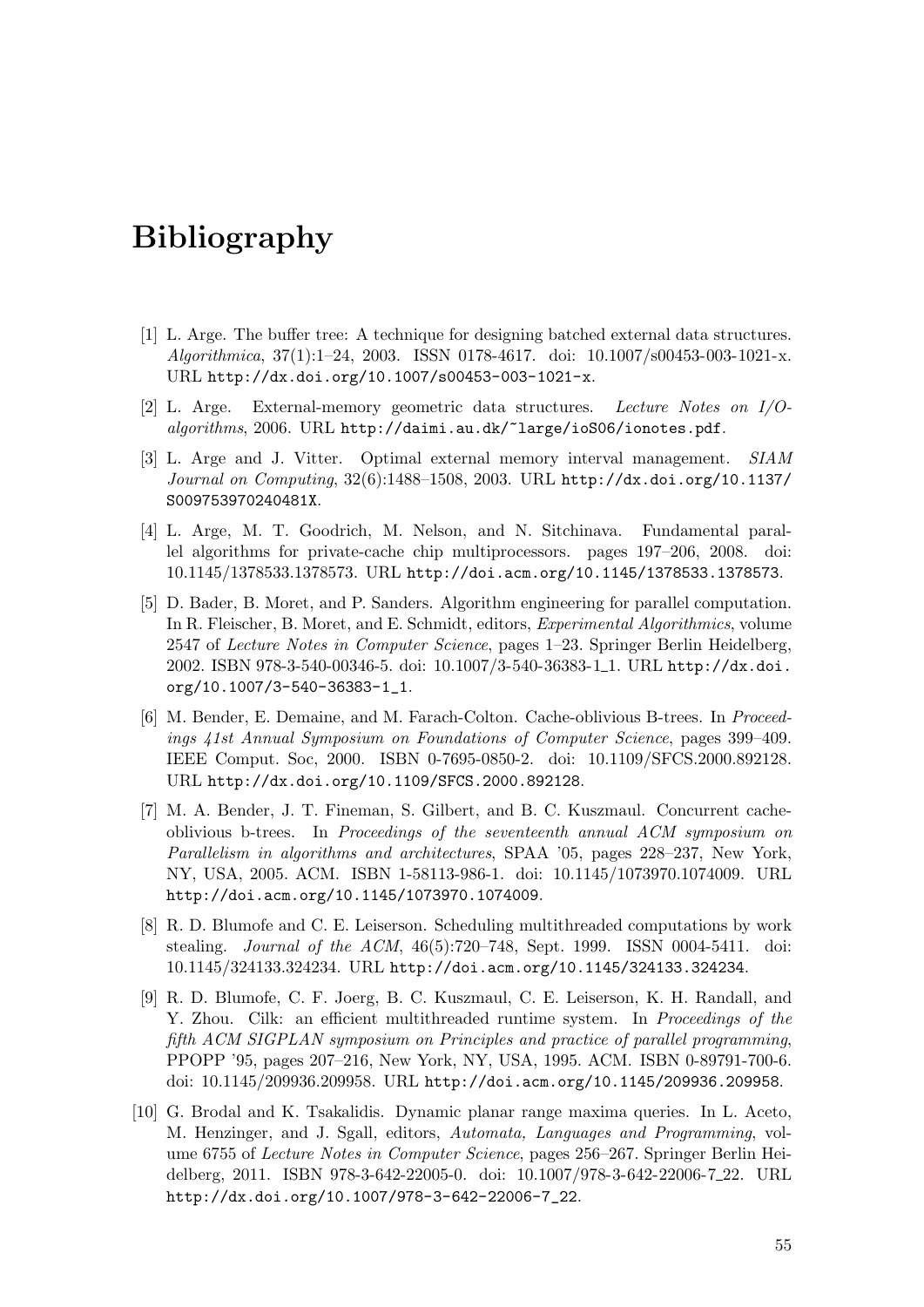# <span id="page-62-1"></span>Bibliography

- <span id="page-62-8"></span>[1] L. Arge. The buffer tree: A technique for designing batched external data structures. Algorithmica, 37(1):1–24, 2003. ISSN 0178-4617. doi: 10.1007/s00453-003-1021-x. URL <http://dx.doi.org/10.1007/s00453-003-1021-x>.
- <span id="page-62-9"></span>[2] L. Arge. External-memory geometric data structures. Lecture Notes on I/Oalgorithms, 2006. URL <http://daimi.au.dk/~large/ioS06/ionotes.pdf>.
- <span id="page-62-0"></span>[3] L. Arge and J. Vitter. Optimal external memory interval management. SIAM Journal on Computing, 32(6):1488–1508, 2003. URL [http://dx.doi.org/10.1137/](http://dx.doi.org/10.1137/S009753970240481X) [S009753970240481X](http://dx.doi.org/10.1137/S009753970240481X).
- <span id="page-62-7"></span>[4] L. Arge, M. T. Goodrich, M. Nelson, and N. Sitchinava. Fundamental parallel algorithms for private-cache chip multiprocessors. pages 197–206, 2008. doi: 10.1145/1378533.1378573. URL <http://doi.acm.org/10.1145/1378533.1378573>.
- <span id="page-62-10"></span>[5] D. Bader, B. Moret, and P. Sanders. Algorithm engineering for parallel computation. In R. Fleischer, B. Moret, and E. Schmidt, editors, Experimental Algorithmics, volume 2547 of Lecture Notes in Computer Science, pages 1–23. Springer Berlin Heidelberg, 2002. ISBN 978-3-540-00346-5. doi: 10.1007/3-540-36383-1 1. URL [http://dx.doi.](http://dx.doi.org/10.1007/3-540-36383-1_1) [org/10.1007/3-540-36383-1\\_1](http://dx.doi.org/10.1007/3-540-36383-1_1).
- <span id="page-62-5"></span>[6] M. Bender, E. Demaine, and M. Farach-Colton. Cache-oblivious B-trees. In Proceedings 41st Annual Symposium on Foundations of Computer Science, pages 399–409. IEEE Comput. Soc, 2000. ISBN 0-7695-0850-2. doi: 10.1109/SFCS.2000.892128. URL <http://dx.doi.org/10.1109/SFCS.2000.892128>.
- <span id="page-62-6"></span>[7] M. A. Bender, J. T. Fineman, S. Gilbert, and B. C. Kuszmaul. Concurrent cacheoblivious b-trees. In Proceedings of the seventeenth annual ACM symposium on Parallelism in algorithms and architectures, SPAA '05, pages 228–237, New York, NY, USA, 2005. ACM. ISBN 1-58113-986-1. doi: 10.1145/1073970.1074009. URL <http://doi.acm.org/10.1145/1073970.1074009>.
- <span id="page-62-2"></span>[8] R. D. Blumofe and C. E. Leiserson. Scheduling multithreaded computations by work stealing. Journal of the ACM, 46(5):720–748, Sept. 1999. ISSN 0004-5411. doi: 10.1145/324133.324234. URL <http://doi.acm.org/10.1145/324133.324234>.
- <span id="page-62-3"></span>[9] R. D. Blumofe, C. F. Joerg, B. C. Kuszmaul, C. E. Leiserson, K. H. Randall, and Y. Zhou. Cilk: an efficient multithreaded runtime system. In *Proceedings of the* fifth ACM SIGPLAN symposium on Principles and practice of parallel programming, PPOPP '95, pages 207–216, New York, NY, USA, 1995. ACM. ISBN 0-89791-700-6. doi: 10.1145/209936.209958. URL <http://doi.acm.org/10.1145/209936.209958>.
- <span id="page-62-4"></span>[10] G. Brodal and K. Tsakalidis. Dynamic planar range maxima queries. In L. Aceto, M. Henzinger, and J. Sgall, editors, Automata, Languages and Programming, volume 6755 of Lecture Notes in Computer Science, pages 256–267. Springer Berlin Heidelberg, 2011. ISBN 978-3-642-22005-0. doi: 10.1007/978-3-642-22006-7 22. URL [http://dx.doi.org/10.1007/978-3-642-22006-7\\_22](http://dx.doi.org/10.1007/978-3-642-22006-7_22).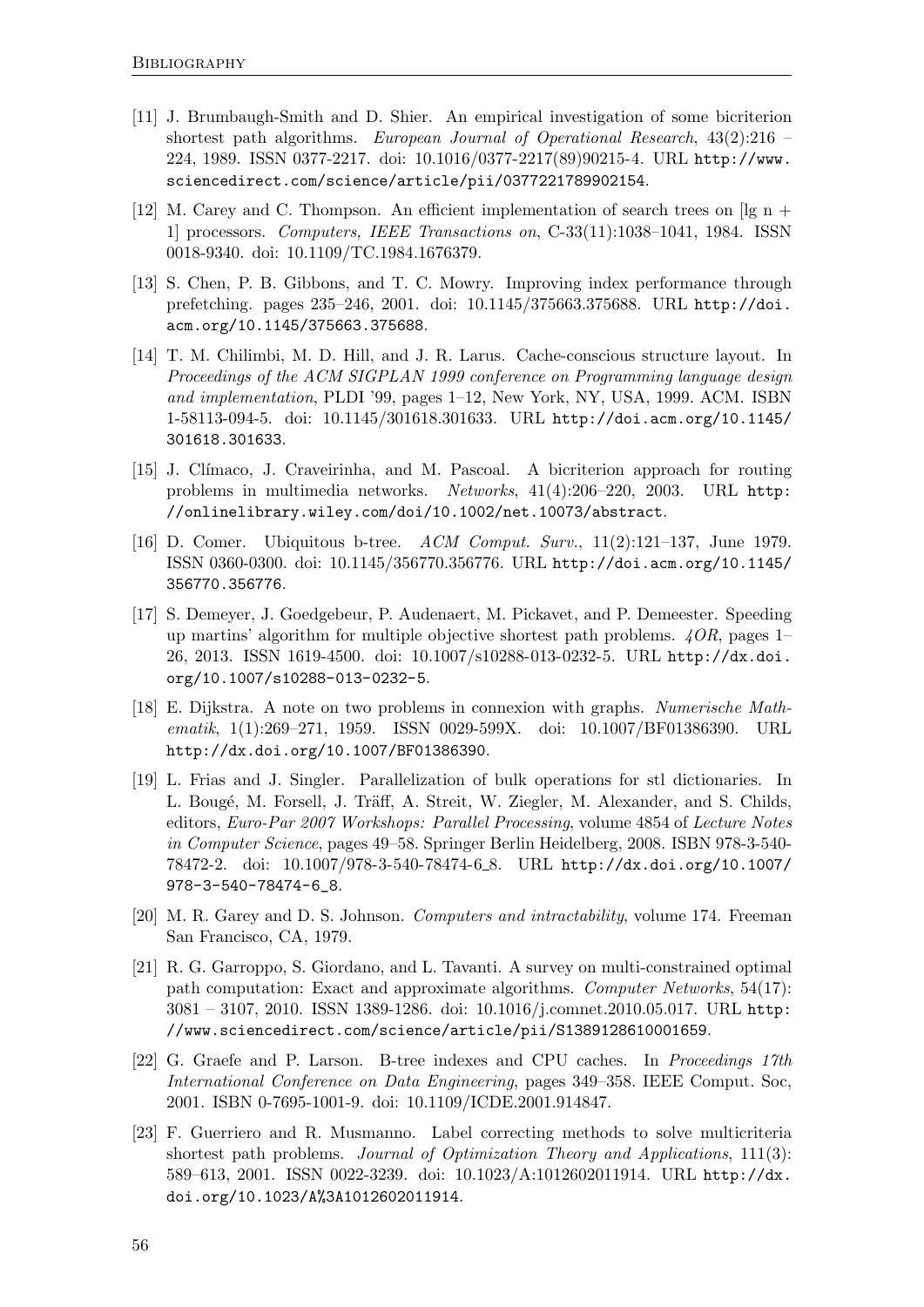- <span id="page-63-7"></span>[11] J. Brumbaugh-Smith and D. Shier. An empirical investigation of some bicriterion shortest path algorithms. European Journal of Operational Research, 43(2):216 – 224, 1989. ISSN 0377-2217. doi: 10.1016/0377-2217(89)90215-4. URL [http://www.](http://www.sciencedirect.com/science/article/pii/0377221789902154) [sciencedirect.com/science/article/pii/0377221789902154](http://www.sciencedirect.com/science/article/pii/0377221789902154).
- <span id="page-63-11"></span>[12] M. Carey and C. Thompson. An efficient implementation of search trees on [lg n + 1] processors. Computers, IEEE Transactions on, C-33(11):1038–1041, 1984. ISSN 0018-9340. doi: 10.1109/TC.1984.1676379.
- <span id="page-63-8"></span>[13] S. Chen, P. B. Gibbons, and T. C. Mowry. Improving index performance through prefetching. pages 235–246, 2001. doi: 10.1145/375663.375688. URL [http://doi.](http://doi.acm.org/10.1145/375663.375688) [acm.org/10.1145/375663.375688](http://doi.acm.org/10.1145/375663.375688).
- <span id="page-63-9"></span>[14] T. M. Chilimbi, M. D. Hill, and J. R. Larus. Cache-conscious structure layout. In Proceedings of the ACM SIGPLAN 1999 conference on Programming language design and implementation, PLDI '99, pages 1–12, New York, NY, USA, 1999. ACM. ISBN 1-58113-094-5. doi: 10.1145/301618.301633. URL [http://doi.acm.org/10.1145/](http://doi.acm.org/10.1145/301618.301633) [301618.301633](http://doi.acm.org/10.1145/301618.301633).
- <span id="page-63-1"></span>[15] J. Cl´ımaco, J. Craveirinha, and M. Pascoal. A bicriterion approach for routing problems in multimedia networks. Networks, 41(4):206–220, 2003. URL [http:](http://onlinelibrary.wiley.com/doi/10.1002/net.10073/abstract) [//onlinelibrary.wiley.com/doi/10.1002/net.10073/abstract](http://onlinelibrary.wiley.com/doi/10.1002/net.10073/abstract).
- <span id="page-63-12"></span>[16] D. Comer. Ubiquitous b-tree. ACM Comput. Surv., 11(2):121–137, June 1979. ISSN 0360-0300. doi: 10.1145/356770.356776. URL [http://doi.acm.org/10.1145/](http://doi.acm.org/10.1145/356770.356776) [356770.356776](http://doi.acm.org/10.1145/356770.356776).
- <span id="page-63-6"></span>[17] S. Demeyer, J. Goedgebeur, P. Audenaert, M. Pickavet, and P. Demeester. Speeding up martins' algorithm for multiple objective shortest path problems.  $4OR$ , pages 1– 26, 2013. ISSN 1619-4500. doi: 10.1007/s10288-013-0232-5. URL [http://dx.doi.](http://dx.doi.org/10.1007/s10288-013-0232-5) [org/10.1007/s10288-013-0232-5](http://dx.doi.org/10.1007/s10288-013-0232-5).
- <span id="page-63-0"></span>[18] E. Dijkstra. A note on two problems in connexion with graphs. Numerische Mathematik, 1(1):269–271, 1959. ISSN 0029-599X. doi: 10.1007/BF01386390. URL <http://dx.doi.org/10.1007/BF01386390>.
- <span id="page-63-4"></span>[19] L. Frias and J. Singler. Parallelization of bulk operations for stl dictionaries. In L. Bougé, M. Forsell, J. Träff, A. Streit, W. Ziegler, M. Alexander, and S. Childs, editors, Euro-Par 2007 Workshops: Parallel Processing, volume 4854 of Lecture Notes in Computer Science, pages 49–58. Springer Berlin Heidelberg, 2008. ISBN 978-3-540- 78472-2. doi: 10.1007/978-3-540-78474-6 8. URL [http://dx.doi.org/10.1007/](http://dx.doi.org/10.1007/978-3-540-78474-6_8) [978-3-540-78474-6\\_8](http://dx.doi.org/10.1007/978-3-540-78474-6_8).
- <span id="page-63-2"></span>[20] M. R. Garey and D. S. Johnson. Computers and intractability, volume 174. Freeman San Francisco, CA, 1979.
- <span id="page-63-5"></span>[21] R. G. Garroppo, S. Giordano, and L. Tavanti. A survey on multi-constrained optimal path computation: Exact and approximate algorithms. Computer Networks, 54(17): 3081 – 3107, 2010. ISSN 1389-1286. doi: 10.1016/j.comnet.2010.05.017. URL [http:](http://www.sciencedirect.com/science/article/pii/S1389128610001659) [//www.sciencedirect.com/science/article/pii/S1389128610001659](http://www.sciencedirect.com/science/article/pii/S1389128610001659).
- <span id="page-63-10"></span>[22] G. Graefe and P. Larson. B-tree indexes and CPU caches. In Proceedings 17th International Conference on Data Engineering, pages 349–358. IEEE Comput. Soc, 2001. ISBN 0-7695-1001-9. doi: 10.1109/ICDE.2001.914847.
- <span id="page-63-3"></span>[23] F. Guerriero and R. Musmanno. Label correcting methods to solve multicriteria shortest path problems. Journal of Optimization Theory and Applications, 111(3): 589–613, 2001. ISSN 0022-3239. doi: 10.1023/A:1012602011914. URL [http://dx.](http://dx.doi.org/10.1023/A%3A1012602011914) [doi.org/10.1023/A%3A1012602011914](http://dx.doi.org/10.1023/A%3A1012602011914).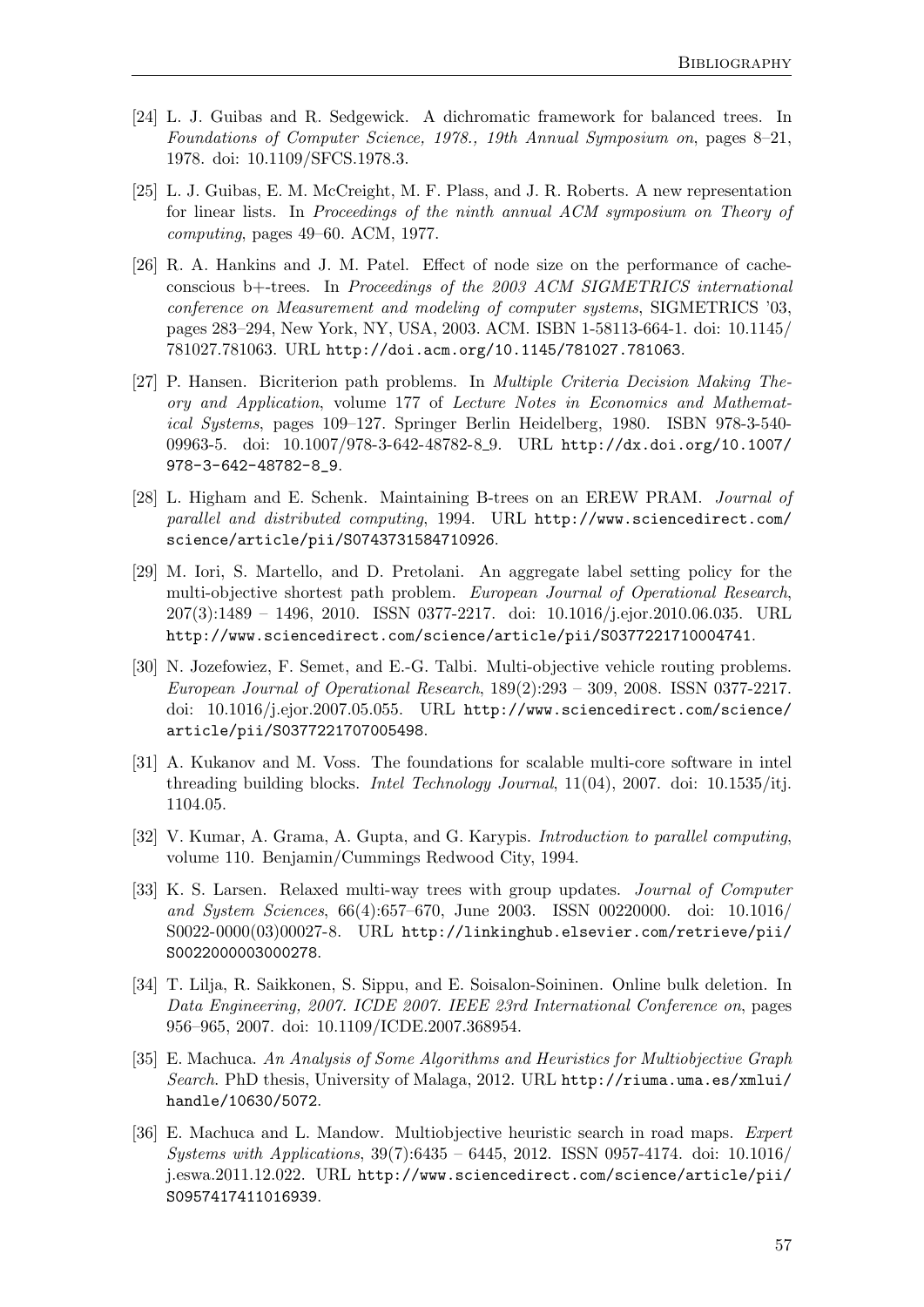- <span id="page-64-7"></span>[24] L. J. Guibas and R. Sedgewick. A dichromatic framework for balanced trees. In Foundations of Computer Science, 1978., 19th Annual Symposium on, pages 8–21, 1978. doi: 10.1109/SFCS.1978.3.
- <span id="page-64-11"></span>[25] L. J. Guibas, E. M. McCreight, M. F. Plass, and J. R. Roberts. A new representation for linear lists. In Proceedings of the ninth annual ACM symposium on Theory of computing, pages 49–60. ACM, 1977.
- <span id="page-64-4"></span>[26] R. A. Hankins and J. M. Patel. Effect of node size on the performance of cacheconscious b+-trees. In Proceedings of the 2003 ACM SIGMETRICS international conference on Measurement and modeling of computer systems, SIGMETRICS '03, pages 283–294, New York, NY, USA, 2003. ACM. ISBN 1-58113-664-1. doi: 10.1145/ 781027.781063. URL <http://doi.acm.org/10.1145/781027.781063>.
- <span id="page-64-2"></span>[27] P. Hansen. Bicriterion path problems. In Multiple Criteria Decision Making Theory and Application, volume 177 of Lecture Notes in Economics and Mathematical Systems, pages 109–127. Springer Berlin Heidelberg, 1980. ISBN 978-3-540- 09963-5. doi: 10.1007/978-3-642-48782-8 9. URL [http://dx.doi.org/10.1007/](http://dx.doi.org/10.1007/978-3-642-48782-8_9) [978-3-642-48782-8\\_9](http://dx.doi.org/10.1007/978-3-642-48782-8_9).
- <span id="page-64-8"></span>[28] L. Higham and E. Schenk. Maintaining B-trees on an EREW PRAM. Journal of parallel and distributed computing, 1994. URL [http://www.sciencedirect.com/](http://www.sciencedirect.com/science/article/pii/S0743731584710926) [science/article/pii/S0743731584710926](http://www.sciencedirect.com/science/article/pii/S0743731584710926).
- <span id="page-64-3"></span>[29] M. Iori, S. Martello, and D. Pretolani. An aggregate label setting policy for the multi-objective shortest path problem. European Journal of Operational Research, 207(3):1489 – 1496, 2010. ISSN 0377-2217. doi: 10.1016/j.ejor.2010.06.035. URL <http://www.sciencedirect.com/science/article/pii/S0377221710004741>.
- <span id="page-64-1"></span>[30] N. Jozefowiez, F. Semet, and E.-G. Talbi. Multi-objective vehicle routing problems. European Journal of Operational Research, 189(2):293 – 309, 2008. ISSN 0377-2217. doi: 10.1016/j.ejor.2007.05.055. URL [http://www.sciencedirect.com/science/](http://www.sciencedirect.com/science/article/pii/S0377221707005498) [article/pii/S0377221707005498](http://www.sciencedirect.com/science/article/pii/S0377221707005498).
- <span id="page-64-10"></span>[31] A. Kukanov and M. Voss. The foundations for scalable multi-core software in intel threading building blocks. Intel Technology Journal, 11(04), 2007. doi: 10.1535/itj. 1104.05.
- <span id="page-64-9"></span>[32] V. Kumar, A. Grama, A. Gupta, and G. Karypis. Introduction to parallel computing, volume 110. Benjamin/Cummings Redwood City, 1994.
- <span id="page-64-5"></span>[33] K. S. Larsen. Relaxed multi-way trees with group updates. *Journal of Computer* and System Sciences, 66(4):657–670, June 2003. ISSN 00220000. doi: 10.1016/ S0022-0000(03)00027-8. URL [http://linkinghub.elsevier.com/retrieve/pii/](http://linkinghub.elsevier.com/retrieve/pii/S0022000003000278) [S0022000003000278](http://linkinghub.elsevier.com/retrieve/pii/S0022000003000278).
- <span id="page-64-6"></span>[34] T. Lilja, R. Saikkonen, S. Sippu, and E. Soisalon-Soininen. Online bulk deletion. In Data Engineering, 2007. ICDE 2007. IEEE 23rd International Conference on, pages 956–965, 2007. doi: 10.1109/ICDE.2007.368954.
- <span id="page-64-12"></span>[35] E. Machuca. An Analysis of Some Algorithms and Heuristics for Multiobjective Graph Search. PhD thesis, University of Malaga, 2012. URL [http://riuma.uma.es/xmlui/](http://riuma.uma.es/xmlui/handle/10630/5072) [handle/10630/5072](http://riuma.uma.es/xmlui/handle/10630/5072).
- <span id="page-64-0"></span>[36] E. Machuca and L. Mandow. Multiobjective heuristic search in road maps. Expert Systems with Applications, 39(7):6435 – 6445, 2012. ISSN 0957-4174. doi: 10.1016/ j.eswa.2011.12.022. URL [http://www.sciencedirect.com/science/article/pii/](http://www.sciencedirect.com/science/article/pii/S0957417411016939) [S0957417411016939](http://www.sciencedirect.com/science/article/pii/S0957417411016939).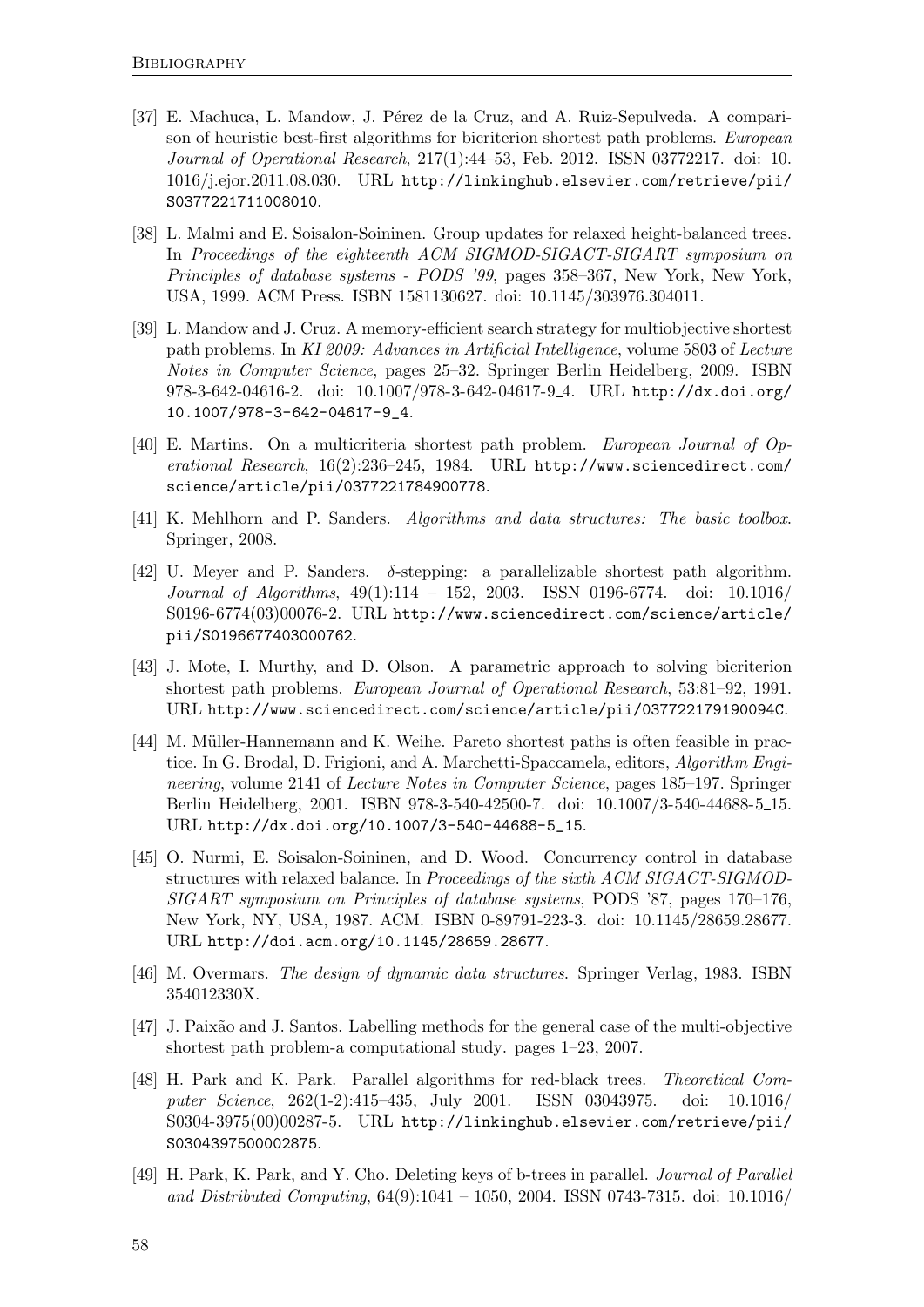- <span id="page-65-11"></span>[37] E. Machuca, L. Mandow, J. Pérez de la Cruz, and A. Ruiz-Sepulveda. A comparison of heuristic best-first algorithms for bicriterion shortest path problems. European Journal of Operational Research, 217(1):44–53, Feb. 2012. ISSN 03772217. doi: 10. 1016/j.ejor.2011.08.030. URL [http://linkinghub.elsevier.com/retrieve/pii/](http://linkinghub.elsevier.com/retrieve/pii/S0377221711008010) [S0377221711008010](http://linkinghub.elsevier.com/retrieve/pii/S0377221711008010).
- <span id="page-65-4"></span>[38] L. Malmi and E. Soisalon-Soininen. Group updates for relaxed height-balanced trees. In Proceedings of the eighteenth ACM SIGMOD-SIGACT-SIGART symposium on Principles of database systems - PODS '99, pages 358–367, New York, New York, USA, 1999. ACM Press. ISBN 1581130627. doi: 10.1145/303976.304011.
- <span id="page-65-1"></span>[39] L. Mandow and J. Cruz. A memory-efficient search strategy for multiobjective shortest path problems. In KI 2009: Advances in Artificial Intelligence, volume 5803 of Lecture Notes in Computer Science, pages 25–32. Springer Berlin Heidelberg, 2009. ISBN 978-3-642-04616-2. doi: 10.1007/978-3-642-04617-9 4. URL [http://dx.doi.org/](http://dx.doi.org/10.1007/978-3-642-04617-9_4) [10.1007/978-3-642-04617-9\\_4](http://dx.doi.org/10.1007/978-3-642-04617-9_4).
- <span id="page-65-3"></span>[40] E. Martins. On a multicriteria shortest path problem. European Journal of Operational Research, 16(2):236–245, 1984. URL [http://www.sciencedirect.com/](http://www.sciencedirect.com/science/article/pii/0377221784900778) [science/article/pii/0377221784900778](http://www.sciencedirect.com/science/article/pii/0377221784900778).
- <span id="page-65-8"></span>[41] K. Mehlhorn and P. Sanders. Algorithms and data structures: The basic toolbox. Springer, 2008.
- <span id="page-65-12"></span>[42] U. Meyer and P. Sanders. δ-stepping: a parallelizable shortest path algorithm. Journal of Algorithms, 49(1):114 – 152, 2003. ISSN 0196-6774. doi: 10.1016/ S0196-6774(03)00076-2. URL [http://www.sciencedirect.com/science/article/](http://www.sciencedirect.com/science/article/pii/S0196677403000762) [pii/S0196677403000762](http://www.sciencedirect.com/science/article/pii/S0196677403000762).
- <span id="page-65-10"></span>[43] J. Mote, I. Murthy, and D. Olson. A parametric approach to solving bicriterion shortest path problems. European Journal of Operational Research, 53:81–92, 1991. URL <http://www.sciencedirect.com/science/article/pii/037722179190094C>.
- <span id="page-65-0"></span>[44] M. Müller-Hannemann and K. Weihe. Pareto shortest paths is often feasible in practice. In G. Brodal, D. Frigioni, and A. Marchetti-Spaccamela, editors, Algorithm Engineering, volume 2141 of Lecture Notes in Computer Science, pages 185–197. Springer Berlin Heidelberg, 2001. ISBN 978-3-540-42500-7. doi: 10.1007/3-540-44688-5 15. URL [http://dx.doi.org/10.1007/3-540-44688-5\\_15](http://dx.doi.org/10.1007/3-540-44688-5_15).
- <span id="page-65-9"></span>[45] O. Nurmi, E. Soisalon-Soininen, and D. Wood. Concurrency control in database structures with relaxed balance. In Proceedings of the sixth ACM SIGACT-SIGMOD-SIGART symposium on Principles of database systems, PODS '87, pages 170–176, New York, NY, USA, 1987. ACM. ISBN 0-89791-223-3. doi: 10.1145/28659.28677. URL <http://doi.acm.org/10.1145/28659.28677>.
- <span id="page-65-7"></span>[46] M. Overmars. The design of dynamic data structures. Springer Verlag, 1983. ISBN 354012330X.
- <span id="page-65-2"></span>[47] J. Paixão and J. Santos. Labelling methods for the general case of the multi-objective shortest path problem-a computational study. pages 1–23, 2007.
- <span id="page-65-5"></span>[48] H. Park and K. Park. Parallel algorithms for red-black trees. Theoretical Computer Science, 262(1-2):415–435, July 2001. ISSN 03043975. doi: 10.1016/ S0304-3975(00)00287-5. URL [http://linkinghub.elsevier.com/retrieve/pii/](http://linkinghub.elsevier.com/retrieve/pii/S0304397500002875) [S0304397500002875](http://linkinghub.elsevier.com/retrieve/pii/S0304397500002875).
- <span id="page-65-6"></span>[49] H. Park, K. Park, and Y. Cho. Deleting keys of b-trees in parallel. Journal of Parallel and Distributed Computing, 64(9):1041 – 1050, 2004. ISSN 0743-7315. doi: 10.1016/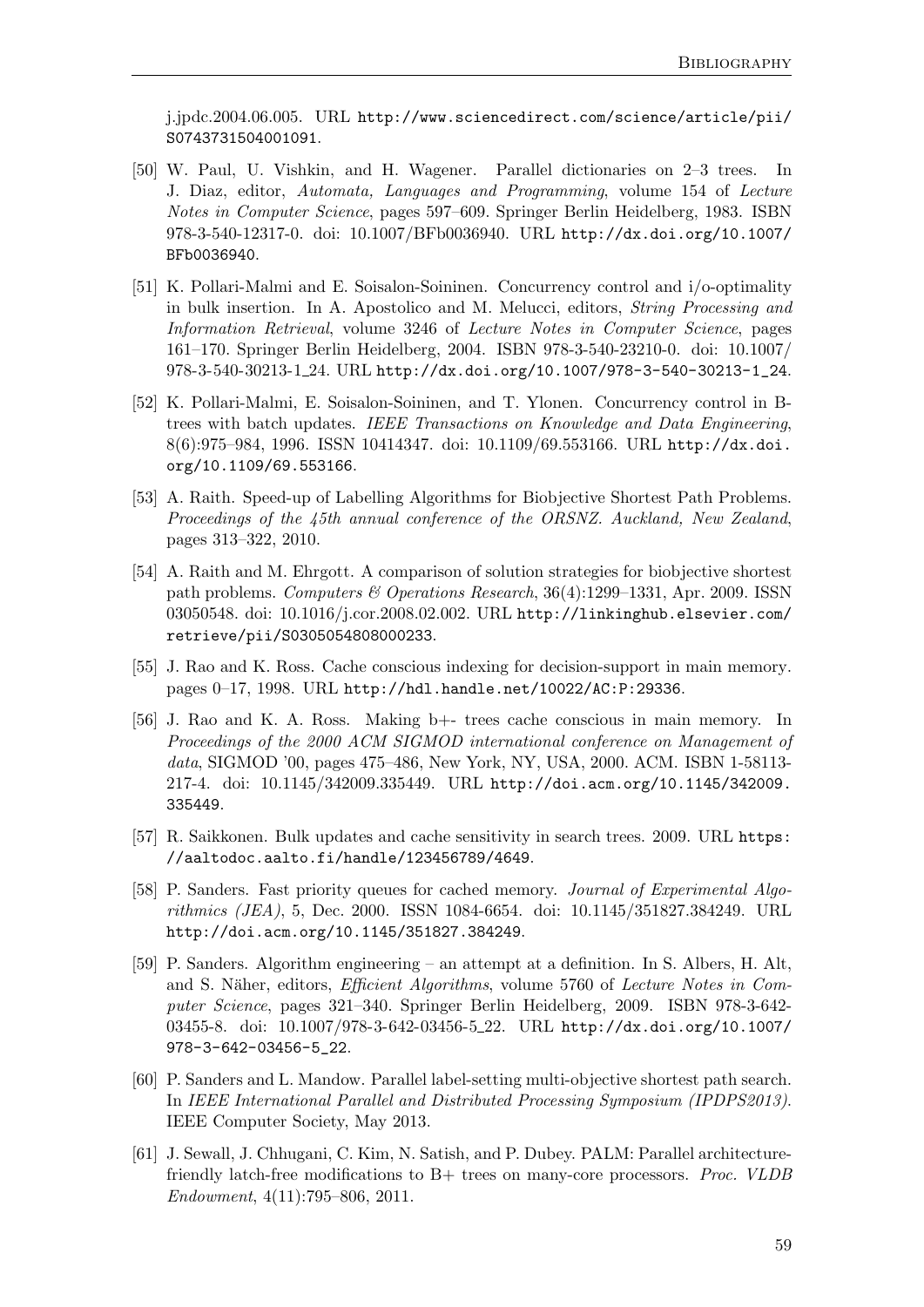j.jpdc.2004.06.005. URL [http://www.sciencedirect.com/science/article/pii/](http://www.sciencedirect.com/science/article/pii/S0743731504001091) [S0743731504001091](http://www.sciencedirect.com/science/article/pii/S0743731504001091).

- <span id="page-66-10"></span>[50] W. Paul, U. Vishkin, and H. Wagener. Parallel dictionaries on 2–3 trees. In J. Diaz, editor, Automata, Languages and Programming, volume 154 of Lecture Notes in Computer Science, pages 597–609. Springer Berlin Heidelberg, 1983. ISBN 978-3-540-12317-0. doi: 10.1007/BFb0036940. URL [http://dx.doi.org/10.1007/](http://dx.doi.org/10.1007/BFb0036940) [BFb0036940](http://dx.doi.org/10.1007/BFb0036940).
- <span id="page-66-7"></span>[51] K. Pollari-Malmi and E. Soisalon-Soininen. Concurrency control and i/o-optimality in bulk insertion. In A. Apostolico and M. Melucci, editors, String Processing and Information Retrieval, volume 3246 of Lecture Notes in Computer Science, pages 161–170. Springer Berlin Heidelberg, 2004. ISBN 978-3-540-23210-0. doi: 10.1007/ 978-3-540-30213-1 24. URL [http://dx.doi.org/10.1007/978-3-540-30213-1\\_24](http://dx.doi.org/10.1007/978-3-540-30213-1_24).
- <span id="page-66-8"></span>[52] K. Pollari-Malmi, E. Soisalon-Soininen, and T. Ylonen. Concurrency control in Btrees with batch updates. IEEE Transactions on Knowledge and Data Engineering, 8(6):975–984, 1996. ISSN 10414347. doi: 10.1109/69.553166. URL [http://dx.doi.](http://dx.doi.org/10.1109/69.553166) [org/10.1109/69.553166](http://dx.doi.org/10.1109/69.553166).
- <span id="page-66-3"></span>[53] A. Raith. Speed-up of Labelling Algorithms for Biobjective Shortest Path Problems. Proceedings of the 45th annual conference of the ORSNZ. Auckland, New Zealand, pages 313–322, 2010.
- <span id="page-66-0"></span>[54] A. Raith and M. Ehrgott. A comparison of solution strategies for biobjective shortest path problems. Computers & Operations Research, 36(4):1299–1331, Apr. 2009. ISSN 03050548. doi: 10.1016/j.cor.2008.02.002. URL [http://linkinghub.elsevier.com/](http://linkinghub.elsevier.com/retrieve/pii/S0305054808000233) [retrieve/pii/S0305054808000233](http://linkinghub.elsevier.com/retrieve/pii/S0305054808000233).
- <span id="page-66-5"></span>[55] J. Rao and K. Ross. Cache conscious indexing for decision-support in main memory. pages 0–17, 1998. URL <http://hdl.handle.net/10022/AC:P:29336>.
- <span id="page-66-4"></span>[56] J. Rao and K. A. Ross. Making b+- trees cache conscious in main memory. In Proceedings of the 2000 ACM SIGMOD international conference on Management of data, SIGMOD '00, pages 475–486, New York, NY, USA, 2000. ACM. ISBN 1-58113- 217-4. doi: 10.1145/342009.335449. URL [http://doi.acm.org/10.1145/342009.](http://doi.acm.org/10.1145/342009.335449) [335449](http://doi.acm.org/10.1145/342009.335449).
- <span id="page-66-6"></span>[57] R. Saikkonen. Bulk updates and cache sensitivity in search trees. 2009. URL [https:](https://aaltodoc.aalto.fi/handle/123456789/4649) [//aaltodoc.aalto.fi/handle/123456789/4649](https://aaltodoc.aalto.fi/handle/123456789/4649).
- <span id="page-66-11"></span>[58] P. Sanders. Fast priority queues for cached memory. *Journal of Experimental Algo*rithmics (JEA), 5, Dec. 2000. ISSN 1084-6654. doi: 10.1145/351827.384249. URL <http://doi.acm.org/10.1145/351827.384249>.
- <span id="page-66-2"></span>[59] P. Sanders. Algorithm engineering – an attempt at a definition. In S. Albers, H. Alt, and S. Näher, editors, *Efficient Algorithms*, volume 5760 of *Lecture Notes in Com*puter Science, pages 321–340. Springer Berlin Heidelberg, 2009. ISBN 978-3-642 03455-8. doi: 10.1007/978-3-642-03456-5\_22. URL [http://dx.doi.org/10.1007/](http://dx.doi.org/10.1007/978-3-642-03456-5_22) [978-3-642-03456-5\\_22](http://dx.doi.org/10.1007/978-3-642-03456-5_22).
- <span id="page-66-1"></span>[60] P. Sanders and L. Mandow. Parallel label-setting multi-objective shortest path search. In IEEE International Parallel and Distributed Processing Symposium (IPDPS2013). IEEE Computer Society, May 2013.
- <span id="page-66-9"></span>[61] J. Sewall, J. Chhugani, C. Kim, N. Satish, and P. Dubey. PALM: Parallel architecturefriendly latch-free modifications to B+ trees on many-core processors. Proc. VLDB Endowment, 4(11):795–806, 2011.